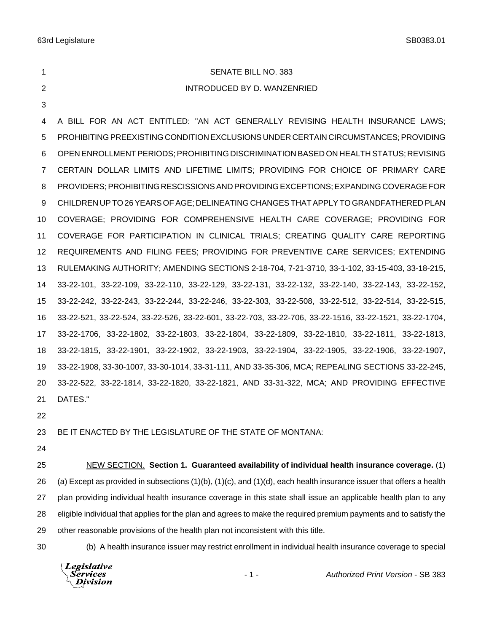# SENATE BILL NO. 383

# INTRODUCED BY D. WANZENRIED

 A BILL FOR AN ACT ENTITLED: "AN ACT GENERALLY REVISING HEALTH INSURANCE LAWS; PROHIBITING PREEXISTING CONDITION EXCLUSIONS UNDER CERTAIN CIRCUMSTANCES; PROVIDING OPEN ENROLLMENT PERIODS; PROHIBITING DISCRIMINATION BASED ON HEALTH STATUS; REVISING CERTAIN DOLLAR LIMITS AND LIFETIME LIMITS; PROVIDING FOR CHOICE OF PRIMARY CARE PROVIDERS; PROHIBITING RESCISSIONS AND PROVIDING EXCEPTIONS; EXPANDING COVERAGE FOR CHILDREN UP TO 26 YEARS OF AGE; DELINEATING CHANGES THAT APPLY TO GRANDFATHERED PLAN COVERAGE; PROVIDING FOR COMPREHENSIVE HEALTH CARE COVERAGE; PROVIDING FOR COVERAGE FOR PARTICIPATION IN CLINICAL TRIALS; CREATING QUALITY CARE REPORTING REQUIREMENTS AND FILING FEES; PROVIDING FOR PREVENTIVE CARE SERVICES; EXTENDING RULEMAKING AUTHORITY; AMENDING SECTIONS 2-18-704, 7-21-3710, 33-1-102, 33-15-403, 33-18-215, 33-22-101, 33-22-109, 33-22-110, 33-22-129, 33-22-131, 33-22-132, 33-22-140, 33-22-143, 33-22-152, 33-22-242, 33-22-243, 33-22-244, 33-22-246, 33-22-303, 33-22-508, 33-22-512, 33-22-514, 33-22-515, 33-22-521, 33-22-524, 33-22-526, 33-22-601, 33-22-703, 33-22-706, 33-22-1516, 33-22-1521, 33-22-1704, 33-22-1706, 33-22-1802, 33-22-1803, 33-22-1804, 33-22-1809, 33-22-1810, 33-22-1811, 33-22-1813, 33-22-1815, 33-22-1901, 33-22-1902, 33-22-1903, 33-22-1904, 33-22-1905, 33-22-1906, 33-22-1907, 33-22-1908, 33-30-1007, 33-30-1014, 33-31-111, AND 33-35-306, MCA; REPEALING SECTIONS 33-22-245, 33-22-522, 33-22-1814, 33-22-1820, 33-22-1821, AND 33-31-322, MCA; AND PROVIDING EFFECTIVE DATES."

BE IT ENACTED BY THE LEGISLATURE OF THE STATE OF MONTANA:

 NEW SECTION. **Section 1. Guaranteed availability of individual health insurance coverage.** (1) 26 (a) Except as provided in subsections  $(1)(b)$ ,  $(1)(c)$ , and  $(1)(d)$ , each health insurance issuer that offers a health plan providing individual health insurance coverage in this state shall issue an applicable health plan to any eligible individual that applies for the plan and agrees to make the required premium payments and to satisfy the other reasonable provisions of the health plan not inconsistent with this title.

(b) A health insurance issuer may restrict enrollment in individual health insurance coverage to special

Legislative **Services Division**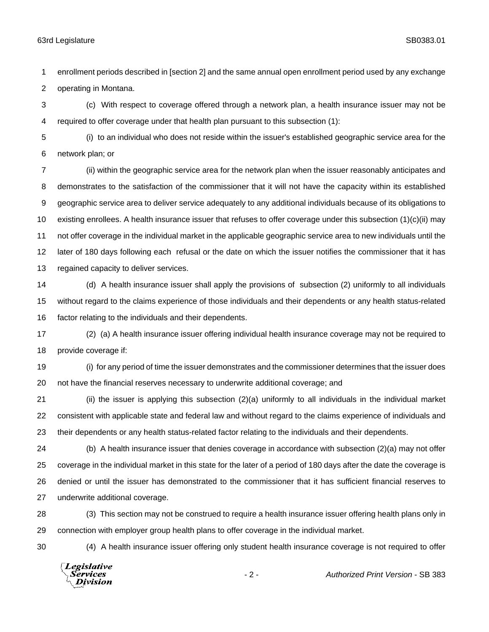enrollment periods described in [section 2] and the same annual open enrollment period used by any exchange operating in Montana.

 (c) With respect to coverage offered through a network plan, a health insurance issuer may not be required to offer coverage under that health plan pursuant to this subsection (1):

 (i) to an individual who does not reside within the issuer's established geographic service area for the network plan; or

 (ii) within the geographic service area for the network plan when the issuer reasonably anticipates and demonstrates to the satisfaction of the commissioner that it will not have the capacity within its established geographic service area to deliver service adequately to any additional individuals because of its obligations to existing enrollees. A health insurance issuer that refuses to offer coverage under this subsection (1)(c)(ii) may not offer coverage in the individual market in the applicable geographic service area to new individuals until the later of 180 days following each refusal or the date on which the issuer notifies the commissioner that it has regained capacity to deliver services.

 (d) A health insurance issuer shall apply the provisions of subsection (2) uniformly to all individuals without regard to the claims experience of those individuals and their dependents or any health status-related factor relating to the individuals and their dependents.

 (2) (a) A health insurance issuer offering individual health insurance coverage may not be required to provide coverage if:

 (i) for any period of time the issuer demonstrates and the commissioner determines that the issuer does not have the financial reserves necessary to underwrite additional coverage; and

 (ii) the issuer is applying this subsection (2)(a) uniformly to all individuals in the individual market consistent with applicable state and federal law and without regard to the claims experience of individuals and their dependents or any health status-related factor relating to the individuals and their dependents.

 (b) A health insurance issuer that denies coverage in accordance with subsection (2)(a) may not offer coverage in the individual market in this state for the later of a period of 180 days after the date the coverage is denied or until the issuer has demonstrated to the commissioner that it has sufficient financial reserves to underwrite additional coverage.

 (3) This section may not be construed to require a health insurance issuer offering health plans only in connection with employer group health plans to offer coverage in the individual market.

(4) A health insurance issuer offering only student health insurance coverage is not required to offer

Legislative *Services* **Division**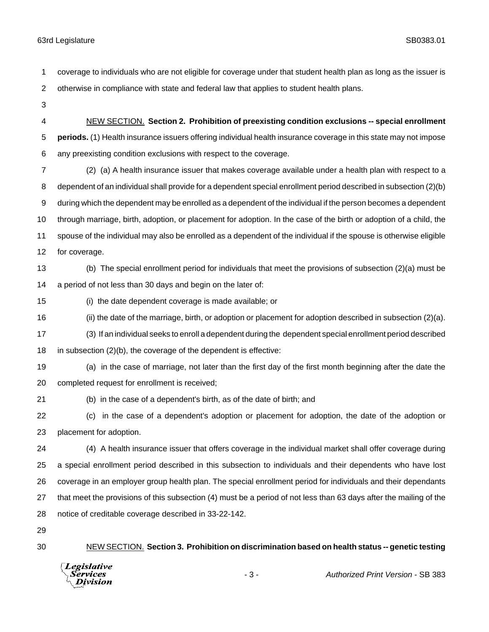coverage to individuals who are not eligible for coverage under that student health plan as long as the issuer is otherwise in compliance with state and federal law that applies to student health plans.

 NEW SECTION. **Section 2. Prohibition of preexisting condition exclusions -- special enrollment periods.** (1) Health insurance issuers offering individual health insurance coverage in this state may not impose any preexisting condition exclusions with respect to the coverage.

 (2) (a) A health insurance issuer that makes coverage available under a health plan with respect to a dependent of an individual shall provide for a dependent special enrollment period described in subsection (2)(b) during which the dependent may be enrolled as a dependent of the individual if the person becomes a dependent through marriage, birth, adoption, or placement for adoption. In the case of the birth or adoption of a child, the spouse of the individual may also be enrolled as a dependent of the individual if the spouse is otherwise eligible for coverage.

- (b) The special enrollment period for individuals that meet the provisions of subsection (2)(a) must be a period of not less than 30 days and begin on the later of:
- (i) the date dependent coverage is made available; or
- (ii) the date of the marriage, birth, or adoption or placement for adoption described in subsection (2)(a).
- (3) If an individual seeks to enroll a dependent during the dependent special enrollment period described in subsection (2)(b), the coverage of the dependent is effective:
- (a) in the case of marriage, not later than the first day of the first month beginning after the date the completed request for enrollment is received;
- (b) in the case of a dependent's birth, as of the date of birth; and
- (c) in the case of a dependent's adoption or placement for adoption, the date of the adoption or placement for adoption.

 (4) A health insurance issuer that offers coverage in the individual market shall offer coverage during a special enrollment period described in this subsection to individuals and their dependents who have lost coverage in an employer group health plan. The special enrollment period for individuals and their dependants that meet the provisions of this subsection (4) must be a period of not less than 63 days after the mailing of the notice of creditable coverage described in 33-22-142.

NEW SECTION. **Section 3. Prohibition on discrimination based on health status -- genetic testing**

**Legislative** *Services* **Division** 

- 3 - *Authorized Print Version* - SB 383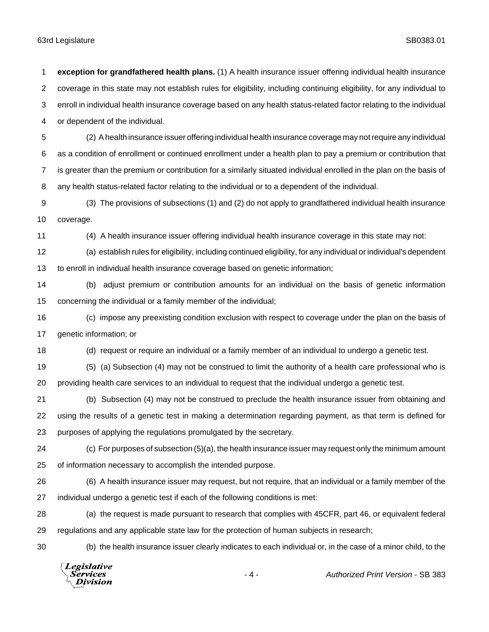coverage in this state may not establish rules for eligibility, including continuing eligibility, for any individual to enroll in individual health insurance coverage based on any health status-related factor relating to the individual or dependent of the individual. (2) A health insurance issuer offering individual health insurance coverage may not require any individual as a condition of enrollment or continued enrollment under a health plan to pay a premium or contribution that is greater than the premium or contribution for a similarly situated individual enrolled in the plan on the basis of any health status-related factor relating to the individual or to a dependent of the individual. (3) The provisions of subsections (1) and (2) do not apply to grandfathered individual health insurance coverage. (4) A health insurance issuer offering individual health insurance coverage in this state may not: (a) establish rules for eligibility, including continued eligibility, for any individual or individual's dependent to enroll in individual health insurance coverage based on genetic information; (b) adjust premium or contribution amounts for an individual on the basis of genetic information concerning the individual or a family member of the individual; (c) impose any preexisting condition exclusion with respect to coverage under the plan on the basis of genetic information; or (d) request or require an individual or a family member of an individual to undergo a genetic test. (5) (a) Subsection (4) may not be construed to limit the authority of a health care professional who is providing health care services to an individual to request that the individual undergo a genetic test. (b) Subsection (4) may not be construed to preclude the health insurance issuer from obtaining and using the results of a genetic test in making a determination regarding payment, as that term is defined for purposes of applying the regulations promulgated by the secretary. (c) For purposes of subsection (5)(a), the health insurance issuer may request only the minimum amount of information necessary to accomplish the intended purpose. (6) A health insurance issuer may request, but not require, that an individual or a family member of the individual undergo a genetic test if each of the following conditions is met: (a) the request is made pursuant to research that complies with 45CFR, part 46, or equivalent federal regulations and any applicable state law for the protection of human subjects in research; (b) the health insurance issuer clearly indicates to each individual or, in the case of a minor child, to the Legislative - 4 - *Authorized Print Version* - SB 383*Services* **Division** 

**exception for grandfathered health plans.** (1) A health insurance issuer offering individual health insurance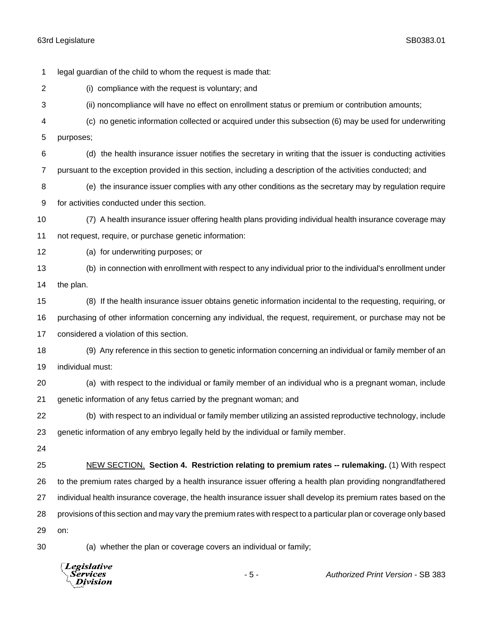legal guardian of the child to whom the request is made that: (i) compliance with the request is voluntary; and (ii) noncompliance will have no effect on enrollment status or premium or contribution amounts; (c) no genetic information collected or acquired under this subsection (6) may be used for underwriting purposes; (d) the health insurance issuer notifies the secretary in writing that the issuer is conducting activities pursuant to the exception provided in this section, including a description of the activities conducted; and (e) the insurance issuer complies with any other conditions as the secretary may by regulation require for activities conducted under this section. (7) A health insurance issuer offering health plans providing individual health insurance coverage may not request, require, or purchase genetic information: (a) for underwriting purposes; or (b) in connection with enrollment with respect to any individual prior to the individual's enrollment under the plan. (8) If the health insurance issuer obtains genetic information incidental to the requesting, requiring, or purchasing of other information concerning any individual, the request, requirement, or purchase may not be considered a violation of this section. (9) Any reference in this section to genetic information concerning an individual or family member of an individual must: (a) with respect to the individual or family member of an individual who is a pregnant woman, include genetic information of any fetus carried by the pregnant woman; and (b) with respect to an individual or family member utilizing an assisted reproductive technology, include genetic information of any embryo legally held by the individual or family member. NEW SECTION. **Section 4. Restriction relating to premium rates -- rulemaking.** (1) With respect to the premium rates charged by a health insurance issuer offering a health plan providing nongrandfathered individual health insurance coverage, the health insurance issuer shall develop its premium rates based on the provisions of this section and may vary the premium rates with respect to a particular plan or coverage only based on: (a) whether the plan or coverage covers an individual or family;

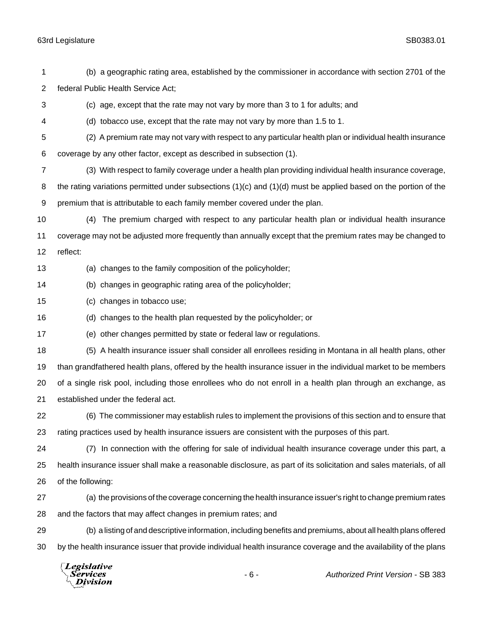(b) a geographic rating area, established by the commissioner in accordance with section 2701 of the federal Public Health Service Act; (c) age, except that the rate may not vary by more than 3 to 1 for adults; and (d) tobacco use, except that the rate may not vary by more than 1.5 to 1. (2) A premium rate may not vary with respect to any particular health plan or individual health insurance coverage by any other factor, except as described in subsection (1). (3) With respect to family coverage under a health plan providing individual health insurance coverage, 8 the rating variations permitted under subsections (1)(c) and (1)(d) must be applied based on the portion of the premium that is attributable to each family member covered under the plan. (4) The premium charged with respect to any particular health plan or individual health insurance coverage may not be adjusted more frequently than annually except that the premium rates may be changed to reflect: (a) changes to the family composition of the policyholder; (b) changes in geographic rating area of the policyholder; (c) changes in tobacco use; (d) changes to the health plan requested by the policyholder; or (e) other changes permitted by state or federal law or regulations. (5) A health insurance issuer shall consider all enrollees residing in Montana in all health plans, other than grandfathered health plans, offered by the health insurance issuer in the individual market to be members of a single risk pool, including those enrollees who do not enroll in a health plan through an exchange, as established under the federal act. (6) The commissioner may establish rules to implement the provisions of this section and to ensure that rating practices used by health insurance issuers are consistent with the purposes of this part. (7) In connection with the offering for sale of individual health insurance coverage under this part, a health insurance issuer shall make a reasonable disclosure, as part of its solicitation and sales materials, of all of the following: (a) the provisions of the coverage concerning the health insurance issuer's right to change premium rates and the factors that may affect changes in premium rates; and (b) a listing of and descriptive information, including benefits and premiums, about all health plans offered by the health insurance issuer that provide individual health insurance coverage and the availability of the plans Legislative Services - 6 - *Authorized Print Version* - SB 383**Division**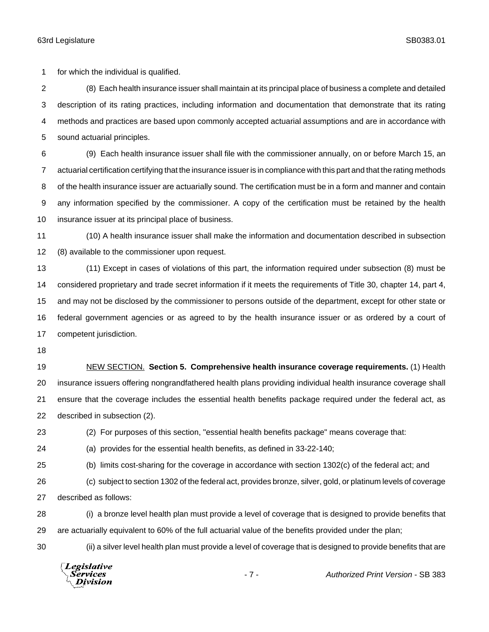for which the individual is qualified.

 (8) Each health insurance issuer shall maintain at its principal place of business a complete and detailed description of its rating practices, including information and documentation that demonstrate that its rating methods and practices are based upon commonly accepted actuarial assumptions and are in accordance with sound actuarial principles.

 (9) Each health insurance issuer shall file with the commissioner annually, on or before March 15, an actuarial certification certifying that the insurance issuer is in compliance with this part and that the rating methods of the health insurance issuer are actuarially sound. The certification must be in a form and manner and contain any information specified by the commissioner. A copy of the certification must be retained by the health insurance issuer at its principal place of business.

 (10) A health insurance issuer shall make the information and documentation described in subsection (8) available to the commissioner upon request.

 (11) Except in cases of violations of this part, the information required under subsection (8) must be considered proprietary and trade secret information if it meets the requirements of Title 30, chapter 14, part 4, and may not be disclosed by the commissioner to persons outside of the department, except for other state or federal government agencies or as agreed to by the health insurance issuer or as ordered by a court of competent jurisdiction.

 NEW SECTION. **Section 5. Comprehensive health insurance coverage requirements.** (1) Health insurance issuers offering nongrandfathered health plans providing individual health insurance coverage shall ensure that the coverage includes the essential health benefits package required under the federal act, as described in subsection (2).

(2) For purposes of this section, "essential health benefits package" means coverage that:

(a) provides for the essential health benefits, as defined in 33-22-140;

(b) limits cost-sharing for the coverage in accordance with section 1302(c) of the federal act; and

 (c) subject to section 1302 of the federal act, provides bronze, silver, gold, or platinum levels of coverage described as follows:

 (i) a bronze level health plan must provide a level of coverage that is designed to provide benefits that are actuarially equivalent to 60% of the full actuarial value of the benefits provided under the plan;

(ii) a silver level health plan must provide a level of coverage that is designed to provide benefits that are

Legislative Services **Division**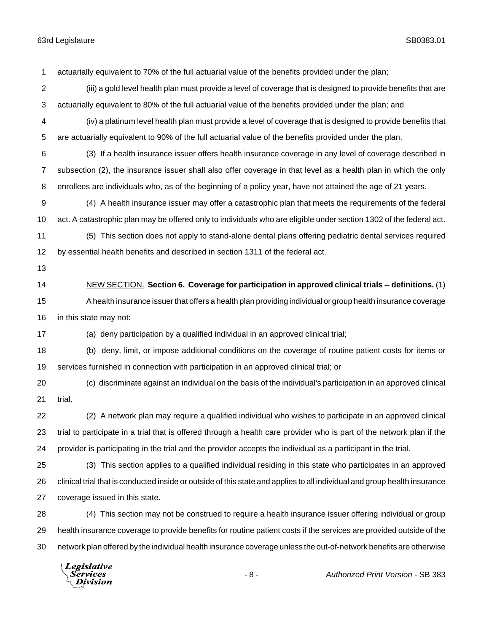(iii) a gold level health plan must provide a level of coverage that is designed to provide benefits that are actuarially equivalent to 80% of the full actuarial value of the benefits provided under the plan; and

actuarially equivalent to 70% of the full actuarial value of the benefits provided under the plan;

 (iv) a platinum level health plan must provide a level of coverage that is designed to provide benefits that are actuarially equivalent to 90% of the full actuarial value of the benefits provided under the plan.

 (3) If a health insurance issuer offers health insurance coverage in any level of coverage described in subsection (2), the insurance issuer shall also offer coverage in that level as a health plan in which the only enrollees are individuals who, as of the beginning of a policy year, have not attained the age of 21 years.

 (4) A health insurance issuer may offer a catastrophic plan that meets the requirements of the federal act. A catastrophic plan may be offered only to individuals who are eligible under section 1302 of the federal act.

 (5) This section does not apply to stand-alone dental plans offering pediatric dental services required by essential health benefits and described in section 1311 of the federal act.

 NEW SECTION. **Section 6. Coverage for participation in approved clinical trials -- definitions.** (1) A health insurance issuer that offers a health plan providing individual or group health insurance coverage in this state may not:

(a) deny participation by a qualified individual in an approved clinical trial;

 (b) deny, limit, or impose additional conditions on the coverage of routine patient costs for items or services furnished in connection with participation in an approved clinical trial; or

 (c) discriminate against an individual on the basis of the individual's participation in an approved clinical trial.

 (2) A network plan may require a qualified individual who wishes to participate in an approved clinical trial to participate in a trial that is offered through a health care provider who is part of the network plan if the provider is participating in the trial and the provider accepts the individual as a participant in the trial.

 (3) This section applies to a qualified individual residing in this state who participates in an approved clinical trial that is conducted inside or outside of this state and applies to all individual and group health insurance coverage issued in this state.

 (4) This section may not be construed to require a health insurance issuer offering individual or group health insurance coverage to provide benefits for routine patient costs if the services are provided outside of the network plan offered by the individual health insurance coverage unless the out-of-network benefits are otherwise

Legislative *Services* **Division**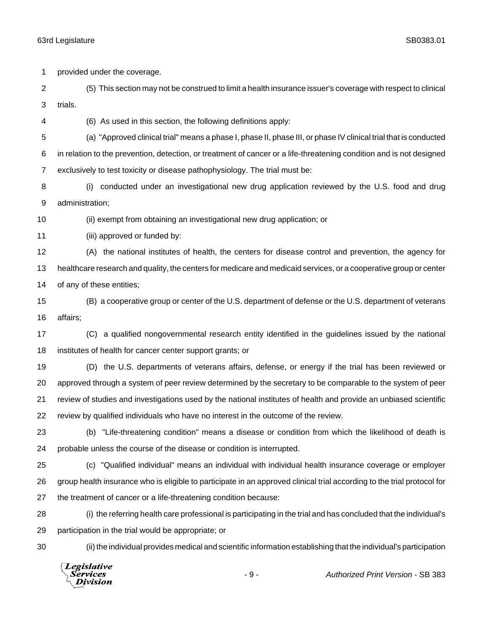provided under the coverage.

 (5) This section may not be construed to limit a health insurance issuer's coverage with respect to clinical trials.

(6) As used in this section, the following definitions apply:

 (a) "Approved clinical trial" means a phase I, phase II, phase III, or phase IV clinical trial that is conducted in relation to the prevention, detection, or treatment of cancer or a life-threatening condition and is not designed exclusively to test toxicity or disease pathophysiology. The trial must be:

 (i) conducted under an investigational new drug application reviewed by the U.S. food and drug administration;

(ii) exempt from obtaining an investigational new drug application; or

(iii) approved or funded by:

 (A) the national institutes of health, the centers for disease control and prevention, the agency for healthcare research and quality, the centers for medicare and medicaid services, or a cooperative group or center of any of these entities;

 (B) a cooperative group or center of the U.S. department of defense or the U.S. department of veterans affairs;

 (C) a qualified nongovernmental research entity identified in the guidelines issued by the national institutes of health for cancer center support grants; or

 (D) the U.S. departments of veterans affairs, defense, or energy if the trial has been reviewed or approved through a system of peer review determined by the secretary to be comparable to the system of peer review of studies and investigations used by the national institutes of health and provide an unbiased scientific review by qualified individuals who have no interest in the outcome of the review.

 (b) "Life-threatening condition" means a disease or condition from which the likelihood of death is probable unless the course of the disease or condition is interrupted.

 (c) "Qualified individual" means an individual with individual health insurance coverage or employer group health insurance who is eligible to participate in an approved clinical trial according to the trial protocol for the treatment of cancer or a life-threatening condition because:

 (i) the referring health care professional is participating in the trial and has concluded that the individual's participation in the trial would be appropriate; or

(ii) the individual provides medical and scientific information establishing that the individual's participation

**Legislative** *Services* **Division**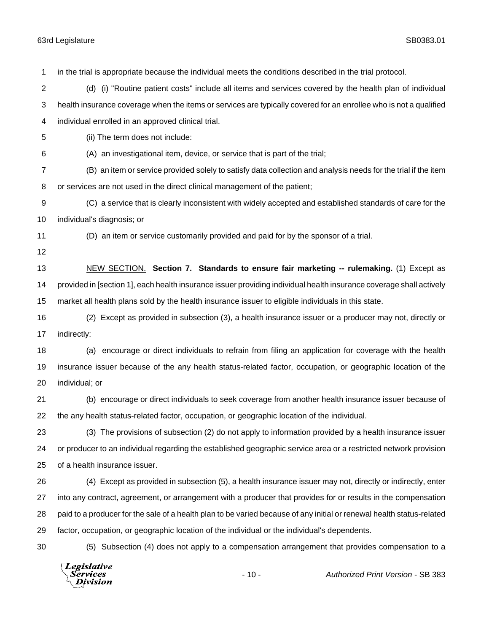Services **Division** 

 in the trial is appropriate because the individual meets the conditions described in the trial protocol. (d) (i) "Routine patient costs" include all items and services covered by the health plan of individual health insurance coverage when the items or services are typically covered for an enrollee who is not a qualified individual enrolled in an approved clinical trial. (ii) The term does not include: (A) an investigational item, device, or service that is part of the trial; (B) an item or service provided solely to satisfy data collection and analysis needs for the trial if the item or services are not used in the direct clinical management of the patient; (C) a service that is clearly inconsistent with widely accepted and established standards of care for the individual's diagnosis; or (D) an item or service customarily provided and paid for by the sponsor of a trial. NEW SECTION. **Section 7. Standards to ensure fair marketing -- rulemaking.** (1) Except as provided in [section 1], each health insurance issuer providing individual health insurance coverage shall actively market all health plans sold by the health insurance issuer to eligible individuals in this state. (2) Except as provided in subsection (3), a health insurance issuer or a producer may not, directly or indirectly: (a) encourage or direct individuals to refrain from filing an application for coverage with the health insurance issuer because of the any health status-related factor, occupation, or geographic location of the individual; or (b) encourage or direct individuals to seek coverage from another health insurance issuer because of the any health status-related factor, occupation, or geographic location of the individual. (3) The provisions of subsection (2) do not apply to information provided by a health insurance issuer or producer to an individual regarding the established geographic service area or a restricted network provision of a health insurance issuer. (4) Except as provided in subsection (5), a health insurance issuer may not, directly or indirectly, enter into any contract, agreement, or arrangement with a producer that provides for or results in the compensation paid to a producer for the sale of a health plan to be varied because of any initial or renewal health status-related factor, occupation, or geographic location of the individual or the individual's dependents. (5) Subsection (4) does not apply to a compensation arrangement that provides compensation to a Legislative - 10 - *Authorized Print Version* - SB 383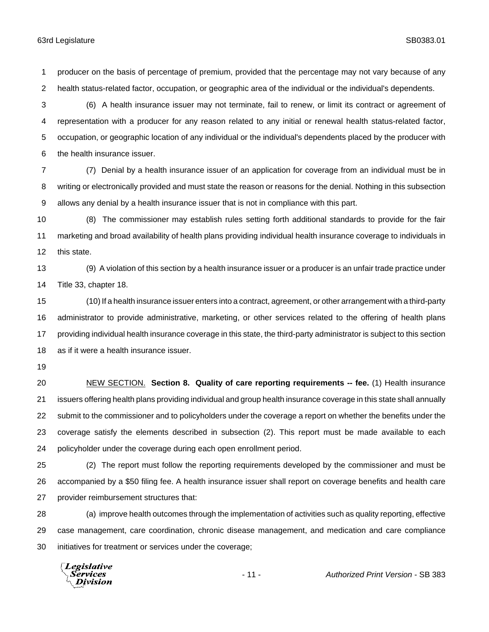producer on the basis of percentage of premium, provided that the percentage may not vary because of any health status-related factor, occupation, or geographic area of the individual or the individual's dependents.

 (6) A health insurance issuer may not terminate, fail to renew, or limit its contract or agreement of representation with a producer for any reason related to any initial or renewal health status-related factor, occupation, or geographic location of any individual or the individual's dependents placed by the producer with the health insurance issuer.

 (7) Denial by a health insurance issuer of an application for coverage from an individual must be in writing or electronically provided and must state the reason or reasons for the denial. Nothing in this subsection allows any denial by a health insurance issuer that is not in compliance with this part.

 (8) The commissioner may establish rules setting forth additional standards to provide for the fair marketing and broad availability of health plans providing individual health insurance coverage to individuals in this state.

 (9) A violation of this section by a health insurance issuer or a producer is an unfair trade practice under Title 33, chapter 18.

 (10) If a health insurance issuer enters into a contract, agreement, or other arrangement with a third-party administrator to provide administrative, marketing, or other services related to the offering of health plans providing individual health insurance coverage in this state, the third-party administrator is subject to this section as if it were a health insurance issuer.

 NEW SECTION. **Section 8. Quality of care reporting requirements -- fee.** (1) Health insurance issuers offering health plans providing individual and group health insurance coverage in this state shall annually submit to the commissioner and to policyholders under the coverage a report on whether the benefits under the coverage satisfy the elements described in subsection (2). This report must be made available to each policyholder under the coverage during each open enrollment period.

 (2) The report must follow the reporting requirements developed by the commissioner and must be accompanied by a \$50 filing fee. A health insurance issuer shall report on coverage benefits and health care provider reimbursement structures that:

 (a) improve health outcomes through the implementation of activities such as quality reporting, effective case management, care coordination, chronic disease management, and medication and care compliance initiatives for treatment or services under the coverage;

Legislative Services **Division**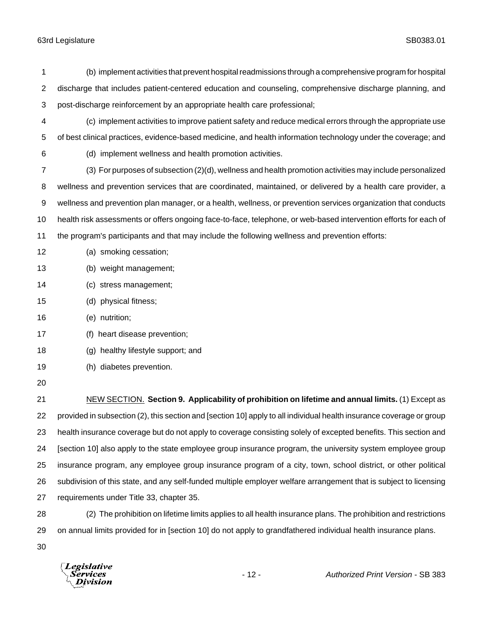| 1              | (b) implement activities that prevent hospital readmissions through a comprehensive program for hospital             |  |  |
|----------------|----------------------------------------------------------------------------------------------------------------------|--|--|
| 2              | discharge that includes patient-centered education and counseling, comprehensive discharge planning, and             |  |  |
| 3              | post-discharge reinforcement by an appropriate health care professional;                                             |  |  |
| 4              | (c) implement activities to improve patient safety and reduce medical errors through the appropriate use             |  |  |
| 5              | of best clinical practices, evidence-based medicine, and health information technology under the coverage; and       |  |  |
| 6              | (d) implement wellness and health promotion activities.                                                              |  |  |
| $\overline{7}$ | (3) For purposes of subsection (2)(d), wellness and health promotion activities may include personalized             |  |  |
| 8              | wellness and prevention services that are coordinated, maintained, or delivered by a health care provider, a         |  |  |
| 9              | wellness and prevention plan manager, or a health, wellness, or prevention services organization that conducts       |  |  |
| 10             | health risk assessments or offers ongoing face-to-face, telephone, or web-based intervention efforts for each of     |  |  |
| 11             | the program's participants and that may include the following wellness and prevention efforts:                       |  |  |
| 12             | (a) smoking cessation;                                                                                               |  |  |
| 13             | (b) weight management;                                                                                               |  |  |
| 14             | (c) stress management;                                                                                               |  |  |
| 15             | (d) physical fitness;                                                                                                |  |  |
| 16             | (e) nutrition;                                                                                                       |  |  |
| 17             | (f) heart disease prevention;                                                                                        |  |  |
| 18             | (g) healthy lifestyle support; and                                                                                   |  |  |
| 19             | (h) diabetes prevention.                                                                                             |  |  |
| 20             |                                                                                                                      |  |  |
| 21             | NEW SECTION. Section 9. Applicability of prohibition on lifetime and annual limits. (1) Except as                    |  |  |
| 22             | provided in subsection (2), this section and [section 10] apply to all individual health insurance coverage or group |  |  |
| 23             | health insurance coverage but do not apply to coverage consisting solely of excepted benefits. This section and      |  |  |
| 24             | [section 10] also apply to the state employee group insurance program, the university system employee group          |  |  |
| 25             | insurance program, any employee group insurance program of a city, town, school district, or other political         |  |  |
| 26             | subdivision of this state, and any self-funded multiple employer welfare arrangement that is subject to licensing    |  |  |
| 27             | requirements under Title 33, chapter 35.                                                                             |  |  |
| 28             | (2) The prohibition on lifetime limits applies to all health insurance plans. The prohibition and restrictions       |  |  |
|                |                                                                                                                      |  |  |

on annual limits provided for in [section 10] do not apply to grandfathered individual health insurance plans.

*Legislative*<br>Services<br>*Division*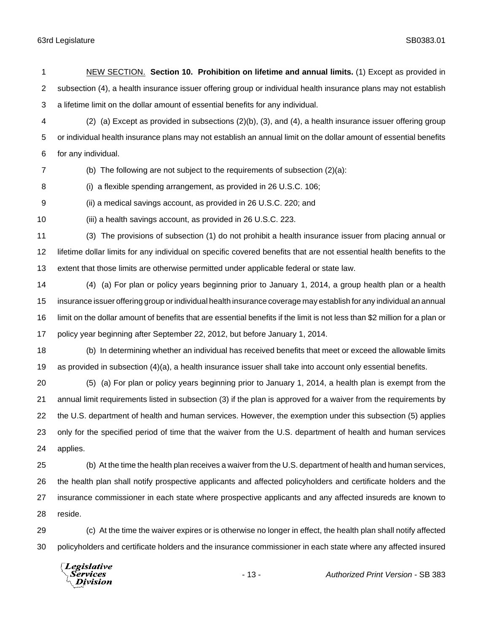NEW SECTION. **Section 10. Prohibition on lifetime and annual limits.** (1) Except as provided in subsection (4), a health insurance issuer offering group or individual health insurance plans may not establish a lifetime limit on the dollar amount of essential benefits for any individual. (2) (a) Except as provided in subsections (2)(b), (3), and (4), a health insurance issuer offering group or individual health insurance plans may not establish an annual limit on the dollar amount of essential benefits for any individual. (b) The following are not subject to the requirements of subsection (2)(a): (i) a flexible spending arrangement, as provided in 26 U.S.C. 106; (ii) a medical savings account, as provided in 26 U.S.C. 220; and (iii) a health savings account, as provided in 26 U.S.C. 223. (3) The provisions of subsection (1) do not prohibit a health insurance issuer from placing annual or lifetime dollar limits for any individual on specific covered benefits that are not essential health benefits to the extent that those limits are otherwise permitted under applicable federal or state law. (4) (a) For plan or policy years beginning prior to January 1, 2014, a group health plan or a health insurance issuer offering group or individual health insurance coverage may establish for any individual an annual limit on the dollar amount of benefits that are essential benefits if the limit is not less than \$2 million for a plan or policy year beginning after September 22, 2012, but before January 1, 2014. (b) In determining whether an individual has received benefits that meet or exceed the allowable limits as provided in subsection (4)(a), a health insurance issuer shall take into account only essential benefits. (5) (a) For plan or policy years beginning prior to January 1, 2014, a health plan is exempt from the annual limit requirements listed in subsection (3) if the plan is approved for a waiver from the requirements by the U.S. department of health and human services. However, the exemption under this subsection (5) applies only for the specified period of time that the waiver from the U.S. department of health and human services applies. (b) At the time the health plan receives a waiver from the U.S. department of health and human services, the health plan shall notify prospective applicants and affected policyholders and certificate holders and the insurance commissioner in each state where prospective applicants and any affected insureds are known to reside.

 (c) At the time the waiver expires or is otherwise no longer in effect, the health plan shall notify affected policyholders and certificate holders and the insurance commissioner in each state where any affected insured

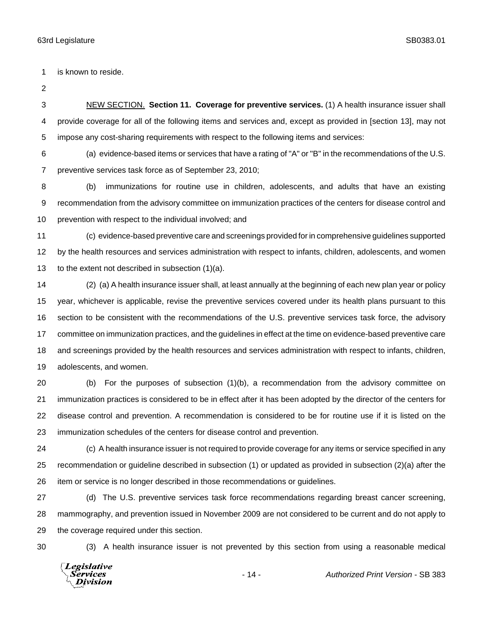is known to reside.

 NEW SECTION. **Section 11. Coverage for preventive services.** (1) A health insurance issuer shall provide coverage for all of the following items and services and, except as provided in [section 13], may not impose any cost-sharing requirements with respect to the following items and services:

 (a) evidence-based items or services that have a rating of "A" or "B" in the recommendations of the U.S. preventive services task force as of September 23, 2010;

 (b) immunizations for routine use in children, adolescents, and adults that have an existing recommendation from the advisory committee on immunization practices of the centers for disease control and prevention with respect to the individual involved; and

 (c) evidence-based preventive care and screenings provided for in comprehensive guidelines supported by the health resources and services administration with respect to infants, children, adolescents, and women to the extent not described in subsection (1)(a).

 (2) (a) A health insurance issuer shall, at least annually at the beginning of each new plan year or policy year, whichever is applicable, revise the preventive services covered under its health plans pursuant to this section to be consistent with the recommendations of the U.S. preventive services task force, the advisory committee on immunization practices, and the guidelines in effect at the time on evidence-based preventive care and screenings provided by the health resources and services administration with respect to infants, children, adolescents, and women.

 (b) For the purposes of subsection (1)(b), a recommendation from the advisory committee on immunization practices is considered to be in effect after it has been adopted by the director of the centers for disease control and prevention. A recommendation is considered to be for routine use if it is listed on the immunization schedules of the centers for disease control and prevention.

 (c) A health insurance issuer is not required to provide coverage for any items or service specified in any recommendation or guideline described in subsection (1) or updated as provided in subsection (2)(a) after the item or service is no longer described in those recommendations or guidelines.

 (d) The U.S. preventive services task force recommendations regarding breast cancer screening, mammography, and prevention issued in November 2009 are not considered to be current and do not apply to the coverage required under this section.

(3) A health insurance issuer is not prevented by this section from using a reasonable medical

Legislative *Services* **Division**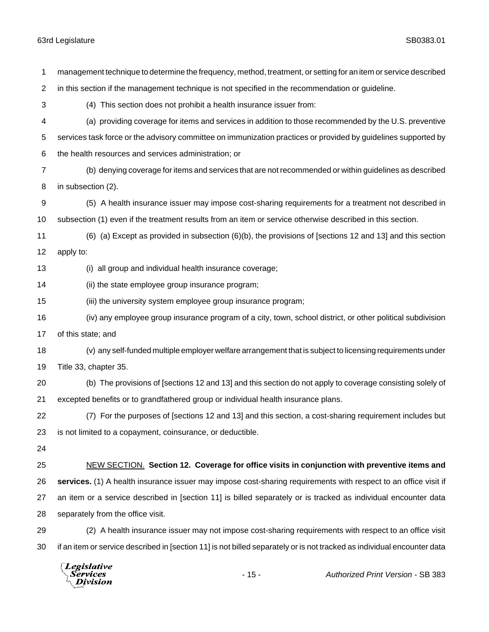management technique to determine the frequency, method, treatment, or setting for an item or service described in this section if the management technique is not specified in the recommendation or guideline. (4) This section does not prohibit a health insurance issuer from: (a) providing coverage for items and services in addition to those recommended by the U.S. preventive services task force or the advisory committee on immunization practices or provided by guidelines supported by the health resources and services administration; or (b) denying coverage for items and services that are not recommended or within guidelines as described in subsection (2). (5) A health insurance issuer may impose cost-sharing requirements for a treatment not described in subsection (1) even if the treatment results from an item or service otherwise described in this section. (6) (a) Except as provided in subsection (6)(b), the provisions of [sections 12 and 13] and this section apply to: (i) all group and individual health insurance coverage; (ii) the state employee group insurance program; (iii) the university system employee group insurance program; (iv) any employee group insurance program of a city, town, school district, or other political subdivision of this state; and (v) any self-funded multiple employer welfare arrangement that is subject to licensing requirements under Title 33, chapter 35. (b) The provisions of [sections 12 and 13] and this section do not apply to coverage consisting solely of excepted benefits or to grandfathered group or individual health insurance plans. (7) For the purposes of [sections 12 and 13] and this section, a cost-sharing requirement includes but is not limited to a copayment, coinsurance, or deductible. NEW SECTION. **Section 12. Coverage for office visits in conjunction with preventive items and services.** (1) A health insurance issuer may impose cost-sharing requirements with respect to an office visit if an item or a service described in [section 11] is billed separately or is tracked as individual encounter data separately from the office visit. (2) A health insurance issuer may not impose cost-sharing requirements with respect to an office visit if an item or service described in [section 11] is not billed separately or is not tracked as individual encounter data

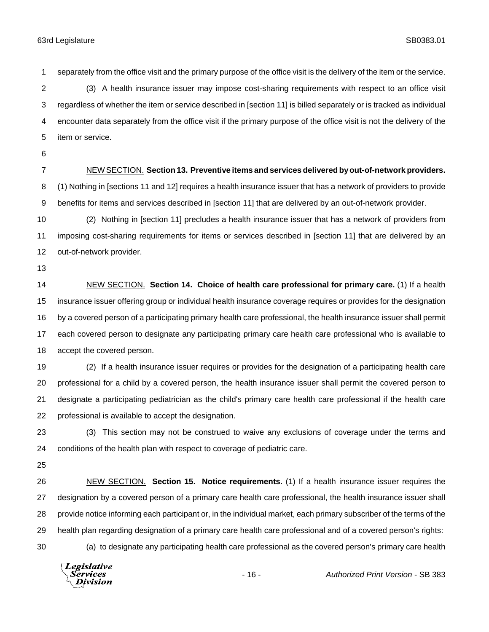separately from the office visit and the primary purpose of the office visit is the delivery of the item or the service.

 (3) A health insurance issuer may impose cost-sharing requirements with respect to an office visit regardless of whether the item or service described in [section 11] is billed separately or is tracked as individual encounter data separately from the office visit if the primary purpose of the office visit is not the delivery of the item or service.

- 
- 

#### NEW SECTION. **Section 13. Preventive items and services delivered by out-of-network providers.**

 (1) Nothing in [sections 11 and 12] requires a health insurance issuer that has a network of providers to provide benefits for items and services described in [section 11] that are delivered by an out-of-network provider.

 (2) Nothing in [section 11] precludes a health insurance issuer that has a network of providers from imposing cost-sharing requirements for items or services described in [section 11] that are delivered by an out-of-network provider.

 NEW SECTION. **Section 14. Choice of health care professional for primary care.** (1) If a health insurance issuer offering group or individual health insurance coverage requires or provides for the designation by a covered person of a participating primary health care professional, the health insurance issuer shall permit each covered person to designate any participating primary care health care professional who is available to accept the covered person.

 (2) If a health insurance issuer requires or provides for the designation of a participating health care professional for a child by a covered person, the health insurance issuer shall permit the covered person to designate a participating pediatrician as the child's primary care health care professional if the health care professional is available to accept the designation.

 (3) This section may not be construed to waive any exclusions of coverage under the terms and conditions of the health plan with respect to coverage of pediatric care.

 NEW SECTION. **Section 15. Notice requirements.** (1) If a health insurance issuer requires the designation by a covered person of a primary care health care professional, the health insurance issuer shall provide notice informing each participant or, in the individual market, each primary subscriber of the terms of the health plan regarding designation of a primary care health care professional and of a covered person's rights: (a) to designate any participating health care professional as the covered person's primary care health

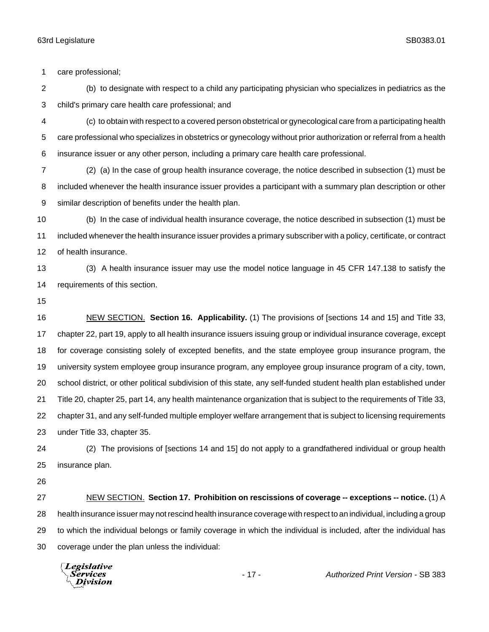care professional;

 (b) to designate with respect to a child any participating physician who specializes in pediatrics as the child's primary care health care professional; and

 (c) to obtain with respect to a covered person obstetrical or gynecological care from a participating health care professional who specializes in obstetrics or gynecology without prior authorization or referral from a health insurance issuer or any other person, including a primary care health care professional.

 (2) (a) In the case of group health insurance coverage, the notice described in subsection (1) must be included whenever the health insurance issuer provides a participant with a summary plan description or other similar description of benefits under the health plan.

 (b) In the case of individual health insurance coverage, the notice described in subsection (1) must be included whenever the health insurance issuer provides a primary subscriber with a policy, certificate, or contract of health insurance.

 (3) A health insurance issuer may use the model notice language in 45 CFR 147.138 to satisfy the requirements of this section.

 NEW SECTION. **Section 16. Applicability.** (1) The provisions of [sections 14 and 15] and Title 33, chapter 22, part 19, apply to all health insurance issuers issuing group or individual insurance coverage, except for coverage consisting solely of excepted benefits, and the state employee group insurance program, the university system employee group insurance program, any employee group insurance program of a city, town, school district, or other political subdivision of this state, any self-funded student health plan established under Title 20, chapter 25, part 14, any health maintenance organization that is subject to the requirements of Title 33, chapter 31, and any self-funded multiple employer welfare arrangement that is subject to licensing requirements under Title 33, chapter 35.

 (2) The provisions of [sections 14 and 15] do not apply to a grandfathered individual or group health insurance plan.

 NEW SECTION. **Section 17. Prohibition on rescissions of coverage -- exceptions -- notice.** (1) A health insurance issuer may not rescind health insurance coverage with respect to an individual, including a group to which the individual belongs or family coverage in which the individual is included, after the individual has coverage under the plan unless the individual:

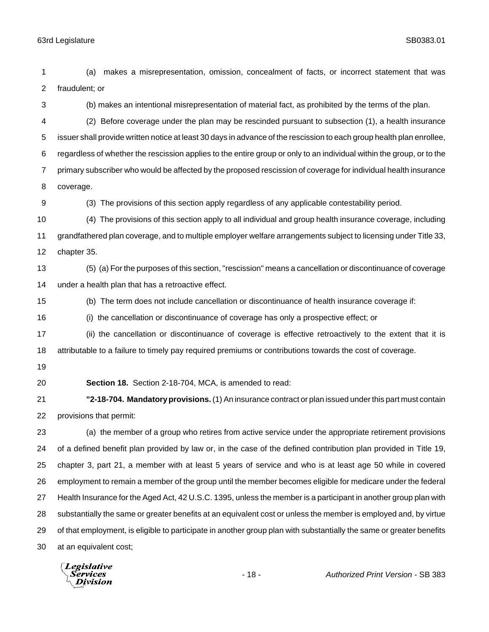(a) makes a misrepresentation, omission, concealment of facts, or incorrect statement that was fraudulent; or (b) makes an intentional misrepresentation of material fact, as prohibited by the terms of the plan. (2) Before coverage under the plan may be rescinded pursuant to subsection (1), a health insurance issuer shall provide written notice at least 30 days in advance of the rescission to each group health plan enrollee, regardless of whether the rescission applies to the entire group or only to an individual within the group, or to the primary subscriber who would be affected by the proposed rescission of coverage for individual health insurance coverage. (3) The provisions of this section apply regardless of any applicable contestability period. (4) The provisions of this section apply to all individual and group health insurance coverage, including grandfathered plan coverage, and to multiple employer welfare arrangements subject to licensing under Title 33, chapter 35. (5) (a) For the purposes of this section, "rescission" means a cancellation or discontinuance of coverage under a health plan that has a retroactive effect. (b) The term does not include cancellation or discontinuance of health insurance coverage if: (i) the cancellation or discontinuance of coverage has only a prospective effect; or (ii) the cancellation or discontinuance of coverage is effective retroactively to the extent that it is attributable to a failure to timely pay required premiums or contributions towards the cost of coverage. **Section 18.** Section 2-18-704, MCA, is amended to read: **"2-18-704. Mandatory provisions.** (1) An insurance contract or plan issued under this part must contain provisions that permit: (a) the member of a group who retires from active service under the appropriate retirement provisions of a defined benefit plan provided by law or, in the case of the defined contribution plan provided in Title 19, chapter 3, part 21, a member with at least 5 years of service and who is at least age 50 while in covered employment to remain a member of the group until the member becomes eligible for medicare under the federal Health Insurance for the Aged Act, 42 U.S.C. 1395, unless the member is a participant in another group plan with substantially the same or greater benefits at an equivalent cost or unless the member is employed and, by virtue of that employment, is eligible to participate in another group plan with substantially the same or greater benefits at an equivalent cost;

**Legislative** *Services* **Division**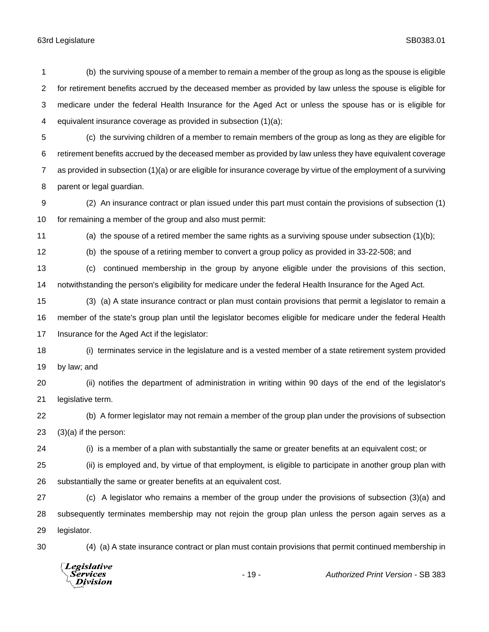(b) the surviving spouse of a member to remain a member of the group as long as the spouse is eligible for retirement benefits accrued by the deceased member as provided by law unless the spouse is eligible for medicare under the federal Health Insurance for the Aged Act or unless the spouse has or is eligible for equivalent insurance coverage as provided in subsection (1)(a);

 (c) the surviving children of a member to remain members of the group as long as they are eligible for retirement benefits accrued by the deceased member as provided by law unless they have equivalent coverage as provided in subsection (1)(a) or are eligible for insurance coverage by virtue of the employment of a surviving parent or legal guardian.

 (2) An insurance contract or plan issued under this part must contain the provisions of subsection (1) for remaining a member of the group and also must permit:

(a) the spouse of a retired member the same rights as a surviving spouse under subsection (1)(b);

(b) the spouse of a retiring member to convert a group policy as provided in 33-22-508; and

 (c) continued membership in the group by anyone eligible under the provisions of this section, notwithstanding the person's eligibility for medicare under the federal Health Insurance for the Aged Act.

 (3) (a) A state insurance contract or plan must contain provisions that permit a legislator to remain a member of the state's group plan until the legislator becomes eligible for medicare under the federal Health Insurance for the Aged Act if the legislator:

 (i) terminates service in the legislature and is a vested member of a state retirement system provided by law; and

 (ii) notifies the department of administration in writing within 90 days of the end of the legislator's legislative term.

 (b) A former legislator may not remain a member of the group plan under the provisions of subsection (3)(a) if the person:

(i) is a member of a plan with substantially the same or greater benefits at an equivalent cost; or

 (ii) is employed and, by virtue of that employment, is eligible to participate in another group plan with substantially the same or greater benefits at an equivalent cost.

 (c) A legislator who remains a member of the group under the provisions of subsection (3)(a) and subsequently terminates membership may not rejoin the group plan unless the person again serves as a legislator.

(4) (a) A state insurance contract or plan must contain provisions that permit continued membership in

Legislative *Services* **Division**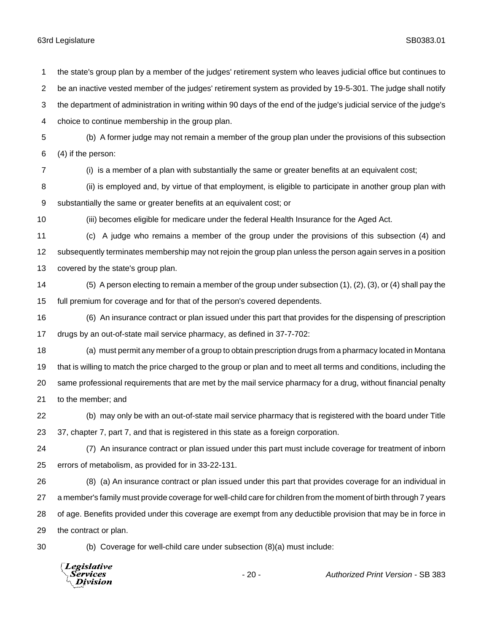choice to continue membership in the group plan. (b) A former judge may not remain a member of the group plan under the provisions of this subsection (4) if the person: (i) is a member of a plan with substantially the same or greater benefits at an equivalent cost; (ii) is employed and, by virtue of that employment, is eligible to participate in another group plan with substantially the same or greater benefits at an equivalent cost; or (iii) becomes eligible for medicare under the federal Health Insurance for the Aged Act. (c) A judge who remains a member of the group under the provisions of this subsection (4) and subsequently terminates membership may not rejoin the group plan unless the person again serves in a position covered by the state's group plan. (5) A person electing to remain a member of the group under subsection (1), (2), (3), or (4) shall pay the full premium for coverage and for that of the person's covered dependents. (6) An insurance contract or plan issued under this part that provides for the dispensing of prescription drugs by an out-of-state mail service pharmacy, as defined in 37-7-702: (a) must permit any member of a group to obtain prescription drugs from a pharmacy located in Montana that is willing to match the price charged to the group or plan and to meet all terms and conditions, including the same professional requirements that are met by the mail service pharmacy for a drug, without financial penalty to the member; and (b) may only be with an out-of-state mail service pharmacy that is registered with the board under Title 37, chapter 7, part 7, and that is registered in this state as a foreign corporation. (7) An insurance contract or plan issued under this part must include coverage for treatment of inborn errors of metabolism, as provided for in 33-22-131. (8) (a) An insurance contract or plan issued under this part that provides coverage for an individual in a member's family must provide coverage for well-child care for children from the moment of birth through 7 years of age. Benefits provided under this coverage are exempt from any deductible provision that may be in force in the contract or plan. (b) Coverage for well-child care under subsection (8)(a) must include: Legislative Services - 20 - *Authorized Print Version* - SB 383**Division** 

the state's group plan by a member of the judges' retirement system who leaves judicial office but continues to

be an inactive vested member of the judges' retirement system as provided by 19-5-301. The judge shall notify

the department of administration in writing within 90 days of the end of the judge's judicial service of the judge's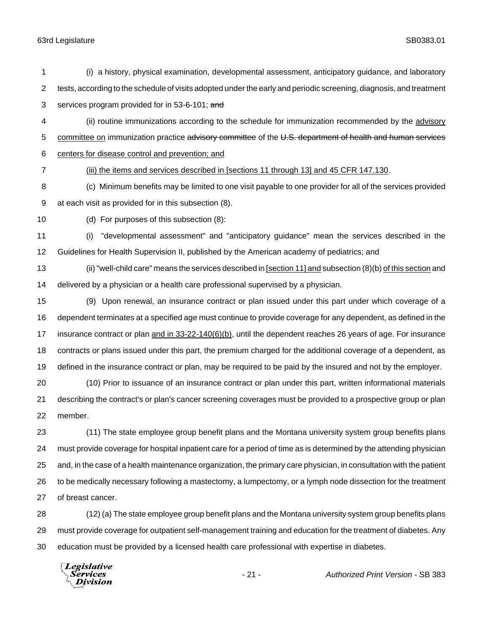| 1              | (i) a history, physical examination, developmental assessment, anticipatory guidance, and laboratory                        |  |  |
|----------------|-----------------------------------------------------------------------------------------------------------------------------|--|--|
| $\overline{2}$ | tests, according to the schedule of visits adopted under the early and periodic screening, diagnosis, and treatment         |  |  |
| 3              | services program provided for in 53-6-101; and                                                                              |  |  |
| 4              | (ii) routine immunizations according to the schedule for immunization recommended by the advisory                           |  |  |
| 5              | committee on immunization practice advisory committee of the U.S. department of health and human services                   |  |  |
| 6              | centers for disease control and prevention; and                                                                             |  |  |
| $\overline{7}$ | (iii) the items and services described in [sections 11 through 13] and 45 CFR 147.130.                                      |  |  |
| 8              | (c) Minimum benefits may be limited to one visit payable to one provider for all of the services provided                   |  |  |
| 9              | at each visit as provided for in this subsection (8).                                                                       |  |  |
| 10             | (d) For purposes of this subsection (8):                                                                                    |  |  |
| 11             | "developmental assessment" and "anticipatory guidance" mean the services described in the<br>(i)                            |  |  |
| 12             | Guidelines for Health Supervision II, published by the American academy of pediatrics; and                                  |  |  |
| 13             | (ii) "well-child care" means the services described in [section 11] and subsection (8)(b) of this section and               |  |  |
| 14             | delivered by a physician or a health care professional supervised by a physician.                                           |  |  |
| 15             | (9) Upon renewal, an insurance contract or plan issued under this part under which coverage of a                            |  |  |
| 16             | dependent terminates at a specified age must continue to provide coverage for any dependent, as defined in the              |  |  |
| 17             | insurance contract or plan $\frac{1}{2}$ and in 33-22-140(6)(b), until the dependent reaches 26 years of age. For insurance |  |  |
| 18             | contracts or plans issued under this part, the premium charged for the additional coverage of a dependent, as               |  |  |
| 19             | defined in the insurance contract or plan, may be required to be paid by the insured and not by the employer.               |  |  |
| 20             | (10) Prior to issuance of an insurance contract or plan under this part, written informational materials                    |  |  |
| 21             | describing the contract's or plan's cancer screening coverages must be provided to a prospective group or plan              |  |  |
| 22             | member.                                                                                                                     |  |  |
| 23             | (11) The state employee group benefit plans and the Montana university system group benefits plans                          |  |  |
| 24             | must provide coverage for hospital inpatient care for a period of time as is determined by the attending physician          |  |  |
| 25             | and, in the case of a health maintenance organization, the primary care physician, in consultation with the patient         |  |  |
| 26             | to be medically necessary following a mastectomy, a lumpectomy, or a lymph node dissection for the treatment                |  |  |
| 27             | of breast cancer.                                                                                                           |  |  |
| 28             | (12) (a) The state employee group benefit plans and the Montana university system group benefits plans                      |  |  |
| 29             | must provide coverage for outpatient self-management training and education for the treatment of diabetes. Any              |  |  |

education must be provided by a licensed health care professional with expertise in diabetes.

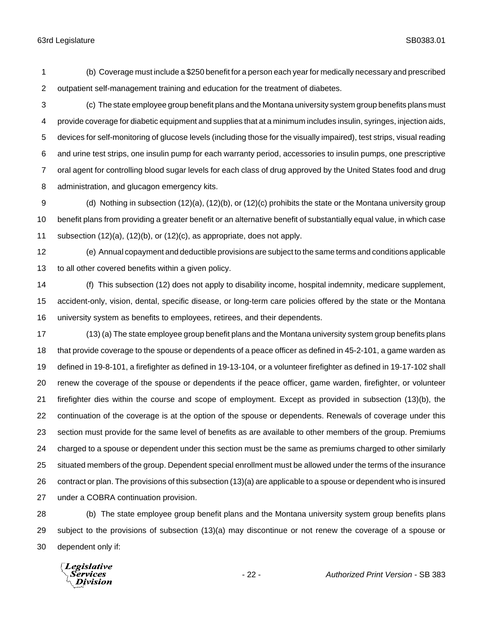(b) Coverage must include a \$250 benefit for a person each year for medically necessary and prescribed outpatient self-management training and education for the treatment of diabetes.

 (c) The state employee group benefit plans and the Montana university system group benefits plans must provide coverage for diabetic equipment and supplies that at a minimum includes insulin, syringes, injection aids, devices for self-monitoring of glucose levels (including those for the visually impaired), test strips, visual reading and urine test strips, one insulin pump for each warranty period, accessories to insulin pumps, one prescriptive oral agent for controlling blood sugar levels for each class of drug approved by the United States food and drug administration, and glucagon emergency kits.

 (d) Nothing in subsection (12)(a), (12)(b), or (12)(c) prohibits the state or the Montana university group benefit plans from providing a greater benefit or an alternative benefit of substantially equal value, in which case subsection (12)(a), (12)(b), or (12)(c), as appropriate, does not apply.

 (e) Annual copayment and deductible provisions are subject to the same terms and conditions applicable to all other covered benefits within a given policy.

 (f) This subsection (12) does not apply to disability income, hospital indemnity, medicare supplement, accident-only, vision, dental, specific disease, or long-term care policies offered by the state or the Montana university system as benefits to employees, retirees, and their dependents.

 (13) (a) The state employee group benefit plans and the Montana university system group benefits plans that provide coverage to the spouse or dependents of a peace officer as defined in 45-2-101, a game warden as defined in 19-8-101, a firefighter as defined in 19-13-104, or a volunteer firefighter as defined in 19-17-102 shall renew the coverage of the spouse or dependents if the peace officer, game warden, firefighter, or volunteer firefighter dies within the course and scope of employment. Except as provided in subsection (13)(b), the continuation of the coverage is at the option of the spouse or dependents. Renewals of coverage under this section must provide for the same level of benefits as are available to other members of the group. Premiums charged to a spouse or dependent under this section must be the same as premiums charged to other similarly situated members of the group. Dependent special enrollment must be allowed under the terms of the insurance contract or plan. The provisions of this subsection (13)(a) are applicable to a spouse or dependent who is insured under a COBRA continuation provision.

 (b) The state employee group benefit plans and the Montana university system group benefits plans subject to the provisions of subsection (13)(a) may discontinue or not renew the coverage of a spouse or dependent only if:

Legislative Services Division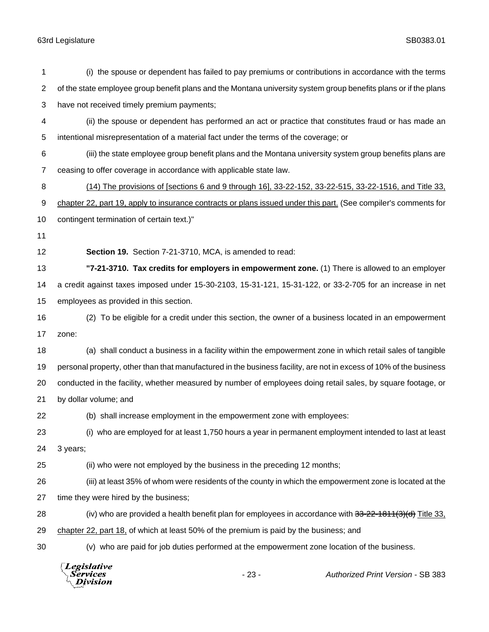| 1  | (i) the spouse or dependent has failed to pay premiums or contributions in accordance with the terms               |  |  |  |
|----|--------------------------------------------------------------------------------------------------------------------|--|--|--|
| 2  | of the state employee group benefit plans and the Montana university system group benefits plans or if the plans   |  |  |  |
| 3  | have not received timely premium payments;                                                                         |  |  |  |
| 4  | (ii) the spouse or dependent has performed an act or practice that constitutes fraud or has made an                |  |  |  |
| 5  | intentional misrepresentation of a material fact under the terms of the coverage; or                               |  |  |  |
| 6  | (iii) the state employee group benefit plans and the Montana university system group benefits plans are            |  |  |  |
| 7  | ceasing to offer coverage in accordance with applicable state law.                                                 |  |  |  |
| 8  | (14) The provisions of [sections 6 and 9 through 16], 33-22-152, 33-22-515, 33-22-1516, and Title 33,              |  |  |  |
| 9  | chapter 22, part 19, apply to insurance contracts or plans issued under this part. (See compiler's comments for    |  |  |  |
| 10 | contingent termination of certain text.)"                                                                          |  |  |  |
| 11 |                                                                                                                    |  |  |  |
| 12 | Section 19. Section 7-21-3710, MCA, is amended to read:                                                            |  |  |  |
| 13 | "7-21-3710. Tax credits for employers in empowerment zone. (1) There is allowed to an employer                     |  |  |  |
| 14 | a credit against taxes imposed under 15-30-2103, 15-31-121, 15-31-122, or 33-2-705 for an increase in net          |  |  |  |
| 15 | employees as provided in this section.                                                                             |  |  |  |
| 16 | (2) To be eligible for a credit under this section, the owner of a business located in an empowerment              |  |  |  |
| 17 | zone:                                                                                                              |  |  |  |
| 18 | (a) shall conduct a business in a facility within the empowerment zone in which retail sales of tangible           |  |  |  |
| 19 | personal property, other than that manufactured in the business facility, are not in excess of 10% of the business |  |  |  |
| 20 | conducted in the facility, whether measured by number of employees doing retail sales, by square footage, or       |  |  |  |
| 21 | by dollar volume; and                                                                                              |  |  |  |
| 22 | (b) shall increase employment in the empowerment zone with employees:                                              |  |  |  |
| 23 | (i) who are employed for at least 1,750 hours a year in permanent employment intended to last at least             |  |  |  |
| 24 | 3 years;                                                                                                           |  |  |  |
| 25 | (ii) who were not employed by the business in the preceding 12 months;                                             |  |  |  |
| 26 | (iii) at least 35% of whom were residents of the county in which the empowerment zone is located at the            |  |  |  |
| 27 | time they were hired by the business;                                                                              |  |  |  |
| 28 | (iv) who are provided a health benefit plan for employees in accordance with $33-22-1811(3)(d)$ Title 33,          |  |  |  |
| 29 | chapter 22, part $18$ , of which at least 50% of the premium is paid by the business; and                          |  |  |  |
| 30 | (v) who are paid for job duties performed at the empowerment zone location of the business.                        |  |  |  |
|    | Legislative<br>$-23-$<br>Authorized Print Version - SB 383<br>Division                                             |  |  |  |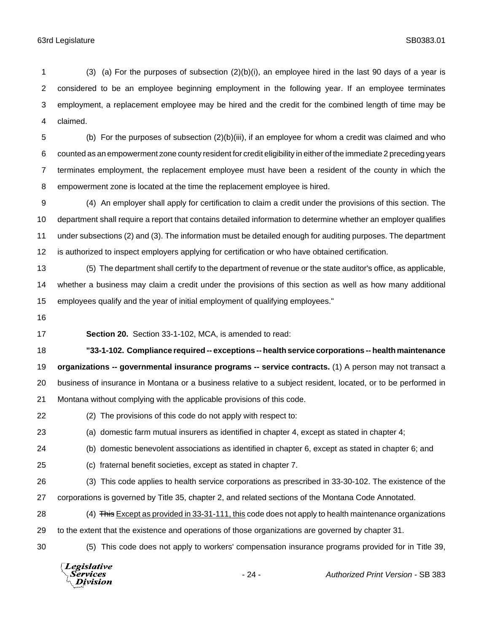(3) (a) For the purposes of subsection (2)(b)(i), an employee hired in the last 90 days of a year is considered to be an employee beginning employment in the following year. If an employee terminates employment, a replacement employee may be hired and the credit for the combined length of time may be claimed.

 (b) For the purposes of subsection (2)(b)(iii), if an employee for whom a credit was claimed and who counted as an empowerment zone county resident for credit eligibility in either of the immediate 2 preceding years terminates employment, the replacement employee must have been a resident of the county in which the empowerment zone is located at the time the replacement employee is hired.

 (4) An employer shall apply for certification to claim a credit under the provisions of this section. The department shall require a report that contains detailed information to determine whether an employer qualifies under subsections (2) and (3). The information must be detailed enough for auditing purposes. The department is authorized to inspect employers applying for certification or who have obtained certification.

 (5) The department shall certify to the department of revenue or the state auditor's office, as applicable, whether a business may claim a credit under the provisions of this section as well as how many additional employees qualify and the year of initial employment of qualifying employees."

**Section 20.** Section 33-1-102, MCA, is amended to read:

 **"33-1-102. Compliance required -- exceptions -- health service corporations -- health maintenance organizations -- governmental insurance programs -- service contracts.** (1) A person may not transact a business of insurance in Montana or a business relative to a subject resident, located, or to be performed in Montana without complying with the applicable provisions of this code.

(2) The provisions of this code do not apply with respect to:

(a) domestic farm mutual insurers as identified in chapter 4, except as stated in chapter 4;

(b) domestic benevolent associations as identified in chapter 6, except as stated in chapter 6; and

(c) fraternal benefit societies, except as stated in chapter 7.

 (3) This code applies to health service corporations as prescribed in 33-30-102. The existence of the corporations is governed by Title 35, chapter 2, and related sections of the Montana Code Annotated.

28 (4) This Except as provided in 33-31-111, this code does not apply to health maintenance organizations to the extent that the existence and operations of those organizations are governed by chapter 31.

(5) This code does not apply to workers' compensation insurance programs provided for in Title 39,

Legislative Services **Division**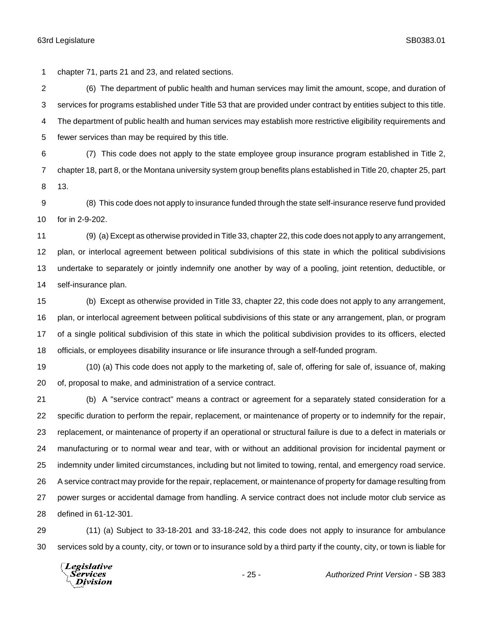chapter 71, parts 21 and 23, and related sections.

 (6) The department of public health and human services may limit the amount, scope, and duration of services for programs established under Title 53 that are provided under contract by entities subject to this title. The department of public health and human services may establish more restrictive eligibility requirements and fewer services than may be required by this title.

 (7) This code does not apply to the state employee group insurance program established in Title 2, chapter 18, part 8, or the Montana university system group benefits plans established in Title 20, chapter 25, part 13.

 (8) This code does not apply to insurance funded through the state self-insurance reserve fund provided for in 2-9-202.

 (9) (a) Except as otherwise provided in Title 33, chapter 22, this code does not apply to any arrangement, plan, or interlocal agreement between political subdivisions of this state in which the political subdivisions undertake to separately or jointly indemnify one another by way of a pooling, joint retention, deductible, or self-insurance plan.

 (b) Except as otherwise provided in Title 33, chapter 22, this code does not apply to any arrangement, plan, or interlocal agreement between political subdivisions of this state or any arrangement, plan, or program of a single political subdivision of this state in which the political subdivision provides to its officers, elected officials, or employees disability insurance or life insurance through a self-funded program.

 (10) (a) This code does not apply to the marketing of, sale of, offering for sale of, issuance of, making of, proposal to make, and administration of a service contract.

 (b) A "service contract" means a contract or agreement for a separately stated consideration for a specific duration to perform the repair, replacement, or maintenance of property or to indemnify for the repair, replacement, or maintenance of property if an operational or structural failure is due to a defect in materials or manufacturing or to normal wear and tear, with or without an additional provision for incidental payment or indemnity under limited circumstances, including but not limited to towing, rental, and emergency road service. A service contract may provide for the repair, replacement, or maintenance of property for damage resulting from power surges or accidental damage from handling. A service contract does not include motor club service as defined in 61-12-301.

 (11) (a) Subject to 33-18-201 and 33-18-242, this code does not apply to insurance for ambulance services sold by a county, city, or town or to insurance sold by a third party if the county, city, or town is liable for

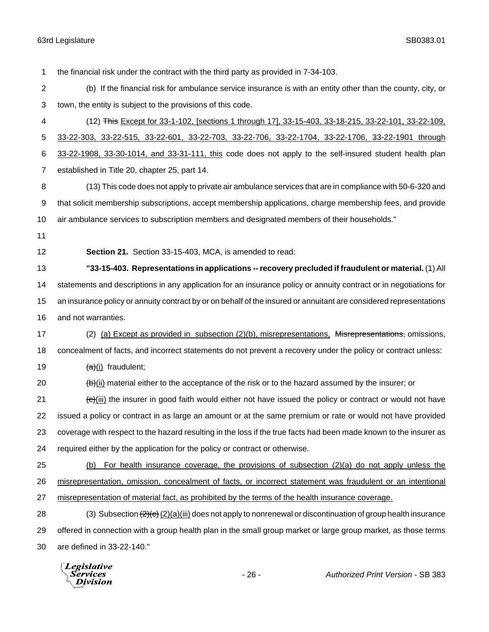the financial risk under the contract with the third party as provided in 7-34-103. (b) If the financial risk for ambulance service insurance is with an entity other than the county, city, or town, the entity is subject to the provisions of this code. (12) This Except for 33-1-102, [sections 1 through 17], 33-15-403, 33-18-215, 33-22-101, 33-22-109, 33-22-303, 33-22-515, 33-22-601, 33-22-703, 33-22-706, 33-22-1704, 33-22-1706, 33-22-1901 through 33-22-1908, 33-30-1014, and 33-31-111, this code does not apply to the self-insured student health plan established in Title 20, chapter 25, part 14. (13) This code does not apply to private air ambulance services that are in compliance with 50-6-320 and that solicit membership subscriptions, accept membership applications, charge membership fees, and provide air ambulance services to subscription members and designated members of their households." **Section 21.** Section 33-15-403, MCA, is amended to read: **"33-15-403. Representations in applications -- recovery precluded if fraudulent or material.** (1) All statements and descriptions in any application for an insurance policy or annuity contract or in negotiations for an insurance policy or annuity contract by or on behalf of the insured or annuitant are considered representations and not warranties. 17 (2) (a) Except as provided in subsection (2)(b), misrepresentations, Misrepresentations, omissions, concealment of facts, and incorrect statements do not prevent a recovery under the policy or contract unless:  $\frac{1}{(a)}$  (i) fraudulent;  $\left(\frac{b}{b}\right)$  (ii) material either to the acceptance of the risk or to the hazard assumed by the insurer; or  $\left(\frac{e}{i}\right)$  (iii) the insurer in good faith would either not have issued the policy or contract or would not have issued a policy or contract in as large an amount or at the same premium or rate or would not have provided coverage with respect to the hazard resulting in the loss if the true facts had been made known to the insurer as required either by the application for the policy or contract or otherwise. (b) For health insurance coverage, the provisions of subsection (2)(a) do not apply unless the misrepresentation, omission, concealment of facts, or incorrect statement was fraudulent or an intentional misrepresentation of material fact, as prohibited by the terms of the health insurance coverage. 28 (3) Subsection  $\left(\frac{2}{c}\right)$  (2)(a)(iii) does not apply to nonrenewal or discontinuation of group health insurance offered in connection with a group health plan in the small group market or large group market, as those terms are defined in 33-22-140."

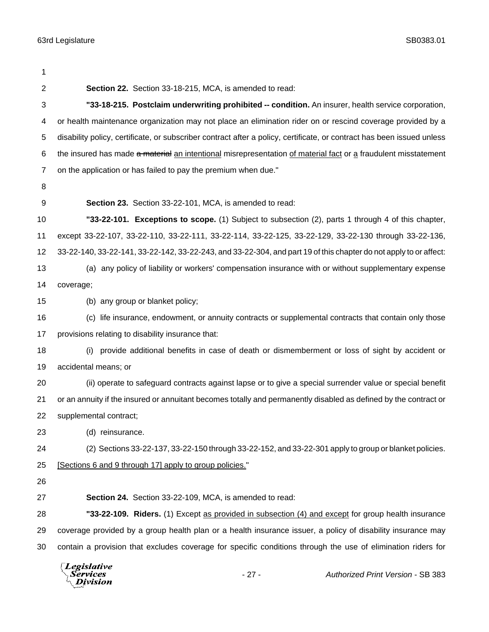| 1              |                                                                                                                        |  |  |
|----------------|------------------------------------------------------------------------------------------------------------------------|--|--|
| $\overline{2}$ | Section 22. Section 33-18-215, MCA, is amended to read:                                                                |  |  |
| 3              | "33-18-215. Postclaim underwriting prohibited -- condition. An insurer, health service corporation,                    |  |  |
| 4              | or health maintenance organization may not place an elimination rider on or rescind coverage provided by a             |  |  |
| 5              | disability policy, certificate, or subscriber contract after a policy, certificate, or contract has been issued unless |  |  |
| 6              | the insured has made a material an intentional misrepresentation of material fact or a fraudulent misstatement         |  |  |
| $\overline{7}$ | on the application or has failed to pay the premium when due."                                                         |  |  |
| 8              |                                                                                                                        |  |  |
| 9              | Section 23. Section 33-22-101, MCA, is amended to read:                                                                |  |  |
| 10             | "33-22-101. Exceptions to scope. (1) Subject to subsection (2), parts 1 through 4 of this chapter,                     |  |  |
| 11             | except 33-22-107, 33-22-110, 33-22-111, 33-22-114, 33-22-125, 33-22-129, 33-22-130 through 33-22-136,                  |  |  |
| 12             | 33-22-140, 33-22-141, 33-22-142, 33-22-243, and 33-22-304, and part 19 of this chapter do not apply to or affect:      |  |  |
| 13             | (a) any policy of liability or workers' compensation insurance with or without supplementary expense                   |  |  |
| 14             | coverage;                                                                                                              |  |  |
| 15             | (b) any group or blanket policy;                                                                                       |  |  |
| 16             | (c) life insurance, endowment, or annuity contracts or supplemental contracts that contain only those                  |  |  |
| 17             | provisions relating to disability insurance that:                                                                      |  |  |
| 18             | provide additional benefits in case of death or dismemberment or loss of sight by accident or<br>(i)                   |  |  |
| 19             | accidental means; or                                                                                                   |  |  |
| 20             | (ii) operate to safeguard contracts against lapse or to give a special surrender value or special benefit              |  |  |
| 21             | or an annuity if the insured or annuitant becomes totally and permanently disabled as defined by the contract or       |  |  |
| 22             | supplemental contract;                                                                                                 |  |  |
| 23             | (d) reinsurance.                                                                                                       |  |  |
| 24             | (2) Sections 33-22-137, 33-22-150 through 33-22-152, and 33-22-301 apply to group or blanket policies.                 |  |  |
| 25             | [Sections 6 and 9 through 17] apply to group policies."                                                                |  |  |
| 26             |                                                                                                                        |  |  |
| 27             | Section 24. Section 33-22-109, MCA, is amended to read:                                                                |  |  |
| 28             | "33-22-109. Riders. (1) Except as provided in subsection (4) and except for group health insurance                     |  |  |
| 29             | coverage provided by a group health plan or a health insurance issuer, a policy of disability insurance may            |  |  |
| 30             | contain a provision that excludes coverage for specific conditions through the use of elimination riders for           |  |  |
|                | <i>Legislative</i>                                                                                                     |  |  |

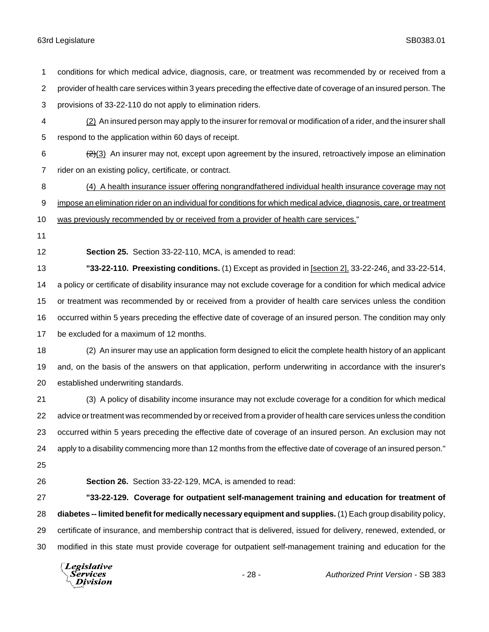conditions for which medical advice, diagnosis, care, or treatment was recommended by or received from a provider of health care services within 3 years preceding the effective date of coverage of an insured person. The provisions of 33-22-110 do not apply to elimination riders. (2) An insured person may apply to the insurer for removal or modification of a rider, and the insurer shall respond to the application within 60 days of receipt.  $\frac{2}{2}(3)$  An insurer may not, except upon agreement by the insured, retroactively impose an elimination rider on an existing policy, certificate, or contract. (4) A health insurance issuer offering nongrandfathered individual health insurance coverage may not impose an elimination rider on an individual for conditions for which medical advice, diagnosis, care, or treatment was previously recommended by or received from a provider of health care services." **Section 25.** Section 33-22-110, MCA, is amended to read: **"33-22-110. Preexisting conditions.** (1) Except as provided in [section 2], 33-22-246, and 33-22-514, a policy or certificate of disability insurance may not exclude coverage for a condition for which medical advice or treatment was recommended by or received from a provider of health care services unless the condition occurred within 5 years preceding the effective date of coverage of an insured person. The condition may only be excluded for a maximum of 12 months. (2) An insurer may use an application form designed to elicit the complete health history of an applicant and, on the basis of the answers on that application, perform underwriting in accordance with the insurer's established underwriting standards. (3) A policy of disability income insurance may not exclude coverage for a condition for which medical advice or treatment was recommended by or received from a provider of health care services unless the condition occurred within 5 years preceding the effective date of coverage of an insured person. An exclusion may not apply to a disability commencing more than 12 months from the effective date of coverage of an insured person." **Section 26.** Section 33-22-129, MCA, is amended to read: **"33-22-129. Coverage for outpatient self-management training and education for treatment of diabetes -- limited benefit for medically necessary equipment and supplies.** (1) Each group disability policy, certificate of insurance, and membership contract that is delivered, issued for delivery, renewed, extended, or modified in this state must provide coverage for outpatient self-management training and education for the **Legislative** Services - 28 - *Authorized Print Version* - SB 383Division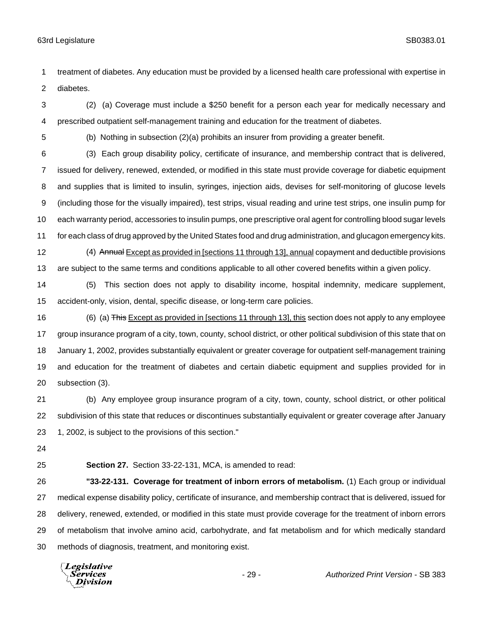treatment of diabetes. Any education must be provided by a licensed health care professional with expertise in diabetes.

 (2) (a) Coverage must include a \$250 benefit for a person each year for medically necessary and prescribed outpatient self-management training and education for the treatment of diabetes.

(b) Nothing in subsection (2)(a) prohibits an insurer from providing a greater benefit.

 (3) Each group disability policy, certificate of insurance, and membership contract that is delivered, issued for delivery, renewed, extended, or modified in this state must provide coverage for diabetic equipment and supplies that is limited to insulin, syringes, injection aids, devises for self-monitoring of glucose levels (including those for the visually impaired), test strips, visual reading and urine test strips, one insulin pump for each warranty period, accessories to insulin pumps, one prescriptive oral agent for controlling blood sugar levels for each class of drug approved by the United States food and drug administration, and glucagon emergency kits.

12 (4) Annual Except as provided in [sections 11 through 13], annual copayment and deductible provisions are subject to the same terms and conditions applicable to all other covered benefits within a given policy.

 (5) This section does not apply to disability income, hospital indemnity, medicare supplement, accident-only, vision, dental, specific disease, or long-term care policies.

16 (6) (a) This Except as provided in [sections 11 through 13], this section does not apply to any employee group insurance program of a city, town, county, school district, or other political subdivision of this state that on January 1, 2002, provides substantially equivalent or greater coverage for outpatient self-management training and education for the treatment of diabetes and certain diabetic equipment and supplies provided for in subsection (3).

 (b) Any employee group insurance program of a city, town, county, school district, or other political subdivision of this state that reduces or discontinues substantially equivalent or greater coverage after January 1, 2002, is subject to the provisions of this section."

**Section 27.** Section 33-22-131, MCA, is amended to read:

 **"33-22-131. Coverage for treatment of inborn errors of metabolism.** (1) Each group or individual medical expense disability policy, certificate of insurance, and membership contract that is delivered, issued for delivery, renewed, extended, or modified in this state must provide coverage for the treatment of inborn errors of metabolism that involve amino acid, carbohydrate, and fat metabolism and for which medically standard methods of diagnosis, treatment, and monitoring exist.

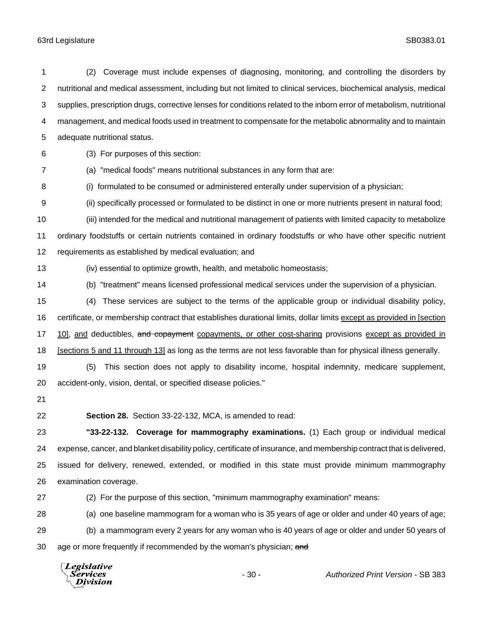(2) Coverage must include expenses of diagnosing, monitoring, and controlling the disorders by nutritional and medical assessment, including but not limited to clinical services, biochemical analysis, medical supplies, prescription drugs, corrective lenses for conditions related to the inborn error of metabolism, nutritional management, and medical foods used in treatment to compensate for the metabolic abnormality and to maintain adequate nutritional status. (3) For purposes of this section: (a) "medical foods" means nutritional substances in any form that are: (i) formulated to be consumed or administered enterally under supervision of a physician; (ii) specifically processed or formulated to be distinct in one or more nutrients present in natural food; (iii) intended for the medical and nutritional management of patients with limited capacity to metabolize ordinary foodstuffs or certain nutrients contained in ordinary foodstuffs or who have other specific nutrient requirements as established by medical evaluation; and (iv) essential to optimize growth, health, and metabolic homeostasis; (b) "treatment" means licensed professional medical services under the supervision of a physician. (4) These services are subject to the terms of the applicable group or individual disability policy, certificate, or membership contract that establishes durational limits, dollar limits except as provided in [section 17 10], and deductibles, and copayment copayments, or other cost-sharing provisions except as provided in 18 [sections 5 and 11 through 13] as long as the terms are not less favorable than for physical illness generally. (5) This section does not apply to disability income, hospital indemnity, medicare supplement, accident-only, vision, dental, or specified disease policies." **Section 28.** Section 33-22-132, MCA, is amended to read: **"33-22-132. Coverage for mammography examinations.** (1) Each group or individual medical expense, cancer, and blanket disability policy, certificate of insurance, and membership contract that is delivered, issued for delivery, renewed, extended, or modified in this state must provide minimum mammography examination coverage. (2) For the purpose of this section, "minimum mammography examination" means: (a) one baseline mammogram for a woman who is 35 years of age or older and under 40 years of age; (b) a mammogram every 2 years for any woman who is 40 years of age or older and under 50 years of 30 age or more frequently if recommended by the woman's physician; and

Legislative Services Division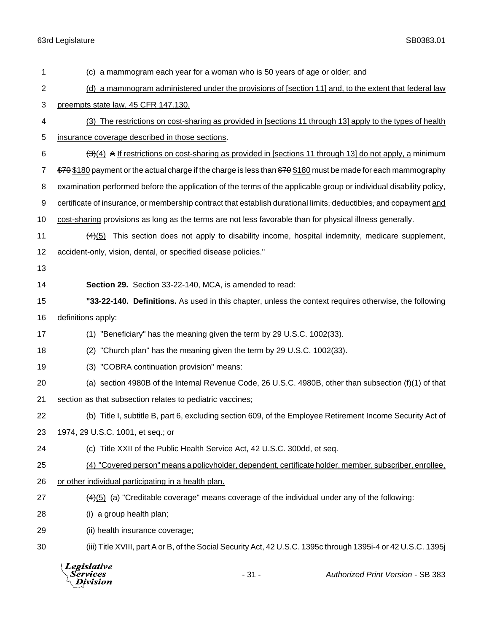| 1              | (c) a mammogram each year for a woman who is 50 years of age or older; and                                                         |  |  |  |
|----------------|------------------------------------------------------------------------------------------------------------------------------------|--|--|--|
| $\overline{c}$ | (d) a mammogram administered under the provisions of [section 11] and, to the extent that federal law                              |  |  |  |
| 3              | preempts state law, 45 CFR 147.130.                                                                                                |  |  |  |
| 4              | (3) The restrictions on cost-sharing as provided in [sections 11 through 13] apply to the types of health                          |  |  |  |
| 5              | insurance coverage described in those sections.                                                                                    |  |  |  |
| 6              | $\frac{(\exists)(4)}{(\exists)}$ A If restrictions on cost-sharing as provided in [sections 11 through 13] do not apply, a minimum |  |  |  |
| $\overline{7}$ | \$70\$180 payment or the actual charge if the charge is less than \$70\$180 must be made for each mammography                      |  |  |  |
| 8              | examination performed before the application of the terms of the applicable group or individual disability policy,                 |  |  |  |
| 9              | certificate of insurance, or membership contract that establish durational limits <del>, deductibles, and copayment</del> and      |  |  |  |
| 10             | cost-sharing provisions as long as the terms are not less favorable than for physical illness generally.                           |  |  |  |
| 11             | $(4)(5)$ This section does not apply to disability income, hospital indemnity, medicare supplement,                                |  |  |  |
| 12             | accident-only, vision, dental, or specified disease policies."                                                                     |  |  |  |
| 13             |                                                                                                                                    |  |  |  |
| 14             | Section 29. Section 33-22-140, MCA, is amended to read:                                                                            |  |  |  |
| 15             | "33-22-140. Definitions. As used in this chapter, unless the context requires otherwise, the following                             |  |  |  |
| 16             | definitions apply:                                                                                                                 |  |  |  |
| 17             | (1) "Beneficiary" has the meaning given the term by 29 U.S.C. 1002(33).                                                            |  |  |  |
| 18             | "Church plan" has the meaning given the term by 29 U.S.C. 1002(33).<br>(2)                                                         |  |  |  |
| 19             | (3) "COBRA continuation provision" means:                                                                                          |  |  |  |
| 20             | (a) section 4980B of the Internal Revenue Code, 26 U.S.C. 4980B, other than subsection $(f)(1)$ of that                            |  |  |  |
| 21             | section as that subsection relates to pediatric vaccines;                                                                          |  |  |  |
| 22             | (b) Title I, subtitle B, part 6, excluding section 609, of the Employee Retirement Income Security Act of                          |  |  |  |
| 23             | 1974, 29 U.S.C. 1001, et seq.; or                                                                                                  |  |  |  |
| 24             | (c) Title XXII of the Public Health Service Act, 42 U.S.C. 300dd, et seq.                                                          |  |  |  |
| 25             | (4) "Covered person" means a policyholder, dependent, certificate holder, member, subscriber, enrollee,                            |  |  |  |
| 26             | or other individual participating in a health plan.                                                                                |  |  |  |
| 27             | $\frac{44}{5}$ (a) "Creditable coverage" means coverage of the individual under any of the following:                              |  |  |  |
| 28             | (i) a group health plan;                                                                                                           |  |  |  |
| 29             | (ii) health insurance coverage;                                                                                                    |  |  |  |
| 30             | (iii) Title XVIII, part A or B, of the Social Security Act, 42 U.S.C. 1395c through 1395i-4 or 42 U.S.C. 1395j                     |  |  |  |
|                | <b>Legislative</b><br>$-31-$<br>Authorized Print Version - SB 383<br>Services<br>Division                                          |  |  |  |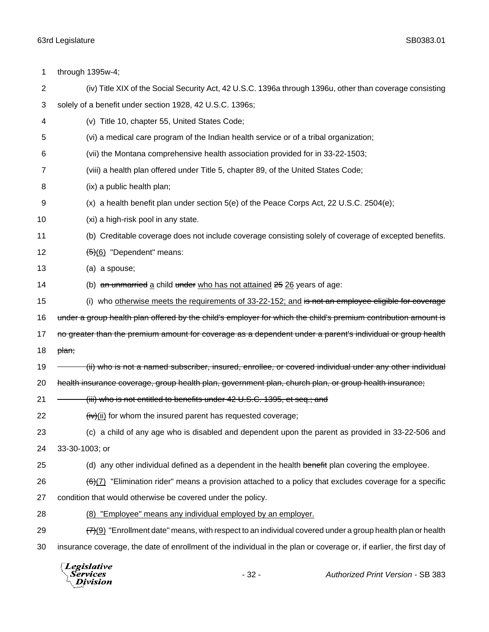| 1              | through 1395w-4;                                                                                                         |  |  |
|----------------|--------------------------------------------------------------------------------------------------------------------------|--|--|
| $\overline{c}$ | (iv) Title XIX of the Social Security Act, 42 U.S.C. 1396a through 1396u, other than coverage consisting                 |  |  |
| 3              | solely of a benefit under section 1928, 42 U.S.C. 1396s;                                                                 |  |  |
| 4              | (v) Title 10, chapter 55, United States Code;                                                                            |  |  |
| 5              | (vi) a medical care program of the Indian health service or of a tribal organization;                                    |  |  |
| 6              | (vii) the Montana comprehensive health association provided for in 33-22-1503;                                           |  |  |
| 7              | (viii) a health plan offered under Title 5, chapter 89, of the United States Code;                                       |  |  |
| 8              | (ix) a public health plan;                                                                                               |  |  |
| 9              | $(x)$ a health benefit plan under section $5(e)$ of the Peace Corps Act, 22 U.S.C. 2504 $(e)$ ;                          |  |  |
| 10             | (xi) a high-risk pool in any state.                                                                                      |  |  |
| 11             | (b) Creditable coverage does not include coverage consisting solely of coverage of excepted benefits.                    |  |  |
| 12             | $(5)(6)$ "Dependent" means:                                                                                              |  |  |
| 13             | (a) a spouse;                                                                                                            |  |  |
| 14             | (b) an unmarried a child under who has not attained 25 26 years of age:                                                  |  |  |
| 15             | (i) who otherwise meets the requirements of 33-22-152; and is not an employee eligible for coverage                      |  |  |
| 16             | under a group health plan offered by the child's employer for which the child's premium contribution amount is           |  |  |
| 17             | no greater than the premium amount for coverage as a dependent under a parent's individual or group health               |  |  |
| 18             | <del>plan;</del>                                                                                                         |  |  |
| 19             | ii) who is not a named subscriber, insured, enrollee, or covered individual under any other individual)                  |  |  |
| 20             | health insurance coverage, group health plan, government plan, church plan, or group health insurance;                   |  |  |
| 21             | (iii) who is not entitled to benefits under 42 U.S.C. 1395, et seq.; and                                                 |  |  |
| 22             | $f(x)$ (ii) for whom the insured parent has requested coverage;                                                          |  |  |
| 23             | (c) a child of any age who is disabled and dependent upon the parent as provided in 33-22-506 and                        |  |  |
| 24             | 33-30-1003; or                                                                                                           |  |  |
| 25             | (d) any other individual defined as a dependent in the health benefit plan covering the employee.                        |  |  |
| 26             | (6)(7) "Elimination rider" means a provision attached to a policy that excludes coverage for a specific                  |  |  |
| 27             | condition that would otherwise be covered under the policy.                                                              |  |  |
| 28             | (8) "Employee" means any individual employed by an employer.                                                             |  |  |
| 29             | $\frac{77(9)}{72(9)}$ "Enrollment date" means, with respect to an individual covered under a group health plan or health |  |  |
| 30             | insurance coverage, the date of enrollment of the individual in the plan or coverage or, if earlier, the first day of    |  |  |
|                |                                                                                                                          |  |  |

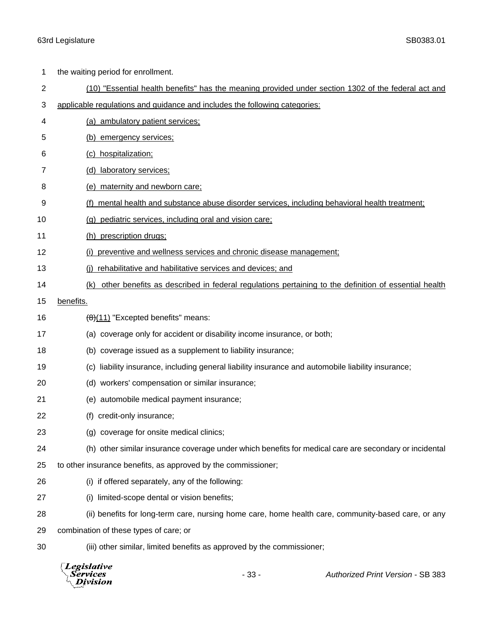| 1              | the waiting period for enrollment.                                                                         |                                                                        |  |  |
|----------------|------------------------------------------------------------------------------------------------------------|------------------------------------------------------------------------|--|--|
| $\overline{c}$ | (10) "Essential health benefits" has the meaning provided under section 1302 of the federal act and        |                                                                        |  |  |
| 3              | applicable regulations and guidance and includes the following categories:                                 |                                                                        |  |  |
| 4              | (a) ambulatory patient services;                                                                           |                                                                        |  |  |
| 5              | (b) emergency services;                                                                                    |                                                                        |  |  |
| 6              | (c) hospitalization;                                                                                       |                                                                        |  |  |
| 7              | (d) laboratory services;                                                                                   |                                                                        |  |  |
| 8              | maternity and newborn care;<br>(e)                                                                         |                                                                        |  |  |
| 9              | (f) mental health and substance abuse disorder services, including behavioral health treatment;            |                                                                        |  |  |
| 10             | (g) pediatric services, including oral and vision care;                                                    |                                                                        |  |  |
| 11             | (h) prescription drugs;                                                                                    |                                                                        |  |  |
| 12             |                                                                                                            | (i) preventive and wellness services and chronic disease management;   |  |  |
| 13             | (i) rehabilitative and habilitative services and devices; and                                              |                                                                        |  |  |
| 14             | other benefits as described in federal regulations pertaining to the definition of essential health<br>(k) |                                                                        |  |  |
| 15             | benefits.                                                                                                  |                                                                        |  |  |
| 16             | $\left(\frac{11}{2}\right)$ "Excepted benefits" means:                                                     |                                                                        |  |  |
| 17             | (a) coverage only for accident or disability income insurance, or both;                                    |                                                                        |  |  |
| 18             | (b) coverage issued as a supplement to liability insurance;                                                |                                                                        |  |  |
| 19             | liability insurance, including general liability insurance and automobile liability insurance;<br>(c)      |                                                                        |  |  |
| 20             | (d) workers' compensation or similar insurance;                                                            |                                                                        |  |  |
| 21             | (e) automobile medical payment insurance;                                                                  |                                                                        |  |  |
| 22             | (f) credit-only insurance;                                                                                 |                                                                        |  |  |
| 23             | (g) coverage for onsite medical clinics;                                                                   |                                                                        |  |  |
| 24             | (h) other similar insurance coverage under which benefits for medical care are secondary or incidental     |                                                                        |  |  |
| 25             | to other insurance benefits, as approved by the commissioner;                                              |                                                                        |  |  |
| 26             | (i) if offered separately, any of the following:                                                           |                                                                        |  |  |
| 27             | limited-scope dental or vision benefits;<br>(i)                                                            |                                                                        |  |  |
| 28             | (ii) benefits for long-term care, nursing home care, home health care, community-based care, or any        |                                                                        |  |  |
| 29             | combination of these types of care; or                                                                     |                                                                        |  |  |
| 30             |                                                                                                            | (iii) other similar, limited benefits as approved by the commissioner; |  |  |
|                | Legislative<br>Services<br>vision                                                                          | $-33-$<br>Authorized Print Version - SB 383                            |  |  |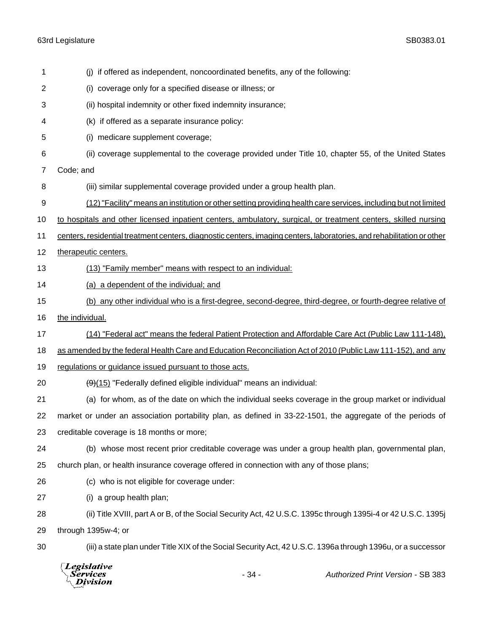| the individual.<br>regulations or guidance issued pursuant to those acts.<br>$\left(\frac{9}{15}\right)$ "Federally defined eligible individual" means an individual:<br>creditable coverage is 18 months or more;<br>(c) who is not eligible for coverage under:<br>(i) a group health plan;<br>through 1395w-4; or | (b) any other individual who is a first-degree, second-degree, third-degree, or fourth-degree relative of<br>(14) "Federal act" means the federal Patient Protection and Affordable Care Act (Public Law 111-148),<br>as amended by the federal Health Care and Education Reconciliation Act of 2010 (Public Law 111-152), and any<br>(a) for whom, as of the date on which the individual seeks coverage in the group market or individual<br>market or under an association portability plan, as defined in 33-22-1501, the aggregate of the periods of<br>(b) whose most recent prior creditable coverage was under a group health plan, governmental plan,<br>church plan, or health insurance coverage offered in connection with any of those plans;<br>(ii) Title XVIII, part A or B, of the Social Security Act, 42 U.S.C. 1395c through 1395i-4 or 42 U.S.C. 1395j<br>(iii) a state plan under Title XIX of the Social Security Act, 42 U.S.C. 1396a through 1396u, or a successor |  |  |  |
|----------------------------------------------------------------------------------------------------------------------------------------------------------------------------------------------------------------------------------------------------------------------------------------------------------------------|---------------------------------------------------------------------------------------------------------------------------------------------------------------------------------------------------------------------------------------------------------------------------------------------------------------------------------------------------------------------------------------------------------------------------------------------------------------------------------------------------------------------------------------------------------------------------------------------------------------------------------------------------------------------------------------------------------------------------------------------------------------------------------------------------------------------------------------------------------------------------------------------------------------------------------------------------------------------------------------------|--|--|--|
|                                                                                                                                                                                                                                                                                                                      |                                                                                                                                                                                                                                                                                                                                                                                                                                                                                                                                                                                                                                                                                                                                                                                                                                                                                                                                                                                             |  |  |  |
|                                                                                                                                                                                                                                                                                                                      |                                                                                                                                                                                                                                                                                                                                                                                                                                                                                                                                                                                                                                                                                                                                                                                                                                                                                                                                                                                             |  |  |  |
|                                                                                                                                                                                                                                                                                                                      |                                                                                                                                                                                                                                                                                                                                                                                                                                                                                                                                                                                                                                                                                                                                                                                                                                                                                                                                                                                             |  |  |  |
|                                                                                                                                                                                                                                                                                                                      |                                                                                                                                                                                                                                                                                                                                                                                                                                                                                                                                                                                                                                                                                                                                                                                                                                                                                                                                                                                             |  |  |  |
|                                                                                                                                                                                                                                                                                                                      |                                                                                                                                                                                                                                                                                                                                                                                                                                                                                                                                                                                                                                                                                                                                                                                                                                                                                                                                                                                             |  |  |  |
|                                                                                                                                                                                                                                                                                                                      |                                                                                                                                                                                                                                                                                                                                                                                                                                                                                                                                                                                                                                                                                                                                                                                                                                                                                                                                                                                             |  |  |  |
|                                                                                                                                                                                                                                                                                                                      |                                                                                                                                                                                                                                                                                                                                                                                                                                                                                                                                                                                                                                                                                                                                                                                                                                                                                                                                                                                             |  |  |  |
|                                                                                                                                                                                                                                                                                                                      |                                                                                                                                                                                                                                                                                                                                                                                                                                                                                                                                                                                                                                                                                                                                                                                                                                                                                                                                                                                             |  |  |  |
|                                                                                                                                                                                                                                                                                                                      |                                                                                                                                                                                                                                                                                                                                                                                                                                                                                                                                                                                                                                                                                                                                                                                                                                                                                                                                                                                             |  |  |  |
|                                                                                                                                                                                                                                                                                                                      |                                                                                                                                                                                                                                                                                                                                                                                                                                                                                                                                                                                                                                                                                                                                                                                                                                                                                                                                                                                             |  |  |  |
|                                                                                                                                                                                                                                                                                                                      |                                                                                                                                                                                                                                                                                                                                                                                                                                                                                                                                                                                                                                                                                                                                                                                                                                                                                                                                                                                             |  |  |  |
|                                                                                                                                                                                                                                                                                                                      |                                                                                                                                                                                                                                                                                                                                                                                                                                                                                                                                                                                                                                                                                                                                                                                                                                                                                                                                                                                             |  |  |  |
|                                                                                                                                                                                                                                                                                                                      |                                                                                                                                                                                                                                                                                                                                                                                                                                                                                                                                                                                                                                                                                                                                                                                                                                                                                                                                                                                             |  |  |  |
|                                                                                                                                                                                                                                                                                                                      |                                                                                                                                                                                                                                                                                                                                                                                                                                                                                                                                                                                                                                                                                                                                                                                                                                                                                                                                                                                             |  |  |  |
|                                                                                                                                                                                                                                                                                                                      |                                                                                                                                                                                                                                                                                                                                                                                                                                                                                                                                                                                                                                                                                                                                                                                                                                                                                                                                                                                             |  |  |  |
|                                                                                                                                                                                                                                                                                                                      |                                                                                                                                                                                                                                                                                                                                                                                                                                                                                                                                                                                                                                                                                                                                                                                                                                                                                                                                                                                             |  |  |  |
| 13<br>14<br>(a) a dependent of the individual; and                                                                                                                                                                                                                                                                   |                                                                                                                                                                                                                                                                                                                                                                                                                                                                                                                                                                                                                                                                                                                                                                                                                                                                                                                                                                                             |  |  |  |
| (13) "Family member" means with respect to an individual:                                                                                                                                                                                                                                                            |                                                                                                                                                                                                                                                                                                                                                                                                                                                                                                                                                                                                                                                                                                                                                                                                                                                                                                                                                                                             |  |  |  |
| 12<br>therapeutic centers.                                                                                                                                                                                                                                                                                           |                                                                                                                                                                                                                                                                                                                                                                                                                                                                                                                                                                                                                                                                                                                                                                                                                                                                                                                                                                                             |  |  |  |
| centers, residential treatment centers, diagnostic centers, imaging centers, laboratories, and rehabilitation or other                                                                                                                                                                                               |                                                                                                                                                                                                                                                                                                                                                                                                                                                                                                                                                                                                                                                                                                                                                                                                                                                                                                                                                                                             |  |  |  |
| to hospitals and other licensed inpatient centers, ambulatory, surgical, or treatment centers, skilled nursing                                                                                                                                                                                                       |                                                                                                                                                                                                                                                                                                                                                                                                                                                                                                                                                                                                                                                                                                                                                                                                                                                                                                                                                                                             |  |  |  |
| (12) "Facility" means an institution or other setting providing health care services, including but not limited                                                                                                                                                                                                      |                                                                                                                                                                                                                                                                                                                                                                                                                                                                                                                                                                                                                                                                                                                                                                                                                                                                                                                                                                                             |  |  |  |
| (iii) similar supplemental coverage provided under a group health plan.                                                                                                                                                                                                                                              |                                                                                                                                                                                                                                                                                                                                                                                                                                                                                                                                                                                                                                                                                                                                                                                                                                                                                                                                                                                             |  |  |  |
|                                                                                                                                                                                                                                                                                                                      |                                                                                                                                                                                                                                                                                                                                                                                                                                                                                                                                                                                                                                                                                                                                                                                                                                                                                                                                                                                             |  |  |  |
| (ii) coverage supplemental to the coverage provided under Title 10, chapter 55, of the United States                                                                                                                                                                                                                 |                                                                                                                                                                                                                                                                                                                                                                                                                                                                                                                                                                                                                                                                                                                                                                                                                                                                                                                                                                                             |  |  |  |
|                                                                                                                                                                                                                                                                                                                      |                                                                                                                                                                                                                                                                                                                                                                                                                                                                                                                                                                                                                                                                                                                                                                                                                                                                                                                                                                                             |  |  |  |
|                                                                                                                                                                                                                                                                                                                      |                                                                                                                                                                                                                                                                                                                                                                                                                                                                                                                                                                                                                                                                                                                                                                                                                                                                                                                                                                                             |  |  |  |
| (ii) hospital indemnity or other fixed indemnity insurance;                                                                                                                                                                                                                                                          |                                                                                                                                                                                                                                                                                                                                                                                                                                                                                                                                                                                                                                                                                                                                                                                                                                                                                                                                                                                             |  |  |  |
| (i) if offered as independent, noncoordinated benefits, any of the following:                                                                                                                                                                                                                                        |                                                                                                                                                                                                                                                                                                                                                                                                                                                                                                                                                                                                                                                                                                                                                                                                                                                                                                                                                                                             |  |  |  |
|                                                                                                                                                                                                                                                                                                                      | coverage only for a specified disease or illness; or<br>(i)<br>(k) if offered as a separate insurance policy:<br>(i) medicare supplement coverage;<br>Code; and                                                                                                                                                                                                                                                                                                                                                                                                                                                                                                                                                                                                                                                                                                                                                                                                                             |  |  |  |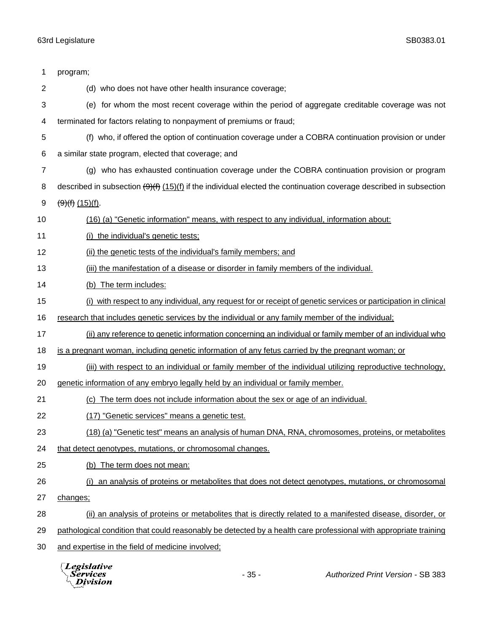| 1              | program;                                                                                                               |  |  |  |
|----------------|------------------------------------------------------------------------------------------------------------------------|--|--|--|
| $\overline{c}$ | (d) who does not have other health insurance coverage;                                                                 |  |  |  |
| 3              | (e) for whom the most recent coverage within the period of aggregate creditable coverage was not                       |  |  |  |
| 4              | terminated for factors relating to nonpayment of premiums or fraud;                                                    |  |  |  |
| 5              | (f) who, if offered the option of continuation coverage under a COBRA continuation provision or under                  |  |  |  |
| 6              | a similar state program, elected that coverage; and                                                                    |  |  |  |
| 7              | (g) who has exhausted continuation coverage under the COBRA continuation provision or program                          |  |  |  |
| 8              | described in subsection $(9)(f)$ $(15)(f)$ if the individual elected the continuation coverage described in subsection |  |  |  |
| 9              | $\left(\frac{9}{1}\right)$ (15)(f).                                                                                    |  |  |  |
| 10             | (16) (a) "Genetic information" means, with respect to any individual, information about:                               |  |  |  |
| 11             | (i) the individual's genetic tests;                                                                                    |  |  |  |
| 12             | (ii) the genetic tests of the individual's family members; and                                                         |  |  |  |
| 13             | (iii) the manifestation of a disease or disorder in family members of the individual.                                  |  |  |  |
| 14             | (b) The term includes:                                                                                                 |  |  |  |
| 15             | (i) with respect to any individual, any request for or receipt of genetic services or participation in clinical        |  |  |  |
| 16             | research that includes genetic services by the individual or any family member of the individual;                      |  |  |  |
| 17             | (ii) any reference to genetic information concerning an individual or family member of an individual who               |  |  |  |
| 18             | is a pregnant woman, including genetic information of any fetus carried by the pregnant woman; or                      |  |  |  |
| 19             | (iii) with respect to an individual or family member of the individual utilizing reproductive technology,              |  |  |  |
| 20             | genetic information of any embryo legally held by an individual or family member.                                      |  |  |  |
| 21             | (c) The term does not include information about the sex or age of an individual.                                       |  |  |  |
| 22             | (17) "Genetic services" means a genetic test.                                                                          |  |  |  |
| 23             | (18) (a) "Genetic test" means an analysis of human DNA, RNA, chromosomes, proteins, or metabolites                     |  |  |  |
| 24             | that detect genotypes, mutations, or chromosomal changes.                                                              |  |  |  |
| 25             | (b) The term does not mean:                                                                                            |  |  |  |
| 26             | (i) an analysis of proteins or metabolites that does not detect genotypes, mutations, or chromosomal                   |  |  |  |
| 27             | changes;                                                                                                               |  |  |  |
| 28             | (ii) an analysis of proteins or metabolites that is directly related to a manifested disease, disorder, or             |  |  |  |
| 29             | pathological condition that could reasonably be detected by a health care professional with appropriate training       |  |  |  |
| 30             | and expertise in the field of medicine involved;                                                                       |  |  |  |
|                | <b>Legislative</b><br>$-35-$<br><b>Authorized Print Version - SB 383</b><br>Services<br>Division                       |  |  |  |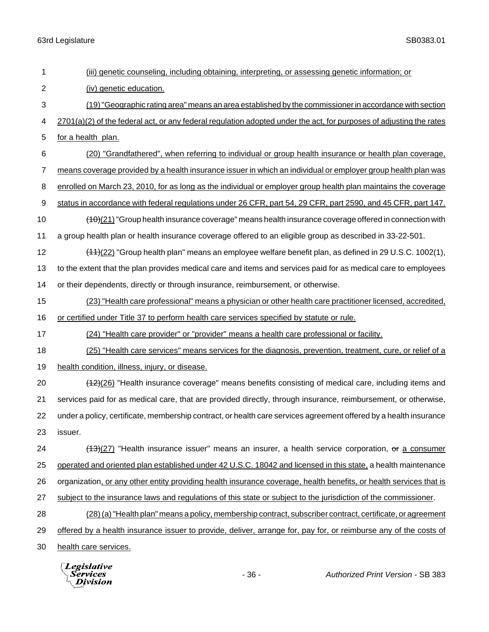|                | Legislative<br>Services<br>ivision                                                                                  | $-36-$ | Authorized Print Version - SB 383                                                                         |  |
|----------------|---------------------------------------------------------------------------------------------------------------------|--------|-----------------------------------------------------------------------------------------------------------|--|
| 30             | health care services.                                                                                               |        |                                                                                                           |  |
| 29             | offered by a health insurance issuer to provide, deliver, arrange for, pay for, or reimburse any of the costs of    |        |                                                                                                           |  |
| 28             | (28) (a) "Health plan" means a policy, membership contract, subscriber contract, certificate, or agreement          |        |                                                                                                           |  |
| 27             | subject to the insurance laws and regulations of this state or subject to the jurisdiction of the commissioner.     |        |                                                                                                           |  |
| 26             | organization, or any other entity providing health insurance coverage, health benefits, or health services that is  |        |                                                                                                           |  |
| 25             | operated and oriented plan established under 42 U.S.C. 18042 and licensed in this state, a health maintenance       |        |                                                                                                           |  |
| 24             |                                                                                                                     |        | $(13)(27)$ "Health insurance issuer" means an insurer, a health service corporation, or a consumer        |  |
| 23             | issuer.                                                                                                             |        |                                                                                                           |  |
| 22             | under a policy, certificate, membership contract, or health care services agreement offered by a health insurance   |        |                                                                                                           |  |
| 21             | services paid for as medical care, that are provided directly, through insurance, reimbursement, or otherwise,      |        |                                                                                                           |  |
| 20             |                                                                                                                     |        | $(12)(26)$ "Health insurance coverage" means benefits consisting of medical care, including items and     |  |
| 19             | health condition, illness, injury, or disease.                                                                      |        |                                                                                                           |  |
| 18             |                                                                                                                     |        | (25) "Health care services" means services for the diagnosis, prevention, treatment, cure, or relief of a |  |
| 17             | (24) "Health care provider" or "provider" means a health care professional or facility.                             |        |                                                                                                           |  |
| 16             | or certified under Title 37 to perform health care services specified by statute or rule.                           |        |                                                                                                           |  |
| 15             | (23) "Health care professional" means a physician or other health care practitioner licensed, accredited,           |        |                                                                                                           |  |
| 14             | or their dependents, directly or through insurance, reimbursement, or otherwise.                                    |        |                                                                                                           |  |
| 13             | to the extent that the plan provides medical care and items and services paid for as medical care to employees      |        |                                                                                                           |  |
| 12             |                                                                                                                     |        | $(11)(22)$ "Group health plan" means an employee welfare benefit plan, as defined in 29 U.S.C. 1002(1),   |  |
| 11             | a group health plan or health insurance coverage offered to an eligible group as described in 33-22-501.            |        |                                                                                                           |  |
| 10             |                                                                                                                     |        | $(10)(21)$ "Group health insurance coverage" means health insurance coverage offered in connection with   |  |
| 9              | status in accordance with federal regulations under 26 CFR, part 54, 29 CFR, part 2590, and 45 CFR, part 147.       |        |                                                                                                           |  |
| 8              | enrolled on March 23, 2010, for as long as the individual or employer group health plan maintains the coverage      |        |                                                                                                           |  |
| $\overline{7}$ | means coverage provided by a health insurance issuer in which an individual or employer group health plan was       |        |                                                                                                           |  |
| 6              |                                                                                                                     |        | (20) "Grandfathered", when referring to individual or group health insurance or health plan coverage,     |  |
| 5              | for a health plan.                                                                                                  |        |                                                                                                           |  |
| 4              | 2701(a)(2) of the federal act, or any federal regulation adopted under the act, for purposes of adjusting the rates |        |                                                                                                           |  |
| 3              | (19) "Geographic rating area" means an area established by the commissioner in accordance with section              |        |                                                                                                           |  |
| 2              | (iv) genetic education.                                                                                             |        |                                                                                                           |  |
| 1              | (iii) genetic counseling, including obtaining, interpreting, or assessing genetic information; or                   |        |                                                                                                           |  |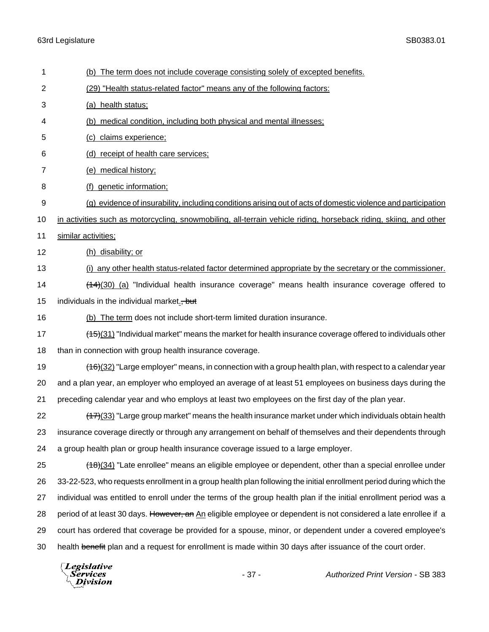| 1              | (b) The term does not include coverage consisting solely of excepted benefits.                                     |  |  |  |
|----------------|--------------------------------------------------------------------------------------------------------------------|--|--|--|
| $\overline{2}$ | (29) "Health status-related factor" means any of the following factors:                                            |  |  |  |
| 3              | (a) health status;                                                                                                 |  |  |  |
| 4              | (b) medical condition, including both physical and mental illnesses;                                               |  |  |  |
| 5              | (c) claims experience;                                                                                             |  |  |  |
| 6              | (d) receipt of health care services;                                                                               |  |  |  |
| 7              | (e) medical history;                                                                                               |  |  |  |
| 8              | (f) genetic information;                                                                                           |  |  |  |
| 9              | (g) evidence of insurability, including conditions arising out of acts of domestic violence and participation      |  |  |  |
| 10             | in activities such as motorcycling, snowmobiling, all-terrain vehicle riding, horseback riding, skiing, and other  |  |  |  |
| 11             | similar activities;                                                                                                |  |  |  |
| 12             | (h) disability; or                                                                                                 |  |  |  |
| 13             | (i) any other health status-related factor determined appropriate by the secretary or the commissioner.            |  |  |  |
| 14             | $(14)(30)$ (a) "Individual health insurance coverage" means health insurance coverage offered to                   |  |  |  |
| 15             | individuals in the individual market., but                                                                         |  |  |  |
| 16             | (b) The term does not include short-term limited duration insurance.                                               |  |  |  |
| 17             | $(15)(31)$ "Individual market" means the market for health insurance coverage offered to individuals other         |  |  |  |
| 18             | than in connection with group health insurance coverage.                                                           |  |  |  |
| 19             | $(16)(32)$ "Large employer" means, in connection with a group health plan, with respect to a calendar year         |  |  |  |
| 20             | and a plan year, an employer who employed an average of at least 51 employees on business days during the          |  |  |  |
| 21             | preceding calendar year and who employs at least two employees on the first day of the plan year.                  |  |  |  |
| 22             | $(17)(33)$ "Large group market" means the health insurance market under which individuals obtain health            |  |  |  |
| 23             | insurance coverage directly or through any arrangement on behalf of themselves and their dependents through        |  |  |  |
| 24             | a group health plan or group health insurance coverage issued to a large employer.                                 |  |  |  |
| 25             | (18)(34) "Late enrollee" means an eligible employee or dependent, other than a special enrollee under              |  |  |  |
| 26             | 33-22-523, who requests enrollment in a group health plan following the initial enrollment period during which the |  |  |  |
| 27             | individual was entitled to enroll under the terms of the group health plan if the initial enrollment period was a  |  |  |  |
| 28             | period of at least 30 days. However, an An eligible employee or dependent is not considered a late enrollee if a   |  |  |  |
| 29             | court has ordered that coverage be provided for a spouse, minor, or dependent under a covered employee's           |  |  |  |
| 30             | health benefit plan and a request for enrollment is made within 30 days after issuance of the court order.         |  |  |  |
|                | $\Box$ equal points of $\Box$                                                                                      |  |  |  |

Legislative<br><sub>\</sub>Services<br><sup>\</sup>\\_Division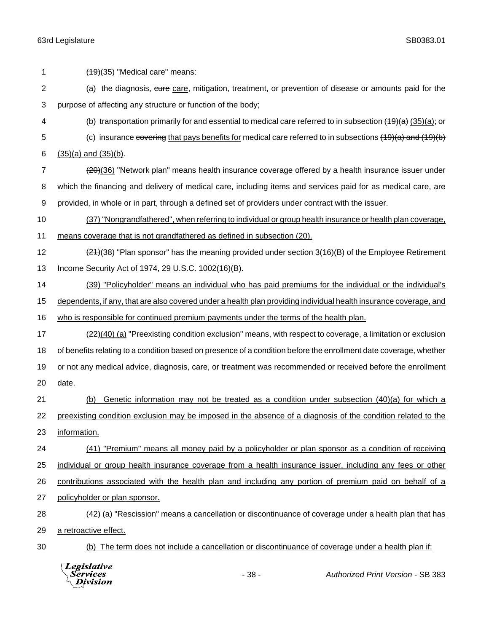$(19)(35)$  "Medical care" means: 2 (a) the diagnosis, cure care, mitigation, treatment, or prevention of disease or amounts paid for the purpose of affecting any structure or function of the body; 4 (b) transportation primarily for and essential to medical care referred to in subsection  $(19)(a)$  (35)(a); or 5 (c) insurance covering that pays benefits for medical care referred to in subsections (19)(a) and (19)(b)  $(35)(a)$  and  $(35)(b)$ . 7 (20)(36) "Network plan" means health insurance coverage offered by a health insurance issuer under which the financing and delivery of medical care, including items and services paid for as medical care, are provided, in whole or in part, through a defined set of providers under contract with the issuer. (37) "Nongrandfathered", when referring to individual or group health insurance or health plan coverage, means coverage that is not grandfathered as defined in subsection (20).  $\left(2\right)$  (21)(38) "Plan sponsor" has the meaning provided under section 3(16)(B) of the Employee Retirement Income Security Act of 1974, 29 U.S.C. 1002(16)(B). 14 (39) "Policyholder" means an individual who has paid premiums for the individual or the individual's dependents, if any, that are also covered under a health plan providing individual health insurance coverage, and who is responsible for continued premium payments under the terms of the health plan. 17 (22)(40) (a) "Preexisting condition exclusion" means, with respect to coverage, a limitation or exclusion of benefits relating to a condition based on presence of a condition before the enrollment date coverage, whether or not any medical advice, diagnosis, care, or treatment was recommended or received before the enrollment date. (b) Genetic information may not be treated as a condition under subsection (40)(a) for which a 22 preexisting condition exclusion may be imposed in the absence of a diagnosis of the condition related to the information. (41) "Premium" means all money paid by a policyholder or plan sponsor as a condition of receiving individual or group health insurance coverage from a health insurance issuer, including any fees or other contributions associated with the health plan and including any portion of premium paid on behalf of a policyholder or plan sponsor. (42) (a) "Rescission" means a cancellation or discontinuance of coverage under a health plan that has a retroactive effect. (b) The term does not include a cancellation or discontinuance of coverage under a health plan if:

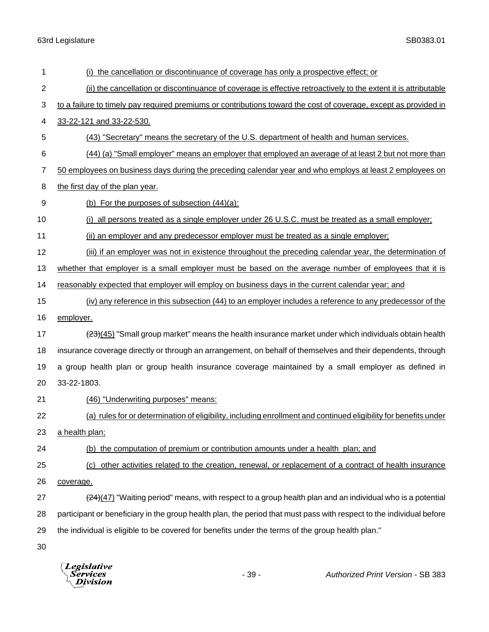| 1              | (i) the cancellation or discontinuance of coverage has only a prospective effect; or                                 |  |  |  |
|----------------|----------------------------------------------------------------------------------------------------------------------|--|--|--|
| $\overline{2}$ | (ii) the cancellation or discontinuance of coverage is effective retroactively to the extent it is attributable      |  |  |  |
| 3              | to a failure to timely pay required premiums or contributions toward the cost of coverage, except as provided in     |  |  |  |
| 4              | 33-22-121 and 33-22-530.                                                                                             |  |  |  |
| 5              | (43) "Secretary" means the secretary of the U.S. department of health and human services.                            |  |  |  |
| 6              | (44) (a) "Small employer" means an employer that employed an average of at least 2 but not more than                 |  |  |  |
| 7              | 50 employees on business days during the preceding calendar year and who employs at least 2 employees on             |  |  |  |
| 8              | the first day of the plan year.                                                                                      |  |  |  |
| 9              | (b) For the purposes of subsection $(44)(a)$ :                                                                       |  |  |  |
| 10             | (i) all persons treated as a single employer under 26 U.S.C. must be treated as a small employer;                    |  |  |  |
| 11             | (ii) an employer and any predecessor employer must be treated as a single employer;                                  |  |  |  |
| 12             | (iii) if an employer was not in existence throughout the preceding calendar year, the determination of               |  |  |  |
| 13             | whether that employer is a small employer must be based on the average number of employees that it is                |  |  |  |
| 14             | reasonably expected that employer will employ on business days in the current calendar year; and                     |  |  |  |
| 15             | (iv) any reference in this subsection (44) to an employer includes a reference to any predecessor of the             |  |  |  |
| 16             | employer.                                                                                                            |  |  |  |
| 17             | (23)(45) "Small group market" means the health insurance market under which individuals obtain health                |  |  |  |
| 18             | insurance coverage directly or through an arrangement, on behalf of themselves and their dependents, through         |  |  |  |
| 19             | a group health plan or group health insurance coverage maintained by a small employer as defined in                  |  |  |  |
| 20             | 33-22-1803.                                                                                                          |  |  |  |
|                |                                                                                                                      |  |  |  |
| 21             | (46) "Underwriting purposes" means:                                                                                  |  |  |  |
| 22             | (a) rules for or determination of eligibility, including enrollment and continued eligibility for benefits under     |  |  |  |
| 23             | a health plan;                                                                                                       |  |  |  |
| 24             | (b) the computation of premium or contribution amounts under a health plan; and                                      |  |  |  |
| 25             | (c) other activities related to the creation, renewal, or replacement of a contract of health insurance              |  |  |  |
| 26             | coverage.                                                                                                            |  |  |  |
| 27             | $(24)(47)$ "Waiting period" means, with respect to a group health plan and an individual who is a potential          |  |  |  |
| 28             | participant or beneficiary in the group health plan, the period that must pass with respect to the individual before |  |  |  |
| 29             | the individual is eligible to be covered for benefits under the terms of the group health plan."                     |  |  |  |

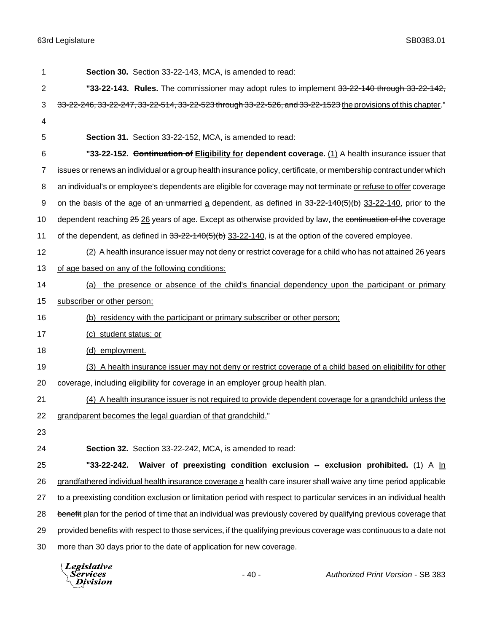| 1  | Section 30. Section 33-22-143, MCA, is amended to read:                                                               |  |  |  |
|----|-----------------------------------------------------------------------------------------------------------------------|--|--|--|
| 2  | "33-22-143. Rules. The commissioner may adopt rules to implement 33-22-140 through 33-22-142,                         |  |  |  |
| 3  | 33-22-246, 33-22-247, 33-22-514, 33-22-523 through 33-22-526, and 33-22-1523 the provisions of this chapter."         |  |  |  |
| 4  |                                                                                                                       |  |  |  |
| 5  | Section 31. Section 33-22-152, MCA, is amended to read:                                                               |  |  |  |
| 6  | "33-22-152. Continuation of Eligibility for dependent coverage. (1) A health insurance issuer that                    |  |  |  |
| 7  | issues or renews an individual or a group health insurance policy, certificate, or membership contract under which    |  |  |  |
| 8  | an individual's or employee's dependents are eligible for coverage may not terminate or refuse to offer coverage      |  |  |  |
| 9  | on the basis of the age of an unmarried a dependent, as defined in 33-22-140(5)(b) 33-22-140, prior to the            |  |  |  |
| 10 | dependent reaching 25 26 years of age. Except as otherwise provided by law, the continuation of the coverage          |  |  |  |
| 11 | of the dependent, as defined in $33-22-140(5)(b)$ $33-22-140$ , is at the option of the covered employee.             |  |  |  |
| 12 | (2) A health insurance issuer may not deny or restrict coverage for a child who has not attained 26 years             |  |  |  |
| 13 | of age based on any of the following conditions:                                                                      |  |  |  |
| 14 | the presence or absence of the child's financial dependency upon the participant or primary<br>(a)                    |  |  |  |
| 15 | subscriber or other person;                                                                                           |  |  |  |
| 16 | (b) residency with the participant or primary subscriber or other person;                                             |  |  |  |
| 17 | (c) student status; or                                                                                                |  |  |  |
| 18 | (d) employment.                                                                                                       |  |  |  |
| 19 | (3) A health insurance issuer may not deny or restrict coverage of a child based on eligibility for other             |  |  |  |
| 20 | coverage, including eligibility for coverage in an employer group health plan.                                        |  |  |  |
| 21 | (4) A health insurance issuer is not required to provide dependent coverage for a grandchild unless the               |  |  |  |
| 22 | grandparent becomes the legal guardian of that grandchild."                                                           |  |  |  |
| 23 |                                                                                                                       |  |  |  |
| 24 | Section 32. Section 33-22-242, MCA, is amended to read:                                                               |  |  |  |
| 25 | Waiver of preexisting condition exclusion -- exclusion prohibited. (1) A $\ln$<br>"33-22-242.                         |  |  |  |
| 26 | grandfathered individual health insurance coverage a health care insurer shall waive any time period applicable       |  |  |  |
| 27 | to a preexisting condition exclusion or limitation period with respect to particular services in an individual health |  |  |  |
| 28 | benefit plan for the period of time that an individual was previously covered by qualifying previous coverage that    |  |  |  |
| 29 | provided benefits with respect to those services, if the qualifying previous coverage was continuous to a date not    |  |  |  |
| 30 | more than 30 days prior to the date of application for new coverage.                                                  |  |  |  |
|    |                                                                                                                       |  |  |  |

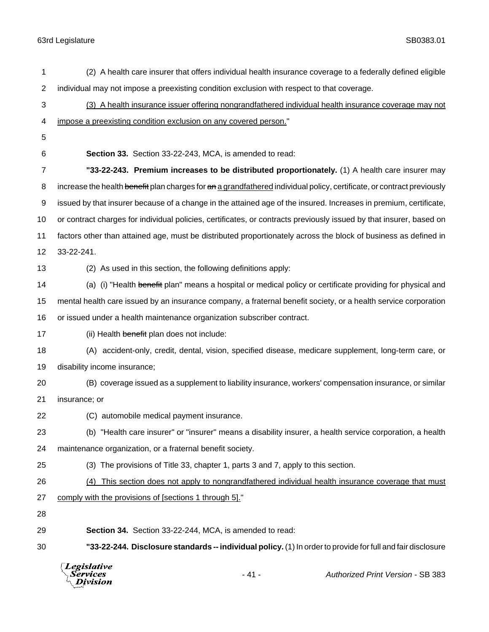| 1  | (2) A health care insurer that offers individual health insurance coverage to a federally defined eligible             |  |  |
|----|------------------------------------------------------------------------------------------------------------------------|--|--|
| 2  | individual may not impose a preexisting condition exclusion with respect to that coverage.                             |  |  |
| 3  | (3) A health insurance issuer offering nongrandfathered individual health insurance coverage may not                   |  |  |
| 4  | impose a preexisting condition exclusion on any covered person."                                                       |  |  |
| 5  |                                                                                                                        |  |  |
| 6  | Section 33. Section 33-22-243, MCA, is amended to read:                                                                |  |  |
| 7  | "33-22-243. Premium increases to be distributed proportionately. (1) A health care insurer may                         |  |  |
| 8  | increase the health benefit plan charges for an a grandfathered individual policy, certificate, or contract previously |  |  |
| 9  | issued by that insurer because of a change in the attained age of the insured. Increases in premium, certificate,      |  |  |
| 10 | or contract charges for individual policies, certificates, or contracts previously issued by that insurer, based on    |  |  |
| 11 | factors other than attained age, must be distributed proportionately across the block of business as defined in        |  |  |
| 12 | 33-22-241.                                                                                                             |  |  |
| 13 | (2) As used in this section, the following definitions apply:                                                          |  |  |
| 14 | (a) (i) "Health benefit plan" means a hospital or medical policy or certificate providing for physical and             |  |  |
| 15 | mental health care issued by an insurance company, a fraternal benefit society, or a health service corporation        |  |  |
| 16 | or issued under a health maintenance organization subscriber contract.                                                 |  |  |
| 17 | (ii) Health benefit plan does not include:                                                                             |  |  |
| 18 | (A) accident-only, credit, dental, vision, specified disease, medicare supplement, long-term care, or                  |  |  |
| 19 | disability income insurance;                                                                                           |  |  |
| 20 | (B) coverage issued as a supplement to liability insurance, workers' compensation insurance, or similar                |  |  |
| 21 | insurance; or                                                                                                          |  |  |
| 22 | (C) automobile medical payment insurance.                                                                              |  |  |
| 23 | (b) "Health care insurer" or "insurer" means a disability insurer, a health service corporation, a health              |  |  |
| 24 | maintenance organization, or a fraternal benefit society.                                                              |  |  |
| 25 | (3) The provisions of Title 33, chapter 1, parts 3 and 7, apply to this section.                                       |  |  |
| 26 | (4) This section does not apply to nongrandfathered individual health insurance coverage that must                     |  |  |
| 27 | comply with the provisions of [sections 1 through 5]."                                                                 |  |  |
| 28 |                                                                                                                        |  |  |
| 29 | Section 34. Section 33-22-244, MCA, is amended to read:                                                                |  |  |
| 30 | "33-22-244. Disclosure standards -- individual policy. (1) In order to provide for full and fair disclosure            |  |  |
|    | $\left[$ <i>Legislative</i>                                                                                            |  |  |

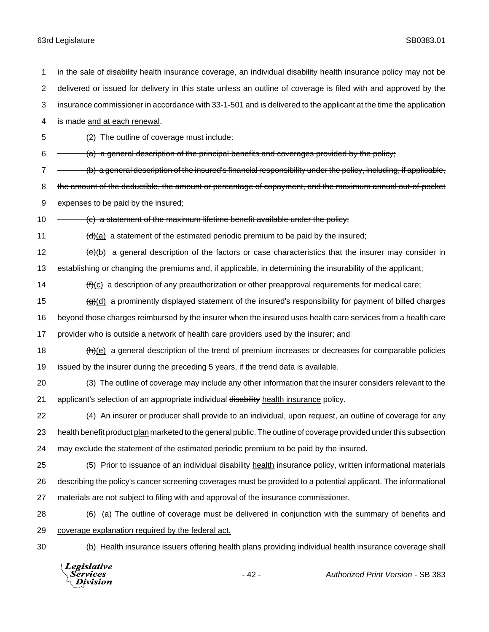Division

1 in the sale of disability health insurance coverage, an individual disability health insurance policy may not be delivered or issued for delivery in this state unless an outline of coverage is filed with and approved by the insurance commissioner in accordance with 33-1-501 and is delivered to the applicant at the time the application is made and at each renewal. (2) The outline of coverage must include:  $6 \rightarrow$  (a) a general description of the principal benefits and coverages provided by the policy; 7 - (b) a general description of the insured's financial responsibility under the policy, including, if applicable, 8 the amount of the deductible, the amount or percentage of copayment, and the maximum annual out-of-pocket 9 expenses to be paid by the insured; 10 - (c) a statement of the maximum lifetime benefit available under the policy;  $\left(\frac{d}{d}\right)$  a statement of the estimated periodic premium to be paid by the insured;  $\left(\frac{e}{e}\right)$  a general description of the factors or case characteristics that the insurer may consider in establishing or changing the premiums and, if applicable, in determining the insurability of the applicant;  $(f)(c)$  a description of any preauthorization or other preapproval requirements for medical care;  $\left(\frac{d}{d}\right)$  a prominently displayed statement of the insured's responsibility for payment of billed charges beyond those charges reimbursed by the insurer when the insured uses health care services from a health care provider who is outside a network of health care providers used by the insurer; and  $\left(\frac{h}{e}\right)$  a general description of the trend of premium increases or decreases for comparable policies issued by the insurer during the preceding 5 years, if the trend data is available. (3) The outline of coverage may include any other information that the insurer considers relevant to the 21 applicant's selection of an appropriate individual disability health insurance policy. (4) An insurer or producer shall provide to an individual, upon request, an outline of coverage for any 23 health benefit product plan marketed to the general public. The outline of coverage provided under this subsection may exclude the statement of the estimated periodic premium to be paid by the insured. 25 (5) Prior to issuance of an individual disability health insurance policy, written informational materials describing the policy's cancer screening coverages must be provided to a potential applicant. The informational materials are not subject to filing with and approval of the insurance commissioner. (6) (a) The outline of coverage must be delivered in conjunction with the summary of benefits and coverage explanation required by the federal act. (b) Health insurance issuers offering health plans providing individual health insurance coverage shall **Legislative** *Services* - 42 - *Authorized Print Version* - SB 383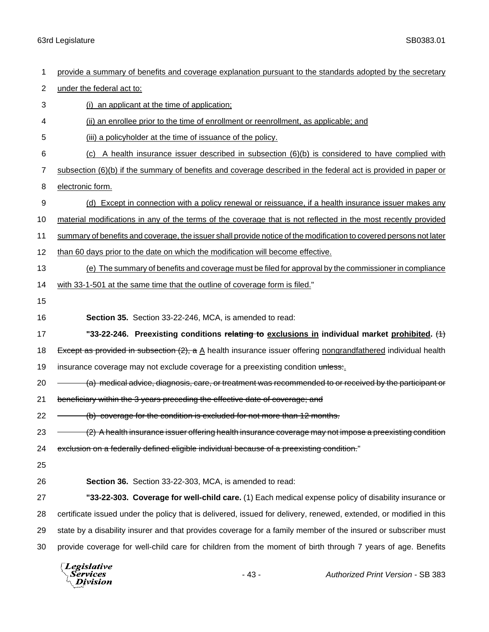| 1                | provide a summary of benefits and coverage explanation pursuant to the standards adopted by the secretary          |  |  |  |
|------------------|--------------------------------------------------------------------------------------------------------------------|--|--|--|
| $\overline{2}$   | under the federal act to:                                                                                          |  |  |  |
| 3                | (i) an applicant at the time of application;                                                                       |  |  |  |
| 4                | (ii) an enrollee prior to the time of enrollment or reenrollment, as applicable; and                               |  |  |  |
| 5                | (iii) a policyholder at the time of issuance of the policy.                                                        |  |  |  |
| 6                | $(c)$ A health insurance issuer described in subsection $(6)(b)$ is considered to have complied with               |  |  |  |
| 7                | subsection (6)(b) if the summary of benefits and coverage described in the federal act is provided in paper or     |  |  |  |
| 8                | electronic form.                                                                                                   |  |  |  |
| $\boldsymbol{9}$ | (d) Except in connection with a policy renewal or reissuance, if a health insurance issuer makes any               |  |  |  |
| 10               | material modifications in any of the terms of the coverage that is not reflected in the most recently provided     |  |  |  |
| 11               | summary of benefits and coverage, the issuer shall provide notice of the modification to covered persons not later |  |  |  |
| 12               | than 60 days prior to the date on which the modification will become effective.                                    |  |  |  |
| 13               | (e) The summary of benefits and coverage must be filed for approval by the commissioner in compliance              |  |  |  |
| 14               | with 33-1-501 at the same time that the outline of coverage form is filed."                                        |  |  |  |
| 15               |                                                                                                                    |  |  |  |
| 16               | Section 35. Section 33-22-246, MCA, is amended to read:                                                            |  |  |  |
| 17               | "33-22-246. Preexisting conditions relating to exclusions in individual market prohibited. $(1)$                   |  |  |  |
| 18               | Except as provided in subsection (2), a A health insurance issuer offering nongrandfathered individual health      |  |  |  |
| 19               | insurance coverage may not exclude coverage for a preexisting condition unless:                                    |  |  |  |
| 20               | (a) medical advice, diagnosis, care, or treatment was recommended to or received by the participant or             |  |  |  |
| 21               | beneficiary within the 3 years preceding the effective date of coverage; and                                       |  |  |  |
| 22               | (b) coverage for the condition is excluded for not more than 12 months.                                            |  |  |  |
| 23               | (2) A health insurance issuer offering health insurance coverage may not impose a preexisting condition            |  |  |  |
| 24               | exclusion on a federally defined eligible individual because of a preexisting condition."                          |  |  |  |
| 25               |                                                                                                                    |  |  |  |
| 26               | Section 36. Section 33-22-303, MCA, is amended to read:                                                            |  |  |  |
| 27               | "33-22-303. Coverage for well-child care. (1) Each medical expense policy of disability insurance or               |  |  |  |
| 28               | certificate issued under the policy that is delivered, issued for delivery, renewed, extended, or modified in this |  |  |  |
| 29               |                                                                                                                    |  |  |  |
|                  | state by a disability insurer and that provides coverage for a family member of the insured or subscriber must     |  |  |  |
| 30               | provide coverage for well-child care for children from the moment of birth through 7 years of age. Benefits        |  |  |  |

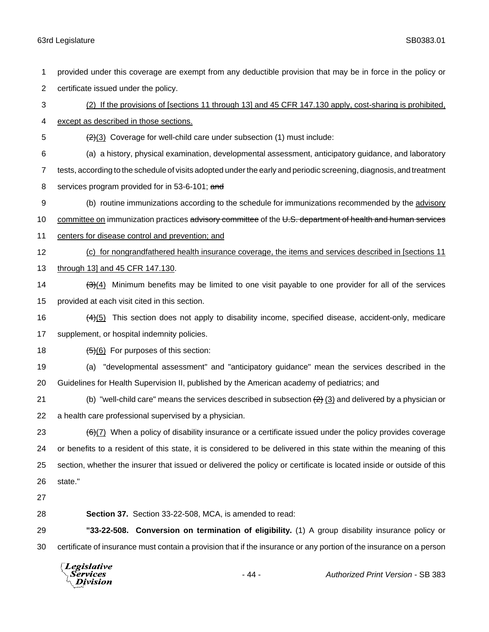provided under this coverage are exempt from any deductible provision that may be in force in the policy or certificate issued under the policy.

 (2) If the provisions of [sections 11 through 13] and 45 CFR 147.130 apply, cost-sharing is prohibited, except as described in those sections.

5  $\left(\frac{2}{3}\right)$  Coverage for well-child care under subsection (1) must include:

(a) a history, physical examination, developmental assessment, anticipatory guidance, and laboratory

 tests, according to the schedule of visits adopted under the early and periodic screening, diagnosis, and treatment 8 services program provided for in 53-6-101; and

(b) routine immunizations according to the schedule for immunizations recommended by the advisory

10 committee on immunization practices advisory committee of the U.S. department of health and human services

- centers for disease control and prevention; and
- (c) for nongrandfathered health insurance coverage, the items and services described in [sections 11
- through 13] and 45 CFR 147.130.
- 14  $\frac{3(4)}{3}$  Minimum benefits may be limited to one visit payable to one provider for all of the services provided at each visit cited in this section.
- 16 (4)(5) This section does not apply to disability income, specified disease, accident-only, medicare supplement, or hospital indemnity policies.
- 18  $(5)(6)$  For purposes of this section:
- (a) "developmental assessment" and "anticipatory guidance" mean the services described in the Guidelines for Health Supervision II, published by the American academy of pediatrics; and
- 21 (b) "well-child care" means the services described in subsection  $\left(\frac{2}{2}\right)$  and delivered by a physician or a health care professional supervised by a physician.
- 23  $(6)$ (7) When a policy of disability insurance or a certificate issued under the policy provides coverage or benefits to a resident of this state, it is considered to be delivered in this state within the meaning of this section, whether the insurer that issued or delivered the policy or certificate is located inside or outside of this state."
- 
- 

**Section 37.** Section 33-22-508, MCA, is amended to read:

 **"33-22-508. Conversion on termination of eligibility.** (1) A group disability insurance policy or certificate of insurance must contain a provision that if the insurance or any portion of the insurance on a person

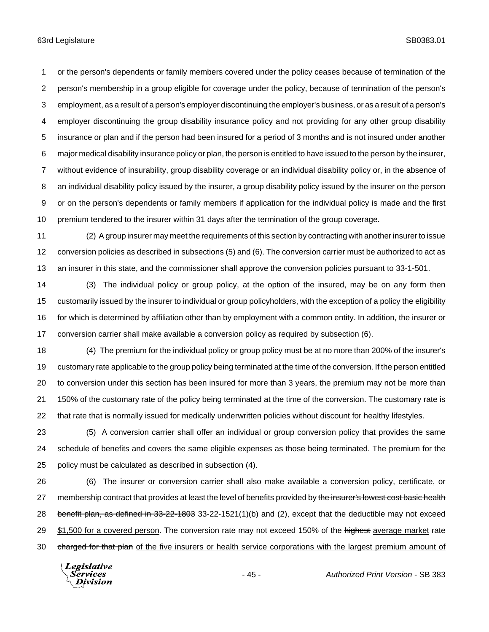or the person's dependents or family members covered under the policy ceases because of termination of the person's membership in a group eligible for coverage under the policy, because of termination of the person's employment, as a result of a person's employer discontinuing the employer's business, or as a result of a person's employer discontinuing the group disability insurance policy and not providing for any other group disability insurance or plan and if the person had been insured for a period of 3 months and is not insured under another major medical disability insurance policy or plan, the person is entitled to have issued to the person by the insurer, without evidence of insurability, group disability coverage or an individual disability policy or, in the absence of an individual disability policy issued by the insurer, a group disability policy issued by the insurer on the person or on the person's dependents or family members if application for the individual policy is made and the first premium tendered to the insurer within 31 days after the termination of the group coverage.

 (2) A group insurer may meet the requirements of this section by contracting with another insurer to issue conversion policies as described in subsections (5) and (6). The conversion carrier must be authorized to act as an insurer in this state, and the commissioner shall approve the conversion policies pursuant to 33-1-501.

 (3) The individual policy or group policy, at the option of the insured, may be on any form then customarily issued by the insurer to individual or group policyholders, with the exception of a policy the eligibility for which is determined by affiliation other than by employment with a common entity. In addition, the insurer or conversion carrier shall make available a conversion policy as required by subsection (6).

 (4) The premium for the individual policy or group policy must be at no more than 200% of the insurer's customary rate applicable to the group policy being terminated at the time of the conversion. If the person entitled to conversion under this section has been insured for more than 3 years, the premium may not be more than 21 150% of the customary rate of the policy being terminated at the time of the conversion. The customary rate is that rate that is normally issued for medically underwritten policies without discount for healthy lifestyles.

 (5) A conversion carrier shall offer an individual or group conversion policy that provides the same schedule of benefits and covers the same eligible expenses as those being terminated. The premium for the policy must be calculated as described in subsection (4).

 (6) The insurer or conversion carrier shall also make available a conversion policy, certificate, or 27 membership contract that provides at least the level of benefits provided by the insurer's lowest cost basic health 28 benefit plan, as defined in 33-22-1803 33-22-1521(1)(b) and (2), except that the deductible may not exceed 29 \$1,500 for a covered person. The conversion rate may not exceed 150% of the highest average market rate 30 charged for that plan of the five insurers or health service corporations with the largest premium amount of

Legislative *Services* Division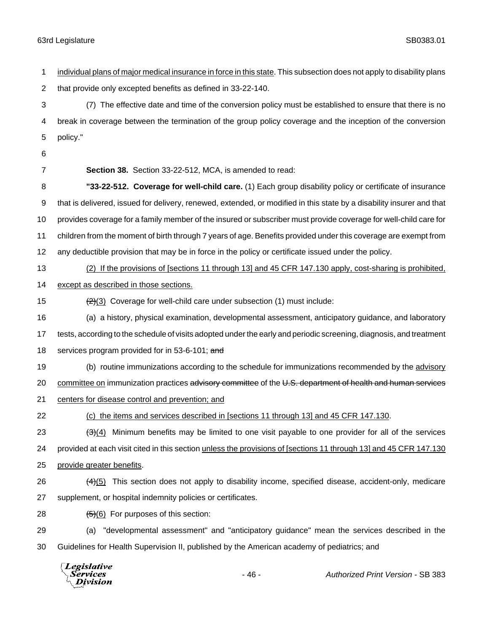individual plans of major medical insurance in force in this state. This subsection does not apply to disability plans that provide only excepted benefits as defined in 33-22-140. (7) The effective date and time of the conversion policy must be established to ensure that there is no break in coverage between the termination of the group policy coverage and the inception of the conversion policy." **Section 38.** Section 33-22-512, MCA, is amended to read: **"33-22-512. Coverage for well-child care.** (1) Each group disability policy or certificate of insurance that is delivered, issued for delivery, renewed, extended, or modified in this state by a disability insurer and that provides coverage for a family member of the insured or subscriber must provide coverage for well-child care for children from the moment of birth through 7 years of age. Benefits provided under this coverage are exempt from any deductible provision that may be in force in the policy or certificate issued under the policy. (2) If the provisions of [sections 11 through 13] and 45 CFR 147.130 apply, cost-sharing is prohibited, 14 except as described in those sections.  $\left(\frac{2}{3}\right)$  Coverage for well-child care under subsection (1) must include: (a) a history, physical examination, developmental assessment, anticipatory guidance, and laboratory tests, according to the schedule of visits adopted under the early and periodic screening, diagnosis, and treatment 18 services program provided for in 53-6-101; and (b) routine immunizations according to the schedule for immunizations recommended by the advisory 20 committee on immunization practices advisory committee of the U.S. department of health and human services centers for disease control and prevention; and (c) the items and services described in [sections 11 through 13] and 45 CFR 147.130.  $(3)(4)$  Minimum benefits may be limited to one visit payable to one provider for all of the services provided at each visit cited in this section unless the provisions of [sections 11 through 13] and 45 CFR 147.130 provide greater benefits.  $(4)(5)$  This section does not apply to disability income, specified disease, accident-only, medicare supplement, or hospital indemnity policies or certificates.  $(5)(6)$  For purposes of this section: (a) "developmental assessment" and "anticipatory guidance" mean the services described in the Guidelines for Health Supervision II, published by the American academy of pediatrics; and

**Legislative** Services **Division**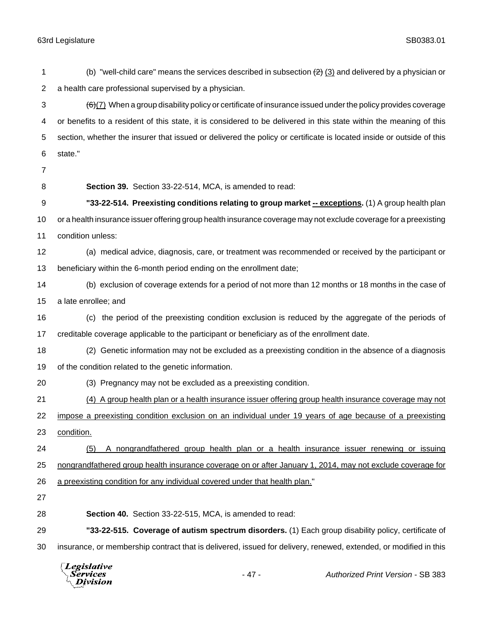|    | Legislative<br>vīsion                                                                                                           | $-47-$ | <b>Authorized Print Version - SB 383</b>                                                                             |  |
|----|---------------------------------------------------------------------------------------------------------------------------------|--------|----------------------------------------------------------------------------------------------------------------------|--|
| 30 |                                                                                                                                 |        | insurance, or membership contract that is delivered, issued for delivery, renewed, extended, or modified in this     |  |
| 29 |                                                                                                                                 |        | "33-22-515. Coverage of autism spectrum disorders. (1) Each group disability policy, certificate of                  |  |
| 28 | Section 40. Section 33-22-515, MCA, is amended to read:                                                                         |        |                                                                                                                      |  |
| 27 |                                                                                                                                 |        |                                                                                                                      |  |
| 26 | a preexisting condition for any individual covered under that health plan."                                                     |        |                                                                                                                      |  |
| 25 |                                                                                                                                 |        | nongrandfathered group health insurance coverage on or after January 1, 2014, may not exclude coverage for           |  |
| 24 | (5)                                                                                                                             |        | A nongrandfathered group health plan or a health insurance issuer renewing or issuing                                |  |
| 23 | condition.                                                                                                                      |        |                                                                                                                      |  |
| 22 |                                                                                                                                 |        | impose a preexisting condition exclusion on an individual under 19 years of age because of a preexisting             |  |
| 21 |                                                                                                                                 |        | (4) A group health plan or a health insurance issuer offering group health insurance coverage may not                |  |
| 20 | (3) Pregnancy may not be excluded as a preexisting condition.                                                                   |        |                                                                                                                      |  |
| 19 | of the condition related to the genetic information.                                                                            |        |                                                                                                                      |  |
| 18 |                                                                                                                                 |        | (2) Genetic information may not be excluded as a preexisting condition in the absence of a diagnosis                 |  |
| 17 | creditable coverage applicable to the participant or beneficiary as of the enrollment date.                                     |        |                                                                                                                      |  |
| 16 |                                                                                                                                 |        | (c) the period of the preexisting condition exclusion is reduced by the aggregate of the periods of                  |  |
| 15 | a late enrollee; and                                                                                                            |        |                                                                                                                      |  |
| 14 |                                                                                                                                 |        | (b) exclusion of coverage extends for a period of not more than 12 months or 18 months in the case of                |  |
| 13 | beneficiary within the 6-month period ending on the enrollment date;                                                            |        |                                                                                                                      |  |
| 12 |                                                                                                                                 |        | (a) medical advice, diagnosis, care, or treatment was recommended or received by the participant or                  |  |
| 11 | condition unless:                                                                                                               |        |                                                                                                                      |  |
| 10 |                                                                                                                                 |        | or a health insurance issuer offering group health insurance coverage may not exclude coverage for a preexisting     |  |
| 9  |                                                                                                                                 |        | "33-22-514. Preexisting conditions relating to group market -- exceptions. (1) A group health plan                   |  |
| 8  | Section 39. Section 33-22-514, MCA, is amended to read:                                                                         |        |                                                                                                                      |  |
| 7  |                                                                                                                                 |        |                                                                                                                      |  |
| 6  | state."                                                                                                                         |        |                                                                                                                      |  |
| 5  |                                                                                                                                 |        | section, whether the insurer that issued or delivered the policy or certificate is located inside or outside of this |  |
| 4  | or benefits to a resident of this state, it is considered to be delivered in this state within the meaning of this              |        |                                                                                                                      |  |
| 3  | $\left(\frac{6}{2}\right)$ When a group disability policy or certificate of insurance issued under the policy provides coverage |        |                                                                                                                      |  |
| 2  | a health care professional supervised by a physician.                                                                           |        |                                                                                                                      |  |
| 1  |                                                                                                                                 |        | (b) "well-child care" means the services described in subsection $(2)$ (3) and delivered by a physician or           |  |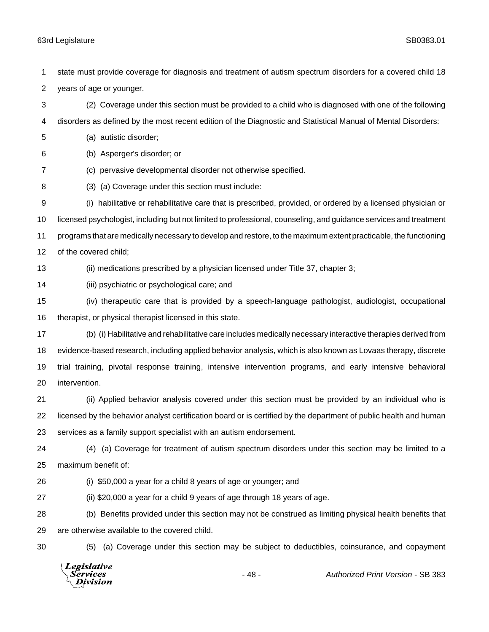state must provide coverage for diagnosis and treatment of autism spectrum disorders for a covered child 18 years of age or younger.

 (2) Coverage under this section must be provided to a child who is diagnosed with one of the following disorders as defined by the most recent edition of the Diagnostic and Statistical Manual of Mental Disorders:

(a) autistic disorder;

(b) Asperger's disorder; or

(c) pervasive developmental disorder not otherwise specified.

(3) (a) Coverage under this section must include:

 (i) habilitative or rehabilitative care that is prescribed, provided, or ordered by a licensed physician or licensed psychologist, including but not limited to professional, counseling, and guidance services and treatment programs that are medically necessary to develop and restore, to the maximum extent practicable, the functioning of the covered child;

(ii) medications prescribed by a physician licensed under Title 37, chapter 3;

(iii) psychiatric or psychological care; and

 (iv) therapeutic care that is provided by a speech-language pathologist, audiologist, occupational 16 therapist, or physical therapist licensed in this state.

 (b) (i) Habilitative and rehabilitative care includes medically necessary interactive therapies derived from evidence-based research, including applied behavior analysis, which is also known as Lovaas therapy, discrete trial training, pivotal response training, intensive intervention programs, and early intensive behavioral intervention.

 (ii) Applied behavior analysis covered under this section must be provided by an individual who is licensed by the behavior analyst certification board or is certified by the department of public health and human services as a family support specialist with an autism endorsement.

 (4) (a) Coverage for treatment of autism spectrum disorders under this section may be limited to a maximum benefit of:

(i) \$50,000 a year for a child 8 years of age or younger; and

(ii) \$20,000 a year for a child 9 years of age through 18 years of age.

 (b) Benefits provided under this section may not be construed as limiting physical health benefits that are otherwise available to the covered child.

(5) (a) Coverage under this section may be subject to deductibles, coinsurance, and copayment

**Legislative** Services **Division**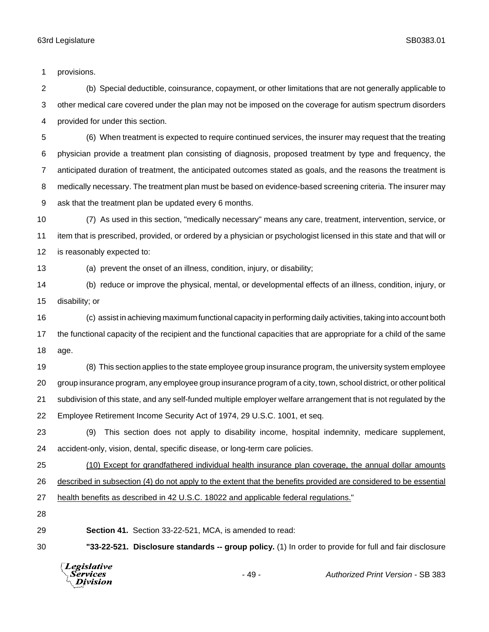provisions.

 (b) Special deductible, coinsurance, copayment, or other limitations that are not generally applicable to other medical care covered under the plan may not be imposed on the coverage for autism spectrum disorders provided for under this section.

 (6) When treatment is expected to require continued services, the insurer may request that the treating physician provide a treatment plan consisting of diagnosis, proposed treatment by type and frequency, the anticipated duration of treatment, the anticipated outcomes stated as goals, and the reasons the treatment is medically necessary. The treatment plan must be based on evidence-based screening criteria. The insurer may ask that the treatment plan be updated every 6 months.

 (7) As used in this section, "medically necessary" means any care, treatment, intervention, service, or item that is prescribed, provided, or ordered by a physician or psychologist licensed in this state and that will or is reasonably expected to:

(a) prevent the onset of an illness, condition, injury, or disability;

 (b) reduce or improve the physical, mental, or developmental effects of an illness, condition, injury, or disability; or

 (c) assist in achieving maximum functional capacity in performing daily activities, taking into account both the functional capacity of the recipient and the functional capacities that are appropriate for a child of the same age.

 (8) This section applies to the state employee group insurance program, the university system employee group insurance program, any employee group insurance program of a city, town, school district, or other political subdivision of this state, and any self-funded multiple employer welfare arrangement that is not regulated by the Employee Retirement Income Security Act of 1974, 29 U.S.C. 1001, et seq.

 (9) This section does not apply to disability income, hospital indemnity, medicare supplement, accident-only, vision, dental, specific disease, or long-term care policies.

 (10) Except for grandfathered individual health insurance plan coverage, the annual dollar amounts described in subsection (4) do not apply to the extent that the benefits provided are considered to be essential health benefits as described in 42 U.S.C. 18022 and applicable federal regulations."

**Section 41.** Section 33-22-521, MCA, is amended to read:

**"33-22-521. Disclosure standards -- group policy.** (1) In order to provide for full and fair disclosure



- 49 - *Authorized Print Version* - SB 383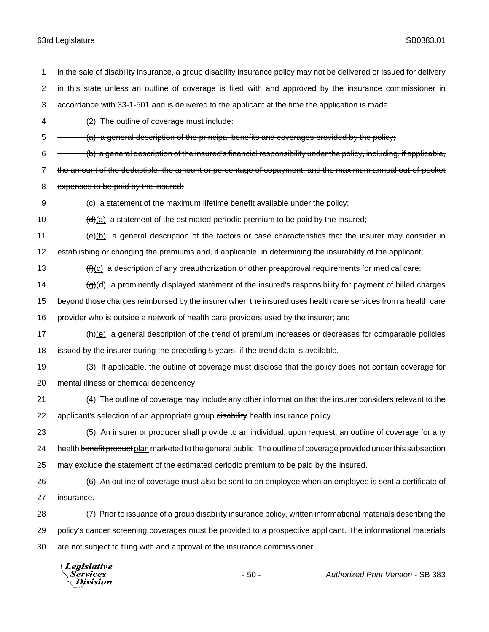in the sale of disability insurance, a group disability insurance policy may not be delivered or issued for delivery in this state unless an outline of coverage is filed with and approved by the insurance commissioner in accordance with 33-1-501 and is delivered to the applicant at the time the application is made. (2) The outline of coverage must include:  $5 \rightarrow 6$  (a) a general description of the principal benefits and coverages provided by the policy;  $6 \leftarrow$  (b) a general description of the insured's financial responsibility under the policy, including, if applicable, 7 the amount of the deductible, the amount or percentage of copayment, and the maximum annual out-of-pocket 8 expenses to be paid by the insured;  $9 \leftarrow$  (c) a statement of the maximum lifetime benefit available under the policy;  $\left(\frac{d}{d}\right)$  a statement of the estimated periodic premium to be paid by the insured;  $\left(\frac{e}{e}\right)$  a general description of the factors or case characteristics that the insurer may consider in establishing or changing the premiums and, if applicable, in determining the insurability of the applicant;  $\left| \frac{f(f)}{f} \right|$  a description of any preauthorization or other preapproval requirements for medical care;  $\frac{1}{(g)(d)}$  a prominently displayed statement of the insured's responsibility for payment of billed charges beyond those charges reimbursed by the insurer when the insured uses health care services from a health care provider who is outside a network of health care providers used by the insurer; and  $(h)(e)$  a general description of the trend of premium increases or decreases for comparable policies issued by the insurer during the preceding 5 years, if the trend data is available. (3) If applicable, the outline of coverage must disclose that the policy does not contain coverage for mental illness or chemical dependency. (4) The outline of coverage may include any other information that the insurer considers relevant to the 22 applicant's selection of an appropriate group disability health insurance policy. (5) An insurer or producer shall provide to an individual, upon request, an outline of coverage for any 24 health benefit product plan marketed to the general public. The outline of coverage provided under this subsection may exclude the statement of the estimated periodic premium to be paid by the insured. (6) An outline of coverage must also be sent to an employee when an employee is sent a certificate of insurance. (7) Prior to issuance of a group disability insurance policy, written informational materials describing the policy's cancer screening coverages must be provided to a prospective applicant. The informational materials are not subject to filing with and approval of the insurance commissioner.

Legislative *Services* **Division**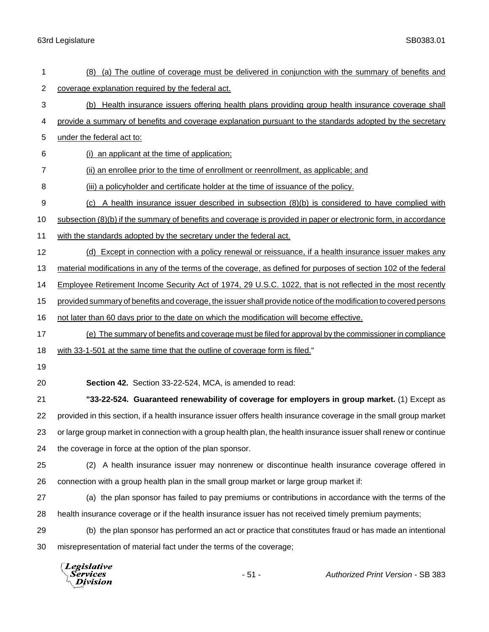| 1              | (8) (a) The outline of coverage must be delivered in conjunction with the summary of benefits and                 |  |  |  |  |
|----------------|-------------------------------------------------------------------------------------------------------------------|--|--|--|--|
| $\overline{2}$ | coverage explanation required by the federal act.                                                                 |  |  |  |  |
| 3              | (b) Health insurance issuers offering health plans providing group health insurance coverage shall                |  |  |  |  |
| 4              | provide a summary of benefits and coverage explanation pursuant to the standards adopted by the secretary         |  |  |  |  |
| 5              | under the federal act to:                                                                                         |  |  |  |  |
| 6              | (i) an applicant at the time of application:                                                                      |  |  |  |  |
| 7              | (ii) an enrollee prior to the time of enrollment or reenrollment, as applicable; and                              |  |  |  |  |
| 8              | (iii) a policyholder and certificate holder at the time of issuance of the policy.                                |  |  |  |  |
| 9              | (c) A health insurance issuer described in subsection (8)(b) is considered to have complied with                  |  |  |  |  |
| 10             | subsection (8)(b) if the summary of benefits and coverage is provided in paper or electronic form, in accordance  |  |  |  |  |
| 11             | with the standards adopted by the secretary under the federal act.                                                |  |  |  |  |
| 12             | (d) Except in connection with a policy renewal or reissuance, if a health insurance issuer makes any              |  |  |  |  |
| 13             | material modifications in any of the terms of the coverage, as defined for purposes of section 102 of the federal |  |  |  |  |
| 14             | Employee Retirement Income Security Act of 1974, 29 U.S.C. 1022, that is not reflected in the most recently       |  |  |  |  |
| 15             | provided summary of benefits and coverage, the issuer shall provide notice of the modification to covered persons |  |  |  |  |
| 16             | not later than 60 days prior to the date on which the modification will become effective.                         |  |  |  |  |
| 17             | (e) The summary of benefits and coverage must be filed for approval by the commissioner in compliance             |  |  |  |  |
| 18             | with 33-1-501 at the same time that the outline of coverage form is filed."                                       |  |  |  |  |
| 19             |                                                                                                                   |  |  |  |  |
| 20             | Section 42. Section 33-22-524, MCA, is amended to read:                                                           |  |  |  |  |
| 21             | "33-22-524. Guaranteed renewability of coverage for employers in group market. (1) Except as                      |  |  |  |  |
| 22             | provided in this section, if a health insurance issuer offers health insurance coverage in the small group market |  |  |  |  |
| 23             | or large group market in connection with a group health plan, the health insurance issuer shall renew or continue |  |  |  |  |
| 24             | the coverage in force at the option of the plan sponsor.                                                          |  |  |  |  |
| 25             | (2) A health insurance issuer may nonrenew or discontinue health insurance coverage offered in                    |  |  |  |  |
| 26             | connection with a group health plan in the small group market or large group market if:                           |  |  |  |  |
| 27             | (a) the plan sponsor has failed to pay premiums or contributions in accordance with the terms of the              |  |  |  |  |
| 28             | health insurance coverage or if the health insurance issuer has not received timely premium payments;             |  |  |  |  |
| 29             | (b) the plan sponsor has performed an act or practice that constitutes fraud or has made an intentional           |  |  |  |  |
| 30             | misrepresentation of material fact under the terms of the coverage;                                               |  |  |  |  |
|                | Legislative<br>$-51 -$<br><b>Authorized Print Version - SB 383</b><br>Services<br>ivision                         |  |  |  |  |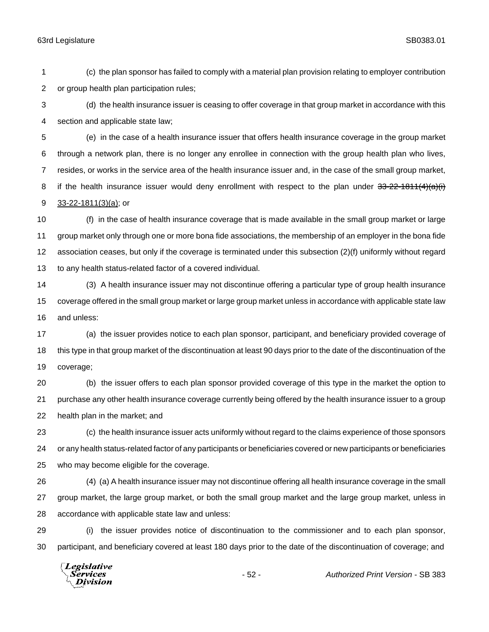(c) the plan sponsor has failed to comply with a material plan provision relating to employer contribution or group health plan participation rules;

 (d) the health insurance issuer is ceasing to offer coverage in that group market in accordance with this section and applicable state law;

 (e) in the case of a health insurance issuer that offers health insurance coverage in the group market through a network plan, there is no longer any enrollee in connection with the group health plan who lives, resides, or works in the service area of the health insurance issuer and, in the case of the small group market, 8 if the health insurance issuer would deny enrollment with respect to the plan under 33-22-1811(4)(a)(i) 33-22-1811(3)(a); or

 (f) in the case of health insurance coverage that is made available in the small group market or large group market only through one or more bona fide associations, the membership of an employer in the bona fide association ceases, but only if the coverage is terminated under this subsection (2)(f) uniformly without regard to any health status-related factor of a covered individual.

 (3) A health insurance issuer may not discontinue offering a particular type of group health insurance coverage offered in the small group market or large group market unless in accordance with applicable state law and unless:

 (a) the issuer provides notice to each plan sponsor, participant, and beneficiary provided coverage of this type in that group market of the discontinuation at least 90 days prior to the date of the discontinuation of the coverage;

 (b) the issuer offers to each plan sponsor provided coverage of this type in the market the option to purchase any other health insurance coverage currently being offered by the health insurance issuer to a group health plan in the market; and

 (c) the health insurance issuer acts uniformly without regard to the claims experience of those sponsors or any health status-related factor of any participants or beneficiaries covered or new participants or beneficiaries who may become eligible for the coverage.

 (4) (a) A health insurance issuer may not discontinue offering all health insurance coverage in the small group market, the large group market, or both the small group market and the large group market, unless in accordance with applicable state law and unless:

 (i) the issuer provides notice of discontinuation to the commissioner and to each plan sponsor, participant, and beneficiary covered at least 180 days prior to the date of the discontinuation of coverage; and

Legislative Services **Division**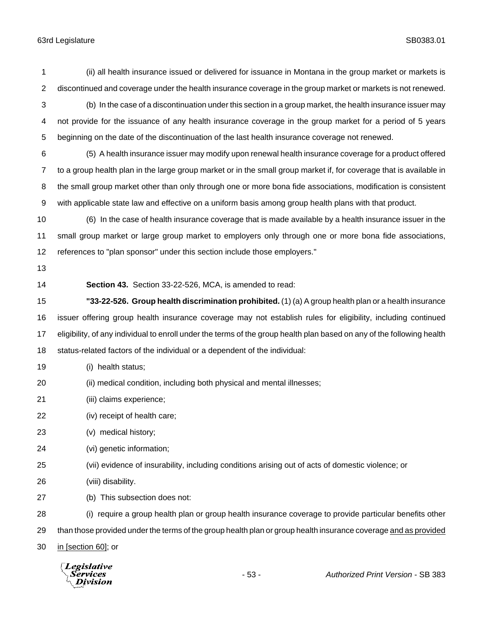(ii) all health insurance issued or delivered for issuance in Montana in the group market or markets is discontinued and coverage under the health insurance coverage in the group market or markets is not renewed. (b) In the case of a discontinuation under this section in a group market, the health insurance issuer may not provide for the issuance of any health insurance coverage in the group market for a period of 5 years beginning on the date of the discontinuation of the last health insurance coverage not renewed. (5) A health insurance issuer may modify upon renewal health insurance coverage for a product offered to a group health plan in the large group market or in the small group market if, for coverage that is available in the small group market other than only through one or more bona fide associations, modification is consistent with applicable state law and effective on a uniform basis among group health plans with that product. (6) In the case of health insurance coverage that is made available by a health insurance issuer in the small group market or large group market to employers only through one or more bona fide associations, references to "plan sponsor" under this section include those employers." **Section 43.** Section 33-22-526, MCA, is amended to read: **"33-22-526. Group health discrimination prohibited.** (1) (a) A group health plan or a health insurance issuer offering group health insurance coverage may not establish rules for eligibility, including continued eligibility, of any individual to enroll under the terms of the group health plan based on any of the following health status-related factors of the individual or a dependent of the individual: (i) health status; (ii) medical condition, including both physical and mental illnesses; (iii) claims experience; (iv) receipt of health care; (v) medical history; (vi) genetic information; (vii) evidence of insurability, including conditions arising out of acts of domestic violence; or (viii) disability. (b) This subsection does not: (i) require a group health plan or group health insurance coverage to provide particular benefits other 29 than those provided under the terms of the group health plan or group health insurance coverage and as provided in [section 60]; or

**Legislative** Division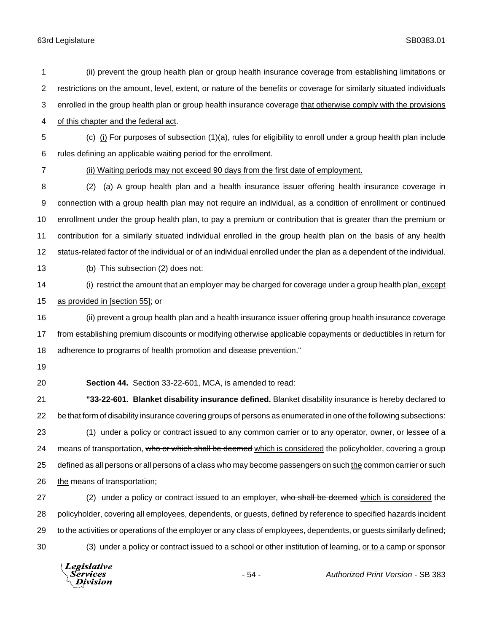(ii) prevent the group health plan or group health insurance coverage from establishing limitations or restrictions on the amount, level, extent, or nature of the benefits or coverage for similarly situated individuals enrolled in the group health plan or group health insurance coverage that otherwise comply with the provisions

of this chapter and the federal act.

 (c) (i) For purposes of subsection (1)(a), rules for eligibility to enroll under a group health plan include rules defining an applicable waiting period for the enrollment.

(ii) Waiting periods may not exceed 90 days from the first date of employment.

 (2) (a) A group health plan and a health insurance issuer offering health insurance coverage in connection with a group health plan may not require an individual, as a condition of enrollment or continued enrollment under the group health plan, to pay a premium or contribution that is greater than the premium or contribution for a similarly situated individual enrolled in the group health plan on the basis of any health status-related factor of the individual or of an individual enrolled under the plan as a dependent of the individual.

(b) This subsection (2) does not:

14 (i) restrict the amount that an employer may be charged for coverage under a group health plan, except as provided in [section 55]; or

 (ii) prevent a group health plan and a health insurance issuer offering group health insurance coverage from establishing premium discounts or modifying otherwise applicable copayments or deductibles in return for adherence to programs of health promotion and disease prevention."

- 
- 

**Section 44.** Section 33-22-601, MCA, is amended to read:

 **"33-22-601. Blanket disability insurance defined.** Blanket disability insurance is hereby declared to be that form of disability insurance covering groups of persons as enumerated in one of the following subsections: (1) under a policy or contract issued to any common carrier or to any operator, owner, or lessee of a 24 means of transportation, who or which shall be deemed which is considered the policyholder, covering a group 25 defined as all persons or all persons of a class who may become passengers on such the common carrier or such the means of transportation;

27 (2) under a policy or contract issued to an employer, who shall be deemed which is considered the policyholder, covering all employees, dependents, or guests, defined by reference to specified hazards incident to the activities or operations of the employer or any class of employees, dependents, or guests similarly defined; (3) under a policy or contract issued to a school or other institution of learning, or to a camp or sponsor

Legislative Services **Division**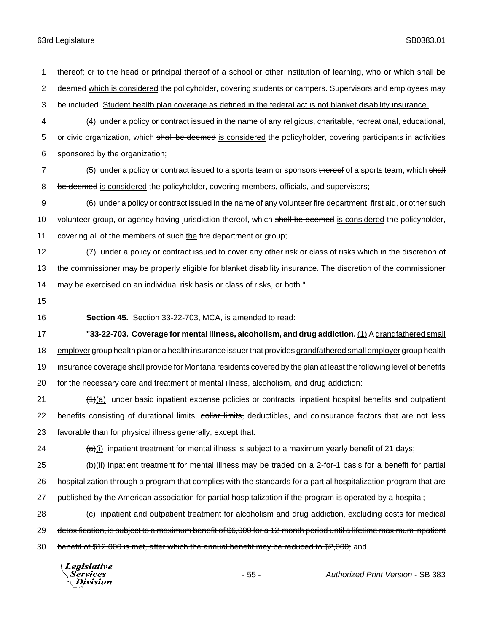1 thereof; or to the head or principal thereof of a school or other institution of learning, who or which shall be 2 deemed which is considered the policyholder, covering students or campers. Supervisors and employees may 3 be included. Student health plan coverage as defined in the federal act is not blanket disability insurance. 4 (4) under a policy or contract issued in the name of any religious, charitable, recreational, educational, 5 or civic organization, which shall be deemed is considered the policyholder, covering participants in activities 6 sponsored by the organization; 7 (5) under a policy or contract issued to a sports team or sponsors thereof of a sports team, which shall 8 be deemed is considered the policyholder, covering members, officials, and supervisors; 9 (6) under a policy or contract issued in the name of any volunteer fire department, first aid, or other such 10 volunteer group, or agency having jurisdiction thereof, which shall be deemed is considered the policyholder, 11 covering all of the members of such the fire department or group; 12 (7) under a policy or contract issued to cover any other risk or class of risks which in the discretion of 13 the commissioner may be properly eligible for blanket disability insurance. The discretion of the commissioner 14 may be exercised on an individual risk basis or class of risks, or both." 15 16 **Section 45.** Section 33-22-703, MCA, is amended to read: 17 **"33-22-703. Coverage for mental illness, alcoholism, and drug addiction.** (1) A grandfathered small 18 employer group health plan or a health insurance issuer that provides grandfathered small employer group health 19 insurance coverage shall provide for Montana residents covered by the plan at least the following level of benefits 20 for the necessary care and treatment of mental illness, alcoholism, and drug addiction:  $(1)$  (1)(a) under basic inpatient expense policies or contracts, inpatient hospital benefits and outpatient 22 benefits consisting of durational limits, dollar limits, deductibles, and coinsurance factors that are not less 23 favorable than for physical illness generally, except that:

24  $\left(\frac{a}{b}\right)$  inpatient treatment for mental illness is subject to a maximum yearly benefit of 21 days;

25  $(b)$ (ii) inpatient treatment for mental illness may be traded on a 2-for-1 basis for a benefit for partial 26 hospitalization through a program that complies with the standards for a partial hospitalization program that are 27 published by the American association for partial hospitalization if the program is operated by a hospital;

28 - (c) inpatient and outpatient treatment for alcoholism and drug addiction, excluding costs for medical

29 detoxification, is subject to a maximum benefit of \$6,000 for a 12-month period until a lifetime maximum inpatient

30 benefit of \$12,000 is met, after which the annual benefit may be reduced to \$2,000; and

Legislative Services Division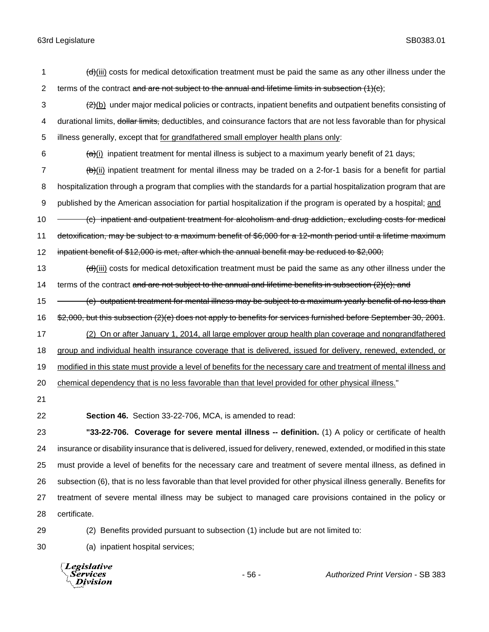- 1  $\left(\frac{d}{d}\right)$  (iii) costs for medical detoxification treatment must be paid the same as any other illness under the 2 terms of the contract and are not subject to the annual and lifetime limits in subsection  $(1)(c)$ ;
- $\left\langle \frac{1}{2}\right\rangle$ (b) under major medical policies or contracts, inpatient benefits and outpatient benefits consisting of 4 durational limits, dollar limits, deductibles, and coinsurance factors that are not less favorable than for physical 5 illness generally, except that for grandfathered small employer health plans only:
- 6  $\leftarrow$   $\left(\frac{1}{2}\right)$  inpatient treatment for mental illness is subject to a maximum yearly benefit of 21 days;
- 7 (b)(ii) inpatient treatment for mental illness may be traded on a 2-for-1 basis for a benefit for partial 8 hospitalization through a program that complies with the standards for a partial hospitalization program that are 9 published by the American association for partial hospitalization if the program is operated by a hospital; and
- 10 (c) inpatient and outpatient treatment for alcoholism and drug addiction, excluding costs for medical
- 11 detoxification, may be subject to a maximum benefit of \$6,000 for a 12-month period until a lifetime maximum
- 12 inpatient benefit of \$12,000 is met, after which the annual benefit may be reduced to \$2,000;
- 13  $\left(\frac{d}{d}\right)$ (iii) costs for medical detoxification treatment must be paid the same as any other illness under the 14 terms of the contract and are not subject to the annual and lifetime benefits in subsection (2)(c); and
- 15 (e) outpatient treatment for mental illness may be subject to a maximum yearly benefit of no less than
- 16 \$2,000, but this subsection (2)(e) does not apply to benefits for services furnished before September 30, 2001.
- 17 (2) On or after January 1, 2014, all large employer group health plan coverage and nongrandfathered 18 group and individual health insurance coverage that is delivered, issued for delivery, renewed, extended, or 19 modified in this state must provide a level of benefits for the necessary care and treatment of mental illness and 20 chemical dependency that is no less favorable than that level provided for other physical illness."
- 21
- 

22 **Section 46.** Section 33-22-706, MCA, is amended to read:

 **"33-22-706. Coverage for severe mental illness -- definition.** (1) A policy or certificate of health insurance or disability insurance that is delivered, issued for delivery, renewed, extended, or modified in this state must provide a level of benefits for the necessary care and treatment of severe mental illness, as defined in subsection (6), that is no less favorable than that level provided for other physical illness generally. Benefits for treatment of severe mental illness may be subject to managed care provisions contained in the policy or certificate.

- 
- 29 (2) Benefits provided pursuant to subsection (1) include but are not limited to:
- 30 (a) inpatient hospital services;

Legislative Services Division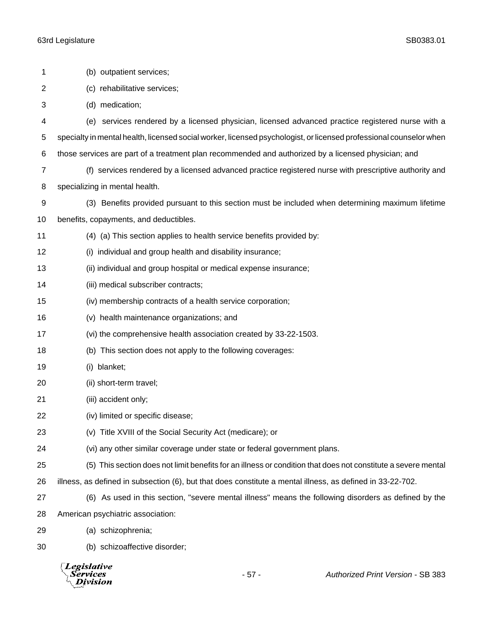| 1  | (b) outpatient services;                                                                                           |        |                                                                                                               |  |  |
|----|--------------------------------------------------------------------------------------------------------------------|--------|---------------------------------------------------------------------------------------------------------------|--|--|
| 2  | (c) rehabilitative services;                                                                                       |        |                                                                                                               |  |  |
| 3  | (d) medication;                                                                                                    |        |                                                                                                               |  |  |
| 4  | (e) services rendered by a licensed physician, licensed advanced practice registered nurse with a                  |        |                                                                                                               |  |  |
| 5  | specialty in mental health, licensed social worker, licensed psychologist, or licensed professional counselor when |        |                                                                                                               |  |  |
| 6  | those services are part of a treatment plan recommended and authorized by a licensed physician; and                |        |                                                                                                               |  |  |
| 7  |                                                                                                                    |        | (f) services rendered by a licensed advanced practice registered nurse with prescriptive authority and        |  |  |
| 8  | specializing in mental health.                                                                                     |        |                                                                                                               |  |  |
| 9  |                                                                                                                    |        | (3) Benefits provided pursuant to this section must be included when determining maximum lifetime             |  |  |
| 10 | benefits, copayments, and deductibles.                                                                             |        |                                                                                                               |  |  |
| 11 | (4) (a) This section applies to health service benefits provided by:                                               |        |                                                                                                               |  |  |
| 12 | (i) individual and group health and disability insurance;                                                          |        |                                                                                                               |  |  |
| 13 | (ii) individual and group hospital or medical expense insurance;                                                   |        |                                                                                                               |  |  |
| 14 | (iii) medical subscriber contracts;                                                                                |        |                                                                                                               |  |  |
| 15 | (iv) membership contracts of a health service corporation;                                                         |        |                                                                                                               |  |  |
| 16 | (v) health maintenance organizations; and                                                                          |        |                                                                                                               |  |  |
| 17 | (vi) the comprehensive health association created by 33-22-1503.                                                   |        |                                                                                                               |  |  |
| 18 | (b) This section does not apply to the following coverages:                                                        |        |                                                                                                               |  |  |
| 19 | (i) blanket;                                                                                                       |        |                                                                                                               |  |  |
| 20 | (ii) short-term travel;                                                                                            |        |                                                                                                               |  |  |
| 21 | (iii) accident only;                                                                                               |        |                                                                                                               |  |  |
| 22 | (iv) limited or specific disease;                                                                                  |        |                                                                                                               |  |  |
| 23 | (v) Title XVIII of the Social Security Act (medicare); or                                                          |        |                                                                                                               |  |  |
| 24 | (vi) any other similar coverage under state or federal government plans.                                           |        |                                                                                                               |  |  |
| 25 |                                                                                                                    |        | (5) This section does not limit benefits for an illness or condition that does not constitute a severe mental |  |  |
| 26 | illness, as defined in subsection (6), but that does constitute a mental illness, as defined in 33-22-702.         |        |                                                                                                               |  |  |
| 27 |                                                                                                                    |        | (6) As used in this section, "severe mental illness" means the following disorders as defined by the          |  |  |
| 28 | American psychiatric association:                                                                                  |        |                                                                                                               |  |  |
| 29 | (a) schizophrenia;                                                                                                 |        |                                                                                                               |  |  |
| 30 | (b) schizoaffective disorder;                                                                                      |        |                                                                                                               |  |  |
|    | <b>Legislative</b><br>Services<br>Division                                                                         | $-57-$ | <b>Authorized Print Version - SB 383</b>                                                                      |  |  |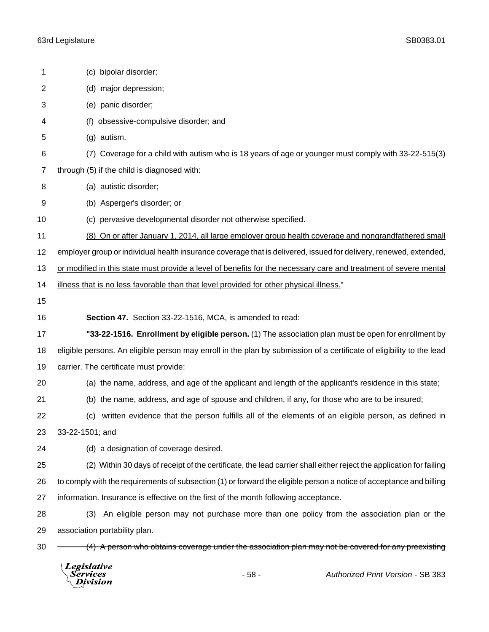|                | Legislative<br>Services<br>$-58-$<br><b>Authorized Print Version - SB 383</b><br>ivision                              |  |  |  |  |
|----------------|-----------------------------------------------------------------------------------------------------------------------|--|--|--|--|
| 30             | (4) A person who obtains coverage under the association plan may not be covered for any preexisting                   |  |  |  |  |
| 29             | association portability plan.                                                                                         |  |  |  |  |
| 28             | An eligible person may not purchase more than one policy from the association plan or the<br>(3)                      |  |  |  |  |
| 27             | information. Insurance is effective on the first of the month following acceptance.                                   |  |  |  |  |
| 26             | to comply with the requirements of subsection (1) or forward the eligible person a notice of acceptance and billing   |  |  |  |  |
| 25             | (2) Within 30 days of receipt of the certificate, the lead carrier shall either reject the application for failing    |  |  |  |  |
| 24             | (d) a designation of coverage desired.                                                                                |  |  |  |  |
| 23             | 33-22-1501; and                                                                                                       |  |  |  |  |
| 22             | written evidence that the person fulfills all of the elements of an eligible person, as defined in<br>(c)             |  |  |  |  |
| 21             | (b) the name, address, and age of spouse and children, if any, for those who are to be insured;                       |  |  |  |  |
| 20             | (a) the name, address, and age of the applicant and length of the applicant's residence in this state;                |  |  |  |  |
| 19             | carrier. The certificate must provide:                                                                                |  |  |  |  |
| 18             | eligible persons. An eligible person may enroll in the plan by submission of a certificate of eligibility to the lead |  |  |  |  |
| 17             | "33-22-1516. Enrollment by eligible person. (1) The association plan must be open for enrollment by                   |  |  |  |  |
| 16             | Section 47. Section 33-22-1516, MCA, is amended to read:                                                              |  |  |  |  |
| 15             |                                                                                                                       |  |  |  |  |
| 14             | illness that is no less favorable than that level provided for other physical illness."                               |  |  |  |  |
| 13             | or modified in this state must provide a level of benefits for the necessary care and treatment of severe mental      |  |  |  |  |
| 12             | employer group or individual health insurance coverage that is delivered, issued for delivery, renewed, extended,     |  |  |  |  |
| 11             | (8) On or after January 1, 2014, all large employer group health coverage and nongrandfathered small                  |  |  |  |  |
| 10             | (c) pervasive developmental disorder not otherwise specified.                                                         |  |  |  |  |
| 9              | (b) Asperger's disorder; or                                                                                           |  |  |  |  |
| 8              | (a) autistic disorder;                                                                                                |  |  |  |  |
| $\overline{7}$ | through (5) if the child is diagnosed with:                                                                           |  |  |  |  |
| 6              | Coverage for a child with autism who is 18 years of age or younger must comply with 33-22-515(3)<br>(7)               |  |  |  |  |
| 5              | (g) autism.                                                                                                           |  |  |  |  |
| 4              | obsessive-compulsive disorder; and<br>(f)                                                                             |  |  |  |  |
| 3              | (e) panic disorder;                                                                                                   |  |  |  |  |
| $\overline{2}$ | (d) major depression;                                                                                                 |  |  |  |  |
| 1              | (c) bipolar disorder;                                                                                                 |  |  |  |  |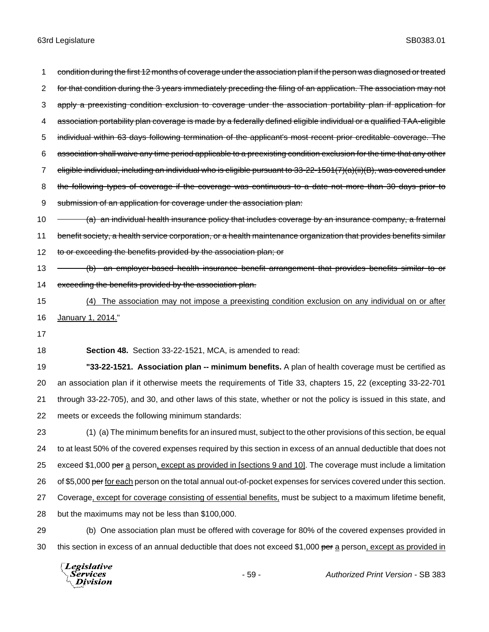1 condition during the first 12 months of coverage under the association plan if the person was diagnosed or treated 2 for that condition during the 3 years immediately preceding the filing of an application. The association may not 3 apply a preexisting condition exclusion to coverage under the association portability plan if application for 4 association portability plan coverage is made by a federally defined eligible individual or a qualified TAA-eligible 5 individual within 63 days following termination of the applicant's most recent prior creditable coverage. The 6 association shall waive any time period applicable to a preexisting condition exclusion for the time that any other 7 eligible individual, including an individual who is eligible pursuant to 33-22-1501(7)(a)(ii)(B), was covered under 8 the following types of coverage if the coverage was continuous to a date not more than 30 days prior to 9 submission of an application for coverage under the association plan: 10 (a) an individual health insurance policy that includes coverage by an insurance company, a fraternal 11 benefit society, a health service corporation, or a health maintenance organization that provides benefits similar 12 to or exceeding the benefits provided by the association plan; or 13 (b) an employer-based health insurance benefit arrangement that provides benefits similar to or 14 exceeding the benefits provided by the association plan. 15 (4) The association may not impose a preexisting condition exclusion on any individual on or after 16 January 1, 2014." 17 18 **Section 48.** Section 33-22-1521, MCA, is amended to read: 19 **"33-22-1521. Association plan -- minimum benefits.** A plan of health coverage must be certified as 20 an association plan if it otherwise meets the requirements of Title 33, chapters 15, 22 (excepting 33-22-701 21 through 33-22-705), and 30, and other laws of this state, whether or not the policy is issued in this state, and 22 meets or exceeds the following minimum standards: 23 (1) (a) The minimum benefits for an insured must, subject to the other provisions of this section, be equal 24 to at least 50% of the covered expenses required by this section in excess of an annual deductible that does not 25 exceed \$1,000 per a person, except as provided in [sections 9 and 10]. The coverage must include a limitation 26 of \$5,000 per for each person on the total annual out-of-pocket expenses for services covered under this section. 27 Coverage, except for coverage consisting of essential benefits, must be subject to a maximum lifetime benefit, 28 but the maximums may not be less than \$100,000. 29 (b) One association plan must be offered with coverage for 80% of the covered expenses provided in 30 this section in excess of an annual deductible that does not exceed \$1,000 per a person, except as provided in

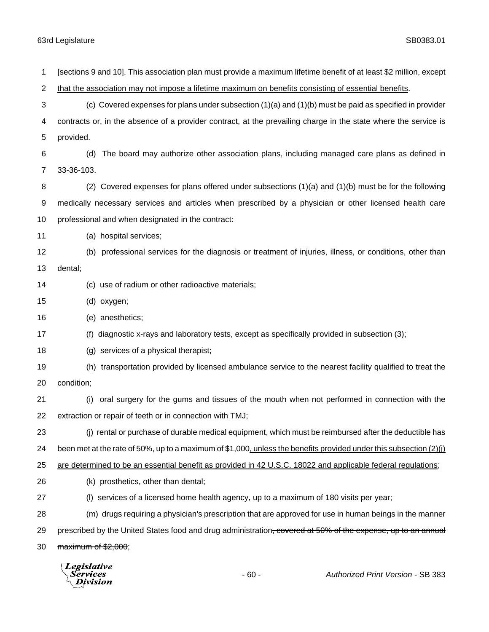| 1  | [sections 9 and 10]. This association plan must provide a maximum lifetime benefit of at least \$2 million, except       |  |  |  |
|----|--------------------------------------------------------------------------------------------------------------------------|--|--|--|
| 2  | that the association may not impose a lifetime maximum on benefits consisting of essential benefits.                     |  |  |  |
| 3  | (c) Covered expenses for plans under subsection $(1)(a)$ and $(1)(b)$ must be paid as specified in provider              |  |  |  |
| 4  | contracts or, in the absence of a provider contract, at the prevailing charge in the state where the service is          |  |  |  |
| 5  | provided.                                                                                                                |  |  |  |
| 6  | The board may authorize other association plans, including managed care plans as defined in<br>(d)                       |  |  |  |
| 7  | 33-36-103.                                                                                                               |  |  |  |
| 8  | (2) Covered expenses for plans offered under subsections $(1)(a)$ and $(1)(b)$ must be for the following                 |  |  |  |
| 9  | medically necessary services and articles when prescribed by a physician or other licensed health care                   |  |  |  |
| 10 | professional and when designated in the contract:                                                                        |  |  |  |
| 11 | (a) hospital services;                                                                                                   |  |  |  |
| 12 | (b) professional services for the diagnosis or treatment of injuries, illness, or conditions, other than                 |  |  |  |
| 13 | dental;                                                                                                                  |  |  |  |
| 14 | (c) use of radium or other radioactive materials;                                                                        |  |  |  |
| 15 | (d) oxygen;                                                                                                              |  |  |  |
| 16 | (e) anesthetics;                                                                                                         |  |  |  |
| 17 | (f) diagnostic x-rays and laboratory tests, except as specifically provided in subsection (3);                           |  |  |  |
| 18 | (g) services of a physical therapist;                                                                                    |  |  |  |
| 19 | (h) transportation provided by licensed ambulance service to the nearest facility qualified to treat the                 |  |  |  |
| 20 | condition;                                                                                                               |  |  |  |
| 21 | (i) oral surgery for the gums and tissues of the mouth when not performed in connection with the                         |  |  |  |
| 22 | extraction or repair of teeth or in connection with TMJ;                                                                 |  |  |  |
| 23 | (j) rental or purchase of durable medical equipment, which must be reimbursed after the deductible has                   |  |  |  |
| 24 | been met at the rate of 50%, up to a maximum of $$1,000$ , unless the benefits provided under this subsection (2)(j)     |  |  |  |
| 25 | are determined to be an essential benefit as provided in 42 U.S.C. 18022 and applicable federal regulations;             |  |  |  |
| 26 | (k) prosthetics, other than dental;                                                                                      |  |  |  |
| 27 | (I) services of a licensed home health agency, up to a maximum of 180 visits per year;                                   |  |  |  |
| 28 | (m) drugs requiring a physician's prescription that are approved for use in human beings in the manner                   |  |  |  |
| 29 | prescribed by the United States food and drug administration <del>, covered at 50% of the expense, up to an annual</del> |  |  |  |
| 30 | maximum of \$2,000;                                                                                                      |  |  |  |
|    |                                                                                                                          |  |  |  |

*Legislative*<br>Services<br>*Division*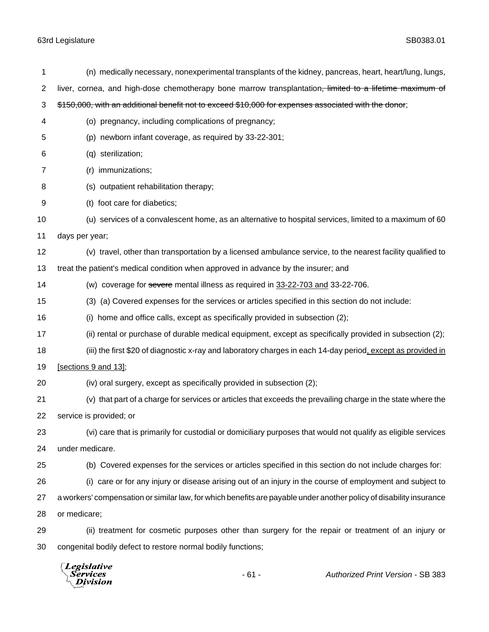| 1  | (n) medically necessary, nonexperimental transplants of the kidney, pancreas, heart, heart/lung, lungs,             |  |  |  |
|----|---------------------------------------------------------------------------------------------------------------------|--|--|--|
| 2  | liver, cornea, and high-dose chemotherapy bone marrow transplantation <del>, limited to a lifetime maximum of</del> |  |  |  |
| 3  | \$150,000, with an additional benefit not to exceed \$10,000 for expenses associated with the donor;                |  |  |  |
| 4  | (o) pregnancy, including complications of pregnancy;                                                                |  |  |  |
| 5  | (p) newborn infant coverage, as required by 33-22-301;                                                              |  |  |  |
| 6  | (q) sterilization;                                                                                                  |  |  |  |
| 7  | (r) immunizations;                                                                                                  |  |  |  |
| 8  | (s) outpatient rehabilitation therapy;                                                                              |  |  |  |
| 9  | (t) foot care for diabetics;                                                                                        |  |  |  |
| 10 | (u) services of a convalescent home, as an alternative to hospital services, limited to a maximum of 60             |  |  |  |
| 11 | days per year;                                                                                                      |  |  |  |
| 12 | (v) travel, other than transportation by a licensed ambulance service, to the nearest facility qualified to         |  |  |  |
| 13 | treat the patient's medical condition when approved in advance by the insurer; and                                  |  |  |  |
| 14 | (w) coverage for severe mental illness as required in 33-22-703 and 33-22-706.                                      |  |  |  |
| 15 | (3) (a) Covered expenses for the services or articles specified in this section do not include:                     |  |  |  |
| 16 | home and office calls, except as specifically provided in subsection (2);<br>(i)                                    |  |  |  |
| 17 | (ii) rental or purchase of durable medical equipment, except as specifically provided in subsection (2);            |  |  |  |
| 18 | (iii) the first \$20 of diagnostic x-ray and laboratory charges in each 14-day period, except as provided in        |  |  |  |
| 19 | [sections 9 and 13];                                                                                                |  |  |  |
| 20 | (iv) oral surgery, except as specifically provided in subsection (2);                                               |  |  |  |
| 21 | (v) that part of a charge for services or articles that exceeds the prevailing charge in the state where the        |  |  |  |
| 22 | service is provided; or                                                                                             |  |  |  |
| 23 | (vi) care that is primarily for custodial or domiciliary purposes that would not qualify as eligible services       |  |  |  |
| 24 | under medicare.                                                                                                     |  |  |  |
| 25 | (b) Covered expenses for the services or articles specified in this section do not include charges for:             |  |  |  |
| 26 | (i) care or for any injury or disease arising out of an injury in the course of employment and subject to           |  |  |  |
| 27 | a workers' compensation or similar law, for which benefits are payable under another policy of disability insurance |  |  |  |
| 28 | or medicare;                                                                                                        |  |  |  |
| 29 | (ii) treatment for cosmetic purposes other than surgery for the repair or treatment of an injury or                 |  |  |  |
| 30 | congenital bodily defect to restore normal bodily functions;                                                        |  |  |  |
|    |                                                                                                                     |  |  |  |

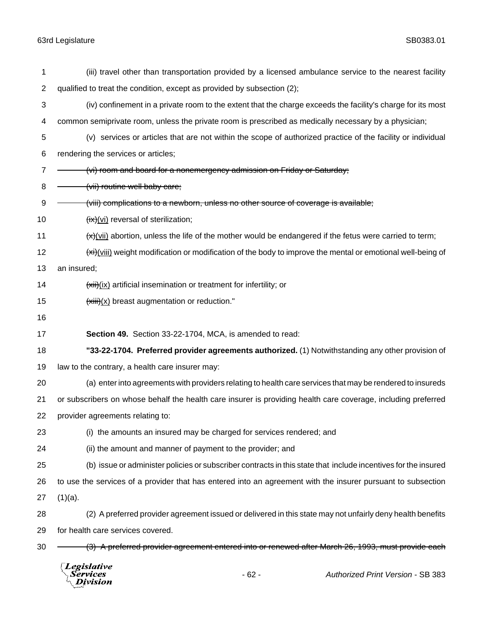| 1              | (iii) travel other than transportation provided by a licensed ambulance service to the nearest facility       |                                                            |                                                                                                                        |  |
|----------------|---------------------------------------------------------------------------------------------------------------|------------------------------------------------------------|------------------------------------------------------------------------------------------------------------------------|--|
| $\overline{2}$ | qualified to treat the condition, except as provided by subsection (2);                                       |                                                            |                                                                                                                        |  |
| 3              | (iv) confinement in a private room to the extent that the charge exceeds the facility's charge for its most   |                                                            |                                                                                                                        |  |
| 4              | common semiprivate room, unless the private room is prescribed as medically necessary by a physician;         |                                                            |                                                                                                                        |  |
| 5              |                                                                                                               |                                                            | (v) services or articles that are not within the scope of authorized practice of the facility or individual            |  |
| 6              | rendering the services or articles;                                                                           |                                                            |                                                                                                                        |  |
| 7              | (vi) room and board for a nonemergency admission on Friday or Saturday;                                       |                                                            |                                                                                                                        |  |
| 8              | (vii) routine well baby care;                                                                                 |                                                            |                                                                                                                        |  |
| 9              | (viii) complications to a newborn, unless no other source of coverage is available;                           |                                                            |                                                                                                                        |  |
| 10             | $f(x)(vi)$ reversal of sterilization;                                                                         |                                                            |                                                                                                                        |  |
| 11             |                                                                                                               |                                                            | $\leftrightarrow$ (vii) abortion, unless the life of the mother would be endangered if the fetus were carried to term; |  |
| 12             |                                                                                                               |                                                            | $\frac{f(x)}{f(x)}$ weight modification or modification of the body to improve the mental or emotional well-being of   |  |
| 13             | an insured;                                                                                                   |                                                            |                                                                                                                        |  |
| 14             | $\frac{f(x)}{f(x)}$ artificial insemination or treatment for infertility; or                                  |                                                            |                                                                                                                        |  |
| 15             | $\frac{f(x)}{f(x)}$ breast augmentation or reduction."                                                        |                                                            |                                                                                                                        |  |
| 16             |                                                                                                               |                                                            |                                                                                                                        |  |
| 17             | Section 49. Section 33-22-1704, MCA, is amended to read:                                                      |                                                            |                                                                                                                        |  |
| 18             |                                                                                                               |                                                            | "33-22-1704. Preferred provider agreements authorized. (1) Notwithstanding any other provision of                      |  |
| 19             | law to the contrary, a health care insurer may:                                                               |                                                            |                                                                                                                        |  |
| 20             | (a) enter into agreements with providers relating to health care services that may be rendered to insureds    |                                                            |                                                                                                                        |  |
| 21             | or subscribers on whose behalf the health care insurer is providing health care coverage, including preferred |                                                            |                                                                                                                        |  |
| 22             | provider agreements relating to:                                                                              |                                                            |                                                                                                                        |  |
| 23             | (i) the amounts an insured may be charged for services rendered; and                                          |                                                            |                                                                                                                        |  |
| 24             |                                                                                                               | (ii) the amount and manner of payment to the provider; and |                                                                                                                        |  |
| 25             |                                                                                                               |                                                            | (b) issue or administer policies or subscriber contracts in this state that include incentives for the insured         |  |
| 26             | to use the services of a provider that has entered into an agreement with the insurer pursuant to subsection  |                                                            |                                                                                                                        |  |
| 27             | $(1)(a)$ .                                                                                                    |                                                            |                                                                                                                        |  |
| 28             |                                                                                                               |                                                            | (2) A preferred provider agreement issued or delivered in this state may not unfairly deny health benefits             |  |
| 29             | for health care services covered.                                                                             |                                                            |                                                                                                                        |  |
| 30             |                                                                                                               |                                                            | (3) A preferred provider agreement entered into or renewed after March 26, 1993, must provide each                     |  |
|                | <b>Legislative</b><br>Services<br>ivision                                                                     | $-62-$                                                     | <b>Authorized Print Version - SB 383</b>                                                                               |  |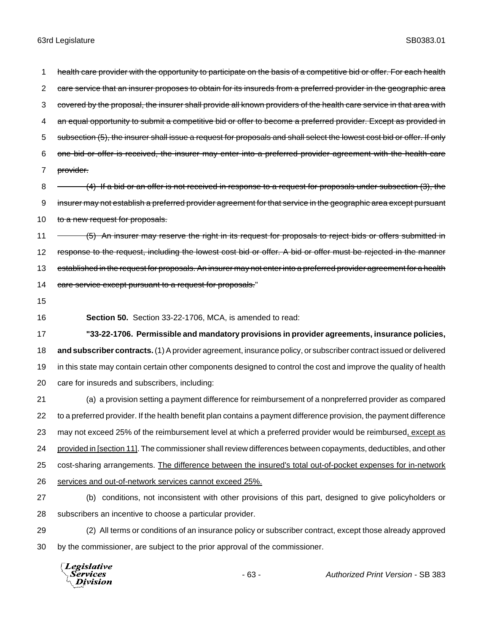1 health care provider with the opportunity to participate on the basis of a competitive bid or offer. For each health 2 care service that an insurer proposes to obtain for its insureds from a preferred provider in the geographic area 3 covered by the proposal, the insurer shall provide all known providers of the health care service in that area with 4 an equal opportunity to submit a competitive bid or offer to become a preferred provider. Except as provided in 5 subsection (5), the insurer shall issue a request for proposals and shall select the lowest cost bid or offer. If only 6 one bid or offer is received, the insurer may enter into a preferred provider agreement with the health care 7 provider.

8 - (4) If a bid or an offer is not received in response to a request for proposals under subsection (3), the 9 insurer may not establish a preferred provider agreement for that service in the geographic area except pursuant 10 to a new request for proposals.

11 - (5) An insurer may reserve the right in its request for proposals to reject bids or offers submitted in 12 response to the request, including the lowest cost bid or offer. A bid or offer must be rejected in the manner 13 established in the request for proposals. An insurer may not enter into a preferred provider agreement for a health 14 care service except pursuant to a request for proposals."

15

16 **Section 50.** Section 33-22-1706, MCA, is amended to read:

 **"33-22-1706. Permissible and mandatory provisions in provider agreements, insurance policies, and subscriber contracts.** (1) A provider agreement, insurance policy, or subscriber contract issued or delivered in this state may contain certain other components designed to control the cost and improve the quality of health care for insureds and subscribers, including:

 (a) a provision setting a payment difference for reimbursement of a nonpreferred provider as compared to a preferred provider. If the health benefit plan contains a payment difference provision, the payment difference 23 may not exceed 25% of the reimbursement level at which a preferred provider would be reimbursed, except as provided in [section 11]. The commissioner shall review differences between copayments, deductibles, and other cost-sharing arrangements. The difference between the insured's total out-of-pocket expenses for in-network services and out-of-network services cannot exceed 25%.

- 27 (b) conditions, not inconsistent with other provisions of this part, designed to give policyholders or 28 subscribers an incentive to choose a particular provider.
- 29 (2) All terms or conditions of an insurance policy or subscriber contract, except those already approved 30 by the commissioner, are subject to the prior approval of the commissioner.

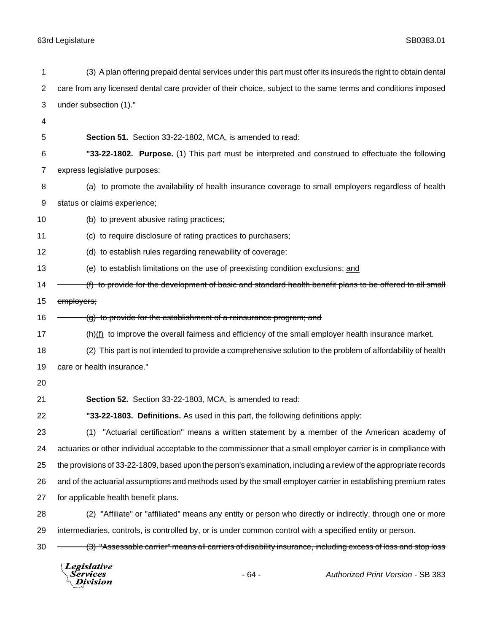|                | Legislative<br><b>Services</b><br>$-64-$<br>Authorized Print Version - SB 383<br>Division                        |  |  |  |
|----------------|------------------------------------------------------------------------------------------------------------------|--|--|--|
| 30             | (3) "Assessable carrier" means all carriers of disability insurance, including excess of loss and stop loss      |  |  |  |
| 29             | intermediaries, controls, is controlled by, or is under common control with a specified entity or person.        |  |  |  |
| 28             | (2) "Affiliate" or "affiliated" means any entity or person who directly or indirectly, through one or more       |  |  |  |
| 27             | for applicable health benefit plans.                                                                             |  |  |  |
| 26             | and of the actuarial assumptions and methods used by the small employer carrier in establishing premium rates    |  |  |  |
| 25             | the provisions of 33-22-1809, based upon the person's examination, including a review of the appropriate records |  |  |  |
| 24             | actuaries or other individual acceptable to the commissioner that a small employer carrier is in compliance with |  |  |  |
| 23             | "Actuarial certification" means a written statement by a member of the American academy of<br>(1)                |  |  |  |
| 22             | "33-22-1803. Definitions. As used in this part, the following definitions apply:                                 |  |  |  |
| 21             | Section 52. Section 33-22-1803, MCA, is amended to read:                                                         |  |  |  |
| 20             |                                                                                                                  |  |  |  |
| 19             | care or health insurance."                                                                                       |  |  |  |
| 18             | (2) This part is not intended to provide a comprehensive solution to the problem of affordability of health      |  |  |  |
| 17             | $\frac{h}{h}$ to improve the overall fairness and efficiency of the small employer health insurance market.      |  |  |  |
| 16             | (g) to provide for the establishment of a reinsurance program; and                                               |  |  |  |
| 15             | employers;                                                                                                       |  |  |  |
| 14             | (f) to provide for the development of basic and standard health benefit plans to be offered to all small         |  |  |  |
| 13             | (e) to establish limitations on the use of preexisting condition exclusions; and                                 |  |  |  |
| 12             | (d) to establish rules regarding renewability of coverage;                                                       |  |  |  |
| 11             | (c) to require disclosure of rating practices to purchasers;                                                     |  |  |  |
| 10             | (b) to prevent abusive rating practices;                                                                         |  |  |  |
| 9              | status or claims experience;                                                                                     |  |  |  |
| 8              | (a) to promote the availability of health insurance coverage to small employers regardless of health             |  |  |  |
| 7              | express legislative purposes:                                                                                    |  |  |  |
| 6              | "33-22-1802. Purpose. (1) This part must be interpreted and construed to effectuate the following                |  |  |  |
| 5              | Section 51. Section 33-22-1802, MCA, is amended to read:                                                         |  |  |  |
| 4              |                                                                                                                  |  |  |  |
| 3              | under subsection (1)."                                                                                           |  |  |  |
| $\overline{c}$ | care from any licensed dental care provider of their choice, subject to the same terms and conditions imposed    |  |  |  |
| 1              | (3) A plan offering prepaid dental services under this part must offer its insureds the right to obtain dental   |  |  |  |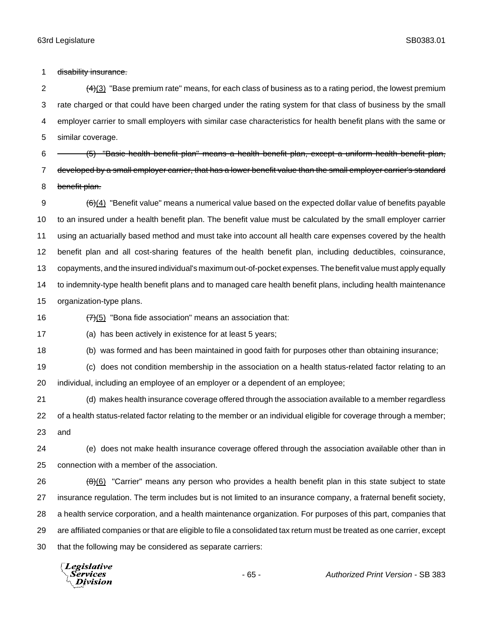1 disability insurance.

 $\left(4\right)$ (3) "Base premium rate" means, for each class of business as to a rating period, the lowest premium rate charged or that could have been charged under the rating system for that class of business by the small employer carrier to small employers with similar case characteristics for health benefit plans with the same or similar coverage.

6 <sup>-</sup> (5) "Basic health benefit plan" means a health benefit plan, except a uniform health benefit plan, 7 developed by a small employer carrier, that has a lower benefit value than the small employer carrier's standard 8 benefit plan.

 $9 \left(6\right)$  "Benefit value" means a numerical value based on the expected dollar value of benefits payable to an insured under a health benefit plan. The benefit value must be calculated by the small employer carrier using an actuarially based method and must take into account all health care expenses covered by the health benefit plan and all cost-sharing features of the health benefit plan, including deductibles, coinsurance, copayments, and the insured individual's maximum out-of-pocket expenses. The benefit value must apply equally to indemnity-type health benefit plans and to managed care health benefit plans, including health maintenance organization-type plans.

16  $\left(7\right)$  (5) "Bona fide association" means an association that:

(a) has been actively in existence for at least 5 years;

(b) was formed and has been maintained in good faith for purposes other than obtaining insurance;

(c) does not condition membership in the association on a health status-related factor relating to an

individual, including an employee of an employer or a dependent of an employee;

 (d) makes health insurance coverage offered through the association available to a member regardless of a health status-related factor relating to the member or an individual eligible for coverage through a member; and

 (e) does not make health insurance coverage offered through the association available other than in connection with a member of the association.

 $\left(\frac{\theta}{6}\right)$  "Carrier" means any person who provides a health benefit plan in this state subject to state insurance regulation. The term includes but is not limited to an insurance company, a fraternal benefit society, a health service corporation, and a health maintenance organization. For purposes of this part, companies that are affiliated companies or that are eligible to file a consolidated tax return must be treated as one carrier, except that the following may be considered as separate carriers:

**Legislative** Services Division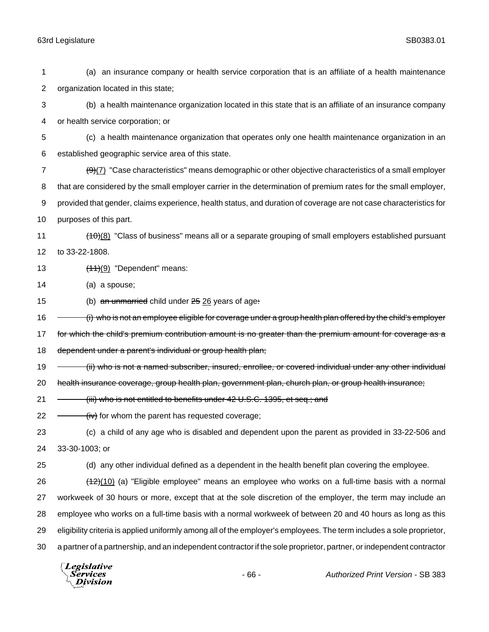| 1  |                                                                                                                       |        | (a) an insurance company or health service corporation that is an affiliate of a health maintenance                        |  |
|----|-----------------------------------------------------------------------------------------------------------------------|--------|----------------------------------------------------------------------------------------------------------------------------|--|
| 2  | organization located in this state;                                                                                   |        |                                                                                                                            |  |
| 3  | (b) a health maintenance organization located in this state that is an affiliate of an insurance company              |        |                                                                                                                            |  |
| 4  | or health service corporation; or                                                                                     |        |                                                                                                                            |  |
| 5  |                                                                                                                       |        | (c) a health maintenance organization that operates only one health maintenance organization in an                         |  |
| 6  | established geographic service area of this state.                                                                    |        |                                                                                                                            |  |
| 7  |                                                                                                                       |        | $\left(\frac{9}{2}\right)$ "Case characteristics" means demographic or other objective characteristics of a small employer |  |
| 8  | that are considered by the small employer carrier in the determination of premium rates for the small employer,       |        |                                                                                                                            |  |
| 9  | provided that gender, claims experience, health status, and duration of coverage are not case characteristics for     |        |                                                                                                                            |  |
| 10 | purposes of this part.                                                                                                |        |                                                                                                                            |  |
| 11 |                                                                                                                       |        | $(10)(8)$ "Class of business" means all or a separate grouping of small employers established pursuant                     |  |
| 12 | to 33-22-1808.                                                                                                        |        |                                                                                                                            |  |
| 13 | $(11)(9)$ "Dependent" means:                                                                                          |        |                                                                                                                            |  |
| 14 | (a) a spouse;                                                                                                         |        |                                                                                                                            |  |
| 15 | (b) an unmarried child under $2526$ years of age.                                                                     |        |                                                                                                                            |  |
| 16 | (i) who is not an employee eligible for coverage under a group health plan offered by the child's employer            |        |                                                                                                                            |  |
| 17 | for which the child's premium contribution amount is no greater than the premium amount for coverage as a             |        |                                                                                                                            |  |
| 18 | dependent under a parent's individual or group health plan;                                                           |        |                                                                                                                            |  |
| 19 | ii) who is not a named subscriber, insured, enrollee, or covered individual under any other individual                |        |                                                                                                                            |  |
| 20 | health insurance coverage, group health plan, government plan, church plan, or group health insurance;                |        |                                                                                                                            |  |
| 21 | (iii) who is not entitled to benefits under 42 U.S.C. 1395, et seq.; and                                              |        |                                                                                                                            |  |
| 22 | (iv) for whom the parent has requested coverage;                                                                      |        |                                                                                                                            |  |
| 23 | (c) a child of any age who is disabled and dependent upon the parent as provided in 33-22-506 and                     |        |                                                                                                                            |  |
| 24 | 33-30-1003; or                                                                                                        |        |                                                                                                                            |  |
| 25 | (d) any other individual defined as a dependent in the health benefit plan covering the employee.                     |        |                                                                                                                            |  |
| 26 | $(12)(10)$ (a) "Eligible employee" means an employee who works on a full-time basis with a normal                     |        |                                                                                                                            |  |
| 27 | workweek of 30 hours or more, except that at the sole discretion of the employer, the term may include an             |        |                                                                                                                            |  |
| 28 | employee who works on a full-time basis with a normal workweek of between 20 and 40 hours as long as this             |        |                                                                                                                            |  |
| 29 | eligibility criteria is applied uniformly among all of the employer's employees. The term includes a sole proprietor, |        |                                                                                                                            |  |
| 30 | a partner of a partnership, and an independent contractor if the sole proprietor, partner, or independent contractor  |        |                                                                                                                            |  |
|    | Legislative<br><i>Services</i><br>Division                                                                            | $-66-$ | Authorized Print Version - SB 383                                                                                          |  |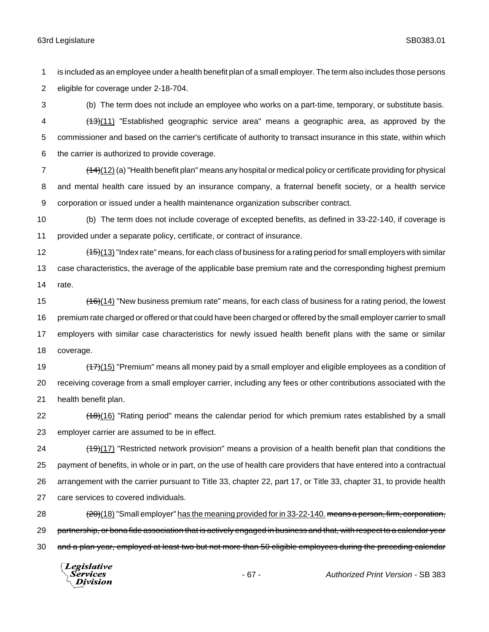is included as an employee under a health benefit plan of a small employer. The term also includes those persons eligible for coverage under 2-18-704.

 (b) The term does not include an employee who works on a part-time, temporary, or substitute basis. 4 (13)(11) "Established geographic service area" means a geographic area, as approved by the commissioner and based on the carrier's certificate of authority to transact insurance in this state, within which the carrier is authorized to provide coverage.

7 (14)(12) (a) "Health benefit plan" means any hospital or medical policy or certificate providing for physical and mental health care issued by an insurance company, a fraternal benefit society, or a health service corporation or issued under a health maintenance organization subscriber contract.

 (b) The term does not include coverage of excepted benefits, as defined in 33-22-140, if coverage is provided under a separate policy, certificate, or contract of insurance.

12 (15)(13) "Index rate" means, for each class of business for a rating period for small employers with similar case characteristics, the average of the applicable base premium rate and the corresponding highest premium rate.

 $(16)(14)$  "New business premium rate" means, for each class of business for a rating period, the lowest premium rate charged or offered or that could have been charged or offered by the small employer carrier to small employers with similar case characteristics for newly issued health benefit plans with the same or similar coverage.

 $(17)(15)$  "Premium" means all money paid by a small employer and eligible employees as a condition of receiving coverage from a small employer carrier, including any fees or other contributions associated with the health benefit plan.

22 (18)(16) "Rating period" means the calendar period for which premium rates established by a small employer carrier are assumed to be in effect.

24 (19)(17) "Restricted network provision" means a provision of a health benefit plan that conditions the payment of benefits, in whole or in part, on the use of health care providers that have entered into a contractual arrangement with the carrier pursuant to Title 33, chapter 22, part 17, or Title 33, chapter 31, to provide health care services to covered individuals.

28 (20)(18) "Small employer" has the meaning provided for in 33-22-140. <del>means a person, firm, corporation,</del> 29 partnership, or bona fide association that is actively engaged in business and that, with respect to a calendar year 30 and a plan year, employed at least two but not more than 50 eligible employees during the preceding calendar

Legislative Services Division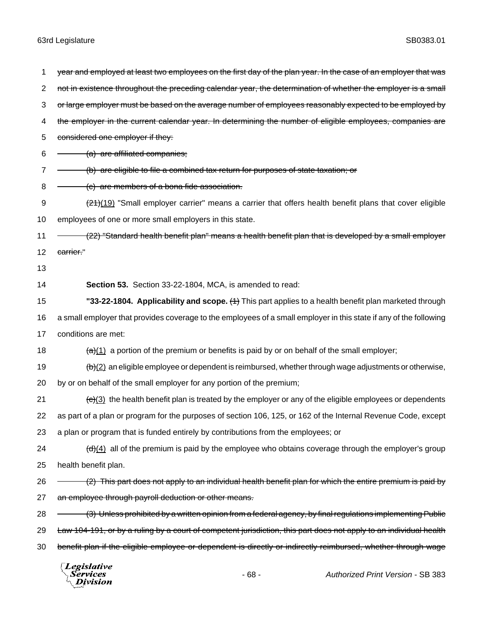Division

1 year and employed at least two employees on the first day of the plan year. In the case of an employer that was 2 not in existence throughout the preceding calendar year, the determination of whether the employer is a small 3 or large employer must be based on the average number of employees reasonably expected to be employed by 4 the employer in the current calendar year. In determining the number of eligible employees, companies are 5 considered one employer if they:  $6 \quad - \quad$  (a) are affiliated companies; 7 - (b) are eligible to file a combined tax return for purposes of state taxation; or 8 (c) are members of a bona fide association. 9 (21)(19) "Small employer carrier" means a carrier that offers health benefit plans that cover eligible 10 employees of one or more small employers in this state. 11 - (22) "Standard health benefit plan" means a health benefit plan that is developed by a small employer 12 carrier." 13 14 **Section 53.** Section 33-22-1804, MCA, is amended to read: 15 **"33-22-1804. Applicability and scope.** (1) This part applies to a health benefit plan marketed through 16 a small employer that provides coverage to the employees of a small employer in this state if any of the following 17 conditions are met: 18  $\left(\frac{a}{(1)}\right)$  a portion of the premium or benefits is paid by or on behalf of the small employer; 19  $\left(\frac{b}{c}\right)$  an eligible employee or dependent is reimbursed, whether through wage adjustments or otherwise, 20 by or on behalf of the small employer for any portion of the premium; 21  $\left(\frac{e}{(3)}\right)$  the health benefit plan is treated by the employer or any of the eligible employees or dependents 22 as part of a plan or program for the purposes of section 106, 125, or 162 of the Internal Revenue Code, except 23 a plan or program that is funded entirely by contributions from the employees; or 24  $\left(\frac{d}{d}\right)$  all of the premium is paid by the employee who obtains coverage through the employer's group 25 health benefit plan. 26 - (2) This part does not apply to an individual health benefit plan for which the entire premium is paid by 27 an employee through payroll deduction or other means. 28 – (3) Unless prohibited by a written opinion from a federal agency, by final regulations implementing Public 29 Law 104-191, or by a ruling by a court of competent jurisdiction, this part does not apply to an individual health 30 benefit plan if the eligible employee or dependent is directly or indirectly reimbursed, whether through wage Legislative *Services* - 68 - *Authorized Print Version* - SB 383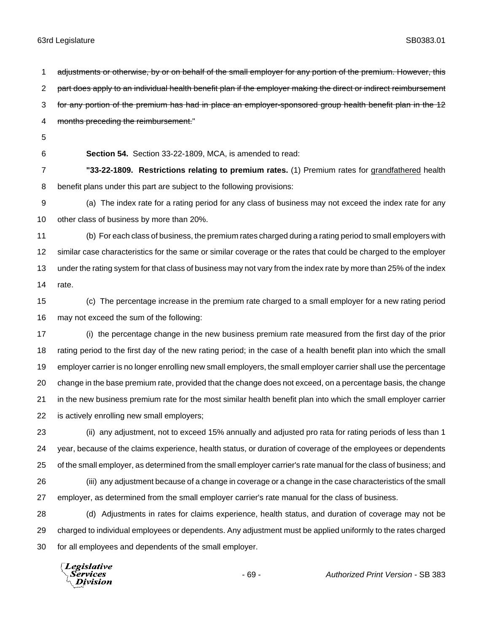1 adjustments or otherwise, by or on behalf of the small employer for any portion of the premium. However, this 2 part does apply to an individual health benefit plan if the employer making the direct or indirect reimbursement 3 for any portion of the premium has had in place an employer-sponsored group health benefit plan in the 12 months preceding the reimbursement." **Section 54.** Section 33-22-1809, MCA, is amended to read: **"33-22-1809. Restrictions relating to premium rates.** (1) Premium rates for grandfathered health benefit plans under this part are subject to the following provisions: (a) The index rate for a rating period for any class of business may not exceed the index rate for any other class of business by more than 20%. (b) For each class of business, the premium rates charged during a rating period to small employers with similar case characteristics for the same or similar coverage or the rates that could be charged to the employer under the rating system for that class of business may not vary from the index rate by more than 25% of the index rate. (c) The percentage increase in the premium rate charged to a small employer for a new rating period may not exceed the sum of the following: (i) the percentage change in the new business premium rate measured from the first day of the prior

 rating period to the first day of the new rating period; in the case of a health benefit plan into which the small employer carrier is no longer enrolling new small employers, the small employer carrier shall use the percentage change in the base premium rate, provided that the change does not exceed, on a percentage basis, the change in the new business premium rate for the most similar health benefit plan into which the small employer carrier is actively enrolling new small employers;

 (ii) any adjustment, not to exceed 15% annually and adjusted pro rata for rating periods of less than 1 year, because of the claims experience, health status, or duration of coverage of the employees or dependents of the small employer, as determined from the small employer carrier's rate manual for the class of business; and (iii) any adjustment because of a change in coverage or a change in the case characteristics of the small employer, as determined from the small employer carrier's rate manual for the class of business.

 (d) Adjustments in rates for claims experience, health status, and duration of coverage may not be charged to individual employees or dependents. Any adjustment must be applied uniformly to the rates charged for all employees and dependents of the small employer.

Legislative *Services* Division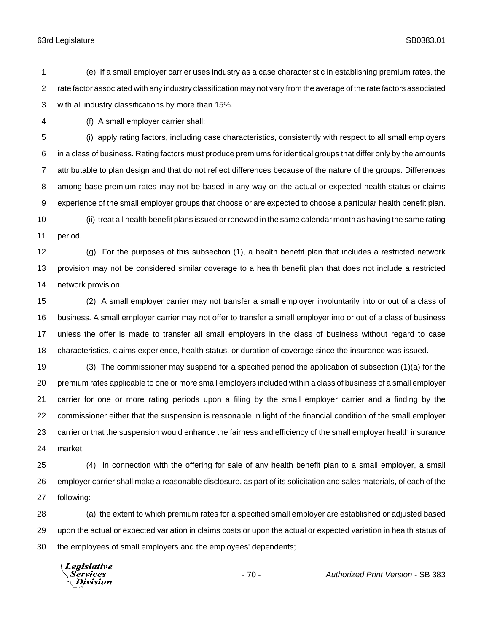(e) If a small employer carrier uses industry as a case characteristic in establishing premium rates, the rate factor associated with any industry classification may not vary from the average of the rate factors associated with all industry classifications by more than 15%.

(f) A small employer carrier shall:

 (i) apply rating factors, including case characteristics, consistently with respect to all small employers in a class of business. Rating factors must produce premiums for identical groups that differ only by the amounts attributable to plan design and that do not reflect differences because of the nature of the groups. Differences among base premium rates may not be based in any way on the actual or expected health status or claims experience of the small employer groups that choose or are expected to choose a particular health benefit plan. (ii) treat all health benefit plans issued or renewed in the same calendar month as having the same rating

period.

 (g) For the purposes of this subsection (1), a health benefit plan that includes a restricted network provision may not be considered similar coverage to a health benefit plan that does not include a restricted network provision.

 (2) A small employer carrier may not transfer a small employer involuntarily into or out of a class of business. A small employer carrier may not offer to transfer a small employer into or out of a class of business unless the offer is made to transfer all small employers in the class of business without regard to case characteristics, claims experience, health status, or duration of coverage since the insurance was issued.

 (3) The commissioner may suspend for a specified period the application of subsection (1)(a) for the premium rates applicable to one or more small employers included within a class of business of a small employer carrier for one or more rating periods upon a filing by the small employer carrier and a finding by the commissioner either that the suspension is reasonable in light of the financial condition of the small employer carrier or that the suspension would enhance the fairness and efficiency of the small employer health insurance market.

 (4) In connection with the offering for sale of any health benefit plan to a small employer, a small employer carrier shall make a reasonable disclosure, as part of its solicitation and sales materials, of each of the following:

 (a) the extent to which premium rates for a specified small employer are established or adjusted based upon the actual or expected variation in claims costs or upon the actual or expected variation in health status of the employees of small employers and the employees' dependents;

Legislative Services Division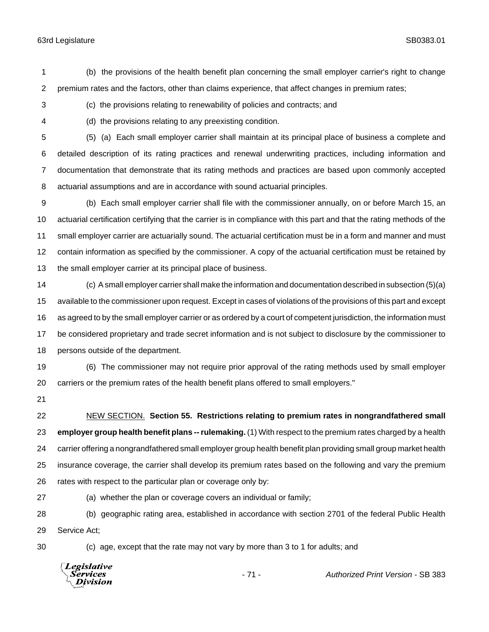(b) the provisions of the health benefit plan concerning the small employer carrier's right to change premium rates and the factors, other than claims experience, that affect changes in premium rates;

(c) the provisions relating to renewability of policies and contracts; and

(d) the provisions relating to any preexisting condition.

 (5) (a) Each small employer carrier shall maintain at its principal place of business a complete and detailed description of its rating practices and renewal underwriting practices, including information and documentation that demonstrate that its rating methods and practices are based upon commonly accepted actuarial assumptions and are in accordance with sound actuarial principles.

 (b) Each small employer carrier shall file with the commissioner annually, on or before March 15, an actuarial certification certifying that the carrier is in compliance with this part and that the rating methods of the small employer carrier are actuarially sound. The actuarial certification must be in a form and manner and must contain information as specified by the commissioner. A copy of the actuarial certification must be retained by the small employer carrier at its principal place of business.

 (c) A small employer carrier shall make the information and documentation described in subsection (5)(a) available to the commissioner upon request. Except in cases of violations of the provisions of this part and except as agreed to by the small employer carrier or as ordered by a court of competent jurisdiction, the information must be considered proprietary and trade secret information and is not subject to disclosure by the commissioner to persons outside of the department.

 (6) The commissioner may not require prior approval of the rating methods used by small employer carriers or the premium rates of the health benefit plans offered to small employers."

 NEW SECTION. **Section 55. Restrictions relating to premium rates in nongrandfathered small employer group health benefit plans -- rulemaking.** (1) With respect to the premium rates charged by a health carrier offering a nongrandfathered small employer group health benefit plan providing small group market health insurance coverage, the carrier shall develop its premium rates based on the following and vary the premium rates with respect to the particular plan or coverage only by:

(a) whether the plan or coverage covers an individual or family;

 (b) geographic rating area, established in accordance with section 2701 of the federal Public Health Service Act;

(c) age, except that the rate may not vary by more than 3 to 1 for adults; and

Legislative *Services* **Division** 

- 71 - *Authorized Print Version* - SB 383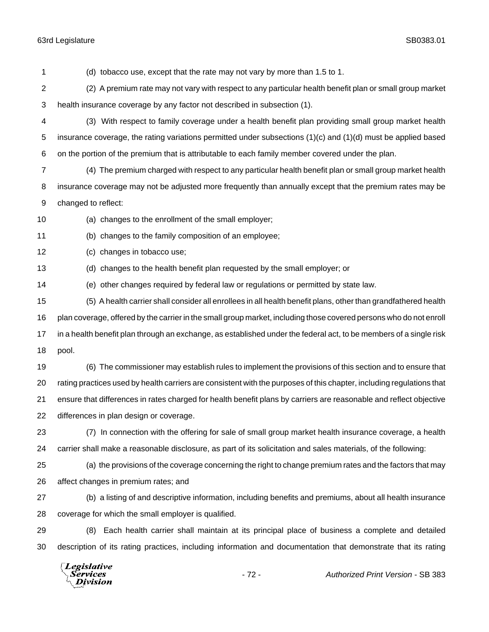Division

 (d) tobacco use, except that the rate may not vary by more than 1.5 to 1. (2) A premium rate may not vary with respect to any particular health benefit plan or small group market health insurance coverage by any factor not described in subsection (1). (3) With respect to family coverage under a health benefit plan providing small group market health insurance coverage, the rating variations permitted under subsections (1)(c) and (1)(d) must be applied based on the portion of the premium that is attributable to each family member covered under the plan. (4) The premium charged with respect to any particular health benefit plan or small group market health insurance coverage may not be adjusted more frequently than annually except that the premium rates may be changed to reflect: (a) changes to the enrollment of the small employer; (b) changes to the family composition of an employee; (c) changes in tobacco use; (d) changes to the health benefit plan requested by the small employer; or (e) other changes required by federal law or regulations or permitted by state law. (5) A health carrier shall consider all enrollees in all health benefit plans, other than grandfathered health plan coverage, offered by the carrier in the small group market, including those covered persons who do not enroll in a health benefit plan through an exchange, as established under the federal act, to be members of a single risk pool. (6) The commissioner may establish rules to implement the provisions of this section and to ensure that rating practices used by health carriers are consistent with the purposes of this chapter, including regulations that ensure that differences in rates charged for health benefit plans by carriers are reasonable and reflect objective differences in plan design or coverage. (7) In connection with the offering for sale of small group market health insurance coverage, a health carrier shall make a reasonable disclosure, as part of its solicitation and sales materials, of the following: (a) the provisions of the coverage concerning the right to change premium rates and the factors that may affect changes in premium rates; and (b) a listing of and descriptive information, including benefits and premiums, about all health insurance coverage for which the small employer is qualified. (8) Each health carrier shall maintain at its principal place of business a complete and detailed description of its rating practices, including information and documentation that demonstrate that its rating Legislative Services - 72 - *Authorized Print Version* - SB 383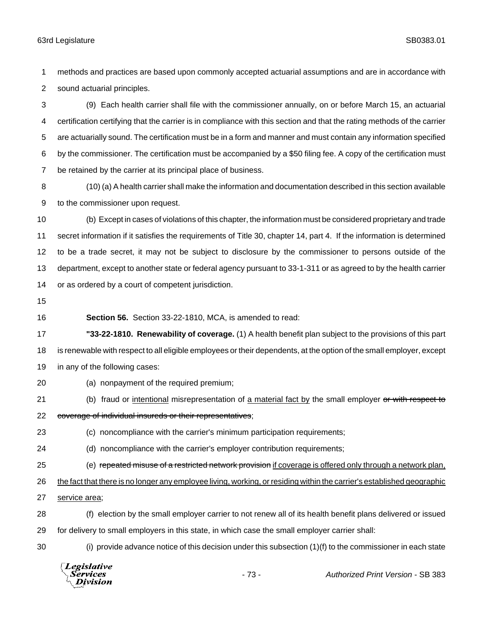methods and practices are based upon commonly accepted actuarial assumptions and are in accordance with sound actuarial principles.

 (9) Each health carrier shall file with the commissioner annually, on or before March 15, an actuarial certification certifying that the carrier is in compliance with this section and that the rating methods of the carrier are actuarially sound. The certification must be in a form and manner and must contain any information specified by the commissioner. The certification must be accompanied by a \$50 filing fee. A copy of the certification must be retained by the carrier at its principal place of business.

 (10) (a) A health carrier shall make the information and documentation described in this section available to the commissioner upon request.

 (b) Except in cases of violations of this chapter, the information must be considered proprietary and trade secret information if it satisfies the requirements of Title 30, chapter 14, part 4. If the information is determined to be a trade secret, it may not be subject to disclosure by the commissioner to persons outside of the department, except to another state or federal agency pursuant to 33-1-311 or as agreed to by the health carrier or as ordered by a court of competent jurisdiction.

**Section 56.** Section 33-22-1810, MCA, is amended to read:

 **"33-22-1810. Renewability of coverage.** (1) A health benefit plan subject to the provisions of this part is renewable with respect to all eligible employees or their dependents, at the option of the small employer, except in any of the following cases:

- (a) nonpayment of the required premium;
- 

- 21 (b) fraud or intentional misrepresentation of a material fact by the small employer or with respect to 22 coverage of individual insureds or their representatives;
- (c) noncompliance with the carrier's minimum participation requirements;
- (d) noncompliance with the carrier's employer contribution requirements;
- 25 (e) repeated misuse of a restricted network provision if coverage is offered only through a network plan,

26 the fact that there is no longer any employee living, working, or residing within the carrier's established geographic

- service area;
- (f) election by the small employer carrier to not renew all of its health benefit plans delivered or issued for delivery to small employers in this state, in which case the small employer carrier shall:
- 

(i) provide advance notice of this decision under this subsection (1)(f) to the commissioner in each state

**Legislative** Services - 73 - *Authorized Print Version* - SB 383Division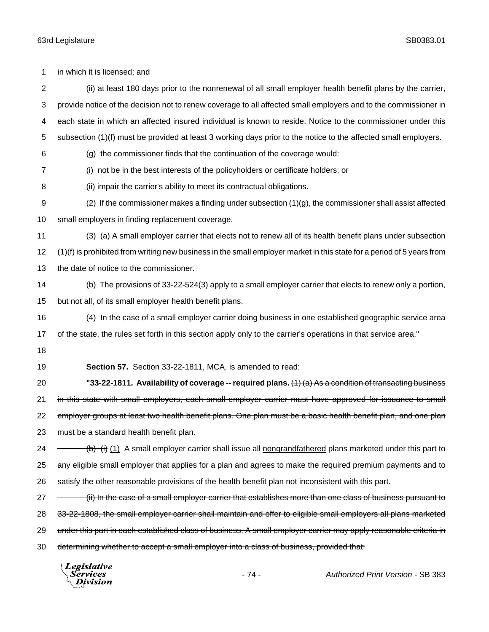in which it is licensed; and (ii) at least 180 days prior to the nonrenewal of all small employer health benefit plans by the carrier, provide notice of the decision not to renew coverage to all affected small employers and to the commissioner in each state in which an affected insured individual is known to reside. Notice to the commissioner under this subsection (1)(f) must be provided at least 3 working days prior to the notice to the affected small employers. (g) the commissioner finds that the continuation of the coverage would: (i) not be in the best interests of the policyholders or certificate holders; or (ii) impair the carrier's ability to meet its contractual obligations. 9 (2) If the commissioner makes a finding under subsection  $(1)(g)$ , the commissioner shall assist affected small employers in finding replacement coverage. (3) (a) A small employer carrier that elects not to renew all of its health benefit plans under subsection (1)(f) is prohibited from writing new business in the small employer market in this state for a period of 5 years from the date of notice to the commissioner. (b) The provisions of 33-22-524(3) apply to a small employer carrier that elects to renew only a portion, but not all, of its small employer health benefit plans. (4) In the case of a small employer carrier doing business in one established geographic service area of the state, the rules set forth in this section apply only to the carrier's operations in that service area." 18 **Section 57.** Section 33-22-1811, MCA, is amended to read: **"33-22-1811. Availability of coverage -- required plans.** (1) (a) As a condition of transacting business 21 in this state with small employers, each small employer carrier must have approved for issuance to small 22 employer groups at least two health benefit plans. One plan must be a basic health benefit plan, and one plan 23 must be a standard health benefit plan.  $24 \rightarrow$  (b) (i) A small employer carrier shall issue all nongrandfathered plans marketed under this part to any eligible small employer that applies for a plan and agrees to make the required premium payments and to satisfy the other reasonable provisions of the health benefit plan not inconsistent with this part. 27 (ii) In the case of a small employer carrier that establishes more than one class of business pursuant to 28 33-22-1808, the small employer carrier shall maintain and offer to eligible small employers all plans marketed 29 under this part in each established class of business. A small employer carrier may apply reasonable criteria in 30 determining whether to accept a small employer into a class of business, provided that:

Legislative *Services* Division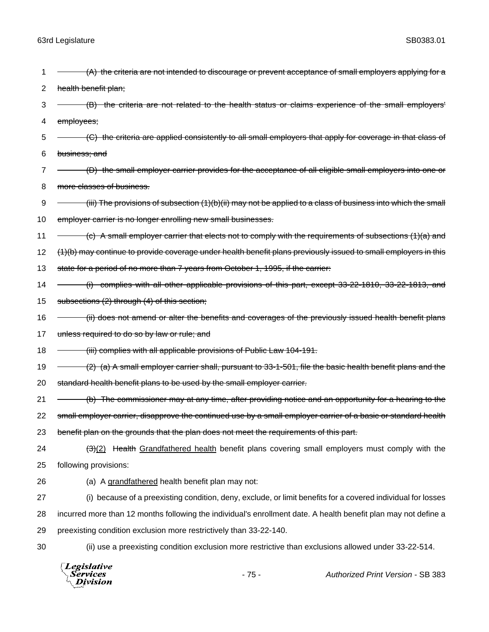| 1  | (A) the criteria are not intended to discourage or prevent acceptance of small employers applying for a           |
|----|-------------------------------------------------------------------------------------------------------------------|
| 2  | health benefit plan;                                                                                              |
| 3  | (B) the criteria are not related to the health status or claims experience of the small employers'                |
| 4  | employees;                                                                                                        |
| 5  | (C) the criteria are applied consistently to all small employers that apply for coverage in that class of         |
| 6  | business; and                                                                                                     |
| 7  | (D) the small employer carrier provides for the acceptance of all eligible small employers into one or            |
| 8  | more classes of business.                                                                                         |
| 9  | $(iii)$ The provisions of subsection $(1)(b)(ii)$ may not be applied to a class of business into which the small  |
| 10 | employer carrier is no longer enrolling new small businesses.                                                     |
| 11 | $\epsilon$ ) A small employer carrier that elects not to comply with the requirements of subsections $(1)(a)$ and |
| 12 | (1)(b) may continue to provide coverage under health benefit plans previously issued to small employers in this   |
| 13 | state for a period of no more than 7 years from October 1, 1995, if the carrier:                                  |
| 14 | (i) complies with all other applicable provisions of this part, except 33-22-1810, 33-22-1813, and                |
| 15 | subsections (2) through (4) of this section;                                                                      |
| 16 | (ii) does not amend or alter the benefits and coverages of the previously issued health benefit plans             |
| 17 | unless required to do so by law or rule; and                                                                      |
| 18 | (iii) complies with all applicable provisions of Public Law 104-191.                                              |
| 19 | (2) (a) A small employer carrier shall, pursuant to 33-1-501, file the basic health benefit plans and the         |
| 20 | standard health benefit plans to be used by the small employer carrier.                                           |
| 21 | (b) The commissioner may at any time, after providing notice and an opportunity for a hearing to the              |
| 22 | small employer carrier, disapprove the continued use by a small employer carrier of a basic or standard health    |
| 23 | benefit plan on the grounds that the plan does not meet the requirements of this part.                            |
| 24 | $\frac{(-3)(2)}{2}$ Health Grandfathered health benefit plans covering small employers must comply with the       |
| 25 | following provisions:                                                                                             |
| 26 | (a) A grandfathered health benefit plan may not:                                                                  |
| 27 | (i) because of a preexisting condition, deny, exclude, or limit benefits for a covered individual for losses      |
| 28 | incurred more than 12 months following the individual's enrollment date. A health benefit plan may not define a   |
| 29 | preexisting condition exclusion more restrictively than 33-22-140.                                                |
| 30 | (ii) use a preexisting condition exclusion more restrictive than exclusions allowed under 33-22-514.              |
|    | $\sqrt{L}$ egislative                                                                                             |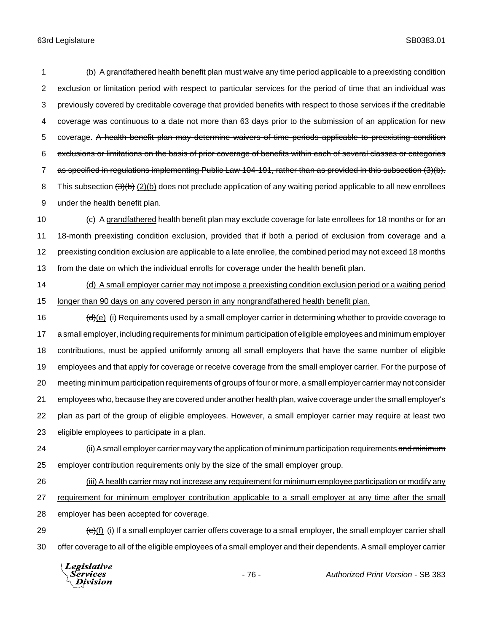(b) A grandfathered health benefit plan must waive any time period applicable to a preexisting condition exclusion or limitation period with respect to particular services for the period of time that an individual was previously covered by creditable coverage that provided benefits with respect to those services if the creditable coverage was continuous to a date not more than 63 days prior to the submission of an application for new 5 coverage. A health benefit plan may determine waivers of time periods applicable to preexisting condition exclusions or limitations on the basis of prior coverage of benefits within each of several classes or categories as specified in regulations implementing Public Law 104-191, rather than as provided in this subsection (3)(b). 8 This subsection (3)(b) (2)(b) does not preclude application of any waiting period applicable to all new enrollees under the health benefit plan.

10 (c) A grandfathered health benefit plan may exclude coverage for late enrollees for 18 months or for an 18-month preexisting condition exclusion, provided that if both a period of exclusion from coverage and a preexisting condition exclusion are applicable to a late enrollee, the combined period may not exceed 18 months from the date on which the individual enrolls for coverage under the health benefit plan.

14 (d) A small employer carrier may not impose a preexisting condition exclusion period or a waiting period longer than 90 days on any covered person in any nongrandfathered health benefit plan.

16 (d)(e) (i) Requirements used by a small employer carrier in determining whether to provide coverage to a small employer, including requirements for minimum participation of eligible employees and minimum employer contributions, must be applied uniformly among all small employers that have the same number of eligible employees and that apply for coverage or receive coverage from the small employer carrier. For the purpose of meeting minimum participation requirements of groups of four or more, a small employer carrier may not consider employees who, because they are covered under another health plan, waive coverage under the small employer's plan as part of the group of eligible employees. However, a small employer carrier may require at least two eligible employees to participate in a plan.

24 (ii) A small employer carrier may vary the application of minimum participation requirements and minimum 25 employer contribution requirements only by the size of the small employer group.

26 (iii) A health carrier may not increase any requirement for minimum employee participation or modify any requirement for minimum employer contribution applicable to a small employer at any time after the small employer has been accepted for coverage.

29  $\left(\frac{e}{f}\right)$  (i) If a small employer carrier offers coverage to a small employer, the small employer carrier shall offer coverage to all of the eligible employees of a small employer and their dependents. A small employer carrier

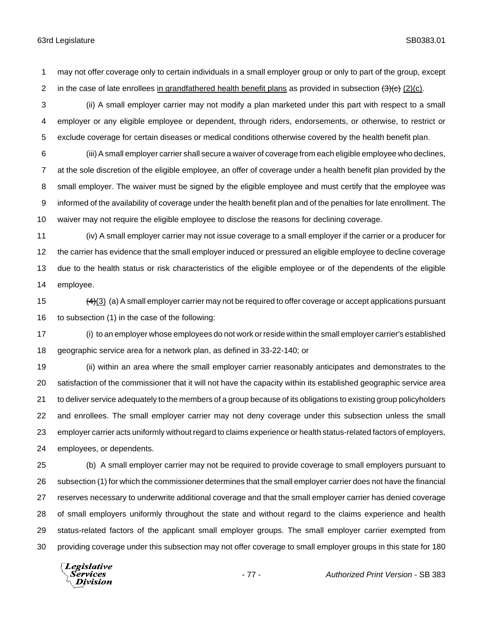may not offer coverage only to certain individuals in a small employer group or only to part of the group, except 2 in the case of late enrollees in grandfathered health benefit plans as provided in subsection  $(3)(c)$ .

 (ii) A small employer carrier may not modify a plan marketed under this part with respect to a small employer or any eligible employee or dependent, through riders, endorsements, or otherwise, to restrict or exclude coverage for certain diseases or medical conditions otherwise covered by the health benefit plan.

 (iii) A small employer carrier shall secure a waiver of coverage from each eligible employee who declines, at the sole discretion of the eligible employee, an offer of coverage under a health benefit plan provided by the small employer. The waiver must be signed by the eligible employee and must certify that the employee was informed of the availability of coverage under the health benefit plan and of the penalties for late enrollment. The waiver may not require the eligible employee to disclose the reasons for declining coverage.

 (iv) A small employer carrier may not issue coverage to a small employer if the carrier or a producer for the carrier has evidence that the small employer induced or pressured an eligible employee to decline coverage due to the health status or risk characteristics of the eligible employee or of the dependents of the eligible employee.

15  $(4)(3)$  (a) A small employer carrier may not be required to offer coverage or accept applications pursuant to subsection (1) in the case of the following:

 (i) to an employer whose employees do not work or reside within the small employer carrier's established geographic service area for a network plan, as defined in 33-22-140; or

 (ii) within an area where the small employer carrier reasonably anticipates and demonstrates to the satisfaction of the commissioner that it will not have the capacity within its established geographic service area to deliver service adequately to the members of a group because of its obligations to existing group policyholders and enrollees. The small employer carrier may not deny coverage under this subsection unless the small employer carrier acts uniformly without regard to claims experience or health status-related factors of employers, employees, or dependents.

 (b) A small employer carrier may not be required to provide coverage to small employers pursuant to subsection (1) for which the commissioner determines that the small employer carrier does not have the financial reserves necessary to underwrite additional coverage and that the small employer carrier has denied coverage of small employers uniformly throughout the state and without regard to the claims experience and health status-related factors of the applicant small employer groups. The small employer carrier exempted from providing coverage under this subsection may not offer coverage to small employer groups in this state for 180

Legislative *Services* Division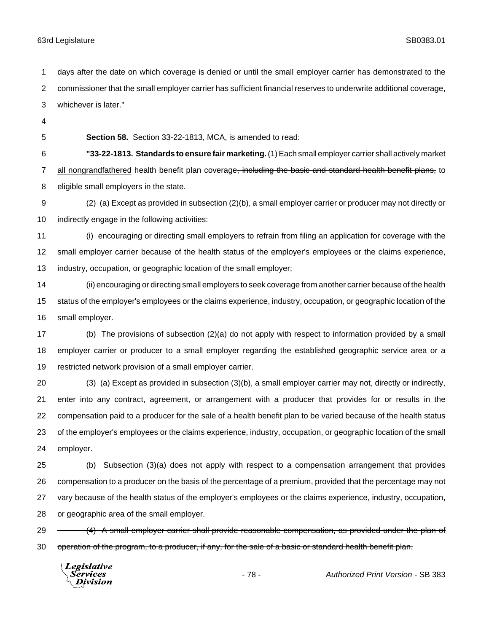days after the date on which coverage is denied or until the small employer carrier has demonstrated to the commissioner that the small employer carrier has sufficient financial reserves to underwrite additional coverage, whichever is later."

- 
- 

**Section 58.** Section 33-22-1813, MCA, is amended to read:

 **"33-22-1813. Standards to ensure fair marketing.** (1) Each small employer carrier shall actively market 7 all nongrandfathered health benefit plan coverage<del>, including the basic and standard health benefit plans,</del> to eligible small employers in the state.

 (2) (a) Except as provided in subsection (2)(b), a small employer carrier or producer may not directly or indirectly engage in the following activities:

 (i) encouraging or directing small employers to refrain from filing an application for coverage with the small employer carrier because of the health status of the employer's employees or the claims experience, industry, occupation, or geographic location of the small employer;

 (ii) encouraging or directing small employers to seek coverage from another carrier because of the health status of the employer's employees or the claims experience, industry, occupation, or geographic location of the small employer.

 (b) The provisions of subsection (2)(a) do not apply with respect to information provided by a small employer carrier or producer to a small employer regarding the established geographic service area or a restricted network provision of a small employer carrier.

 (3) (a) Except as provided in subsection (3)(b), a small employer carrier may not, directly or indirectly, enter into any contract, agreement, or arrangement with a producer that provides for or results in the compensation paid to a producer for the sale of a health benefit plan to be varied because of the health status of the employer's employees or the claims experience, industry, occupation, or geographic location of the small employer.

 (b) Subsection (3)(a) does not apply with respect to a compensation arrangement that provides compensation to a producer on the basis of the percentage of a premium, provided that the percentage may not vary because of the health status of the employer's employees or the claims experience, industry, occupation, or geographic area of the small employer.

29 - (4) A small employer carrier shall provide reasonable compensation, as provided under the plan of 30 operation of the program, to a producer, if any, for the sale of a basic or standard health benefit plan.

Legislative Services Division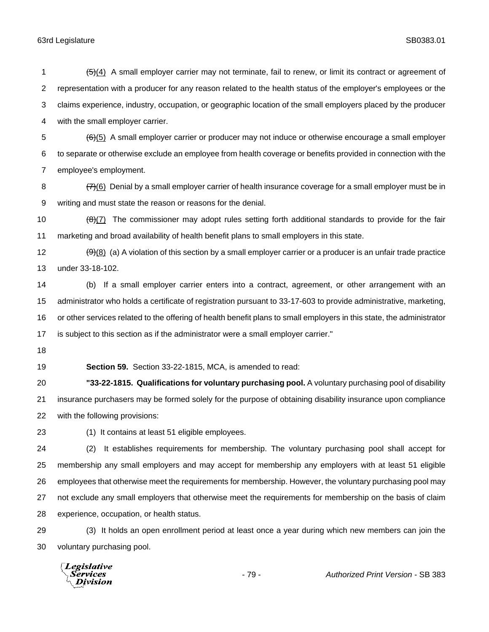(5)(4) A small employer carrier may not terminate, fail to renew, or limit its contract or agreement of representation with a producer for any reason related to the health status of the employer's employees or the claims experience, industry, occupation, or geographic location of the small employers placed by the producer with the small employer carrier.  $66(5)$  A small employer carrier or producer may not induce or otherwise encourage a small employer to separate or otherwise exclude an employee from health coverage or benefits provided in connection with the employee's employment. 8 (7)(6) Denial by a small employer carrier of health insurance coverage for a small employer must be in writing and must state the reason or reasons for the denial.  $\left(\frac{\Theta}{7}\right)$  The commissioner may adopt rules setting forth additional standards to provide for the fair marketing and broad availability of health benefit plans to small employers in this state.  $\left(\frac{9}{9}\right)$  (a) A violation of this section by a small employer carrier or a producer is an unfair trade practice under 33-18-102. (b) If a small employer carrier enters into a contract, agreement, or other arrangement with an administrator who holds a certificate of registration pursuant to 33-17-603 to provide administrative, marketing, or other services related to the offering of health benefit plans to small employers in this state, the administrator

is subject to this section as if the administrator were a small employer carrier."

**Section 59.** Section 33-22-1815, MCA, is amended to read:

 **"33-22-1815. Qualifications for voluntary purchasing pool.** A voluntary purchasing pool of disability insurance purchasers may be formed solely for the purpose of obtaining disability insurance upon compliance with the following provisions:

(1) It contains at least 51 eligible employees.

 (2) It establishes requirements for membership. The voluntary purchasing pool shall accept for membership any small employers and may accept for membership any employers with at least 51 eligible employees that otherwise meet the requirements for membership. However, the voluntary purchasing pool may not exclude any small employers that otherwise meet the requirements for membership on the basis of claim experience, occupation, or health status.

 (3) It holds an open enrollment period at least once a year during which new members can join the voluntary purchasing pool.

Legislative Services **Division**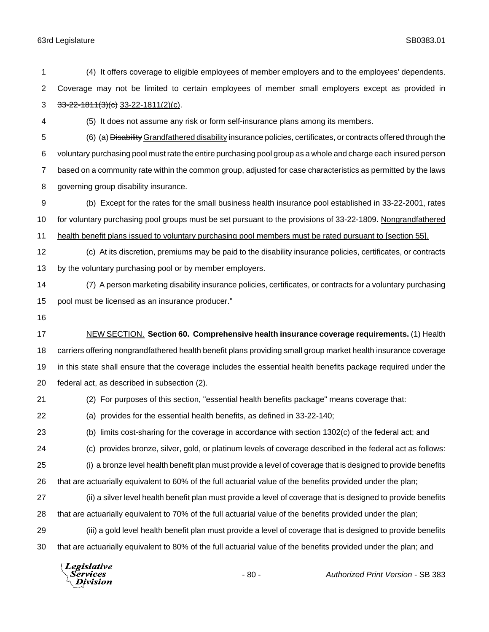Coverage may not be limited to certain employees of member small employers except as provided in  $33-22-1811(3)(e)$  33-22-1811(2)(c). (5) It does not assume any risk or form self-insurance plans among its members. (6) (a) Disability Grandfathered disability insurance policies, certificates, or contracts offered through the voluntary purchasing pool must rate the entire purchasing pool group as a whole and charge each insured person based on a community rate within the common group, adjusted for case characteristics as permitted by the laws governing group disability insurance. (b) Except for the rates for the small business health insurance pool established in 33-22-2001, rates 10 for voluntary purchasing pool groups must be set pursuant to the provisions of 33-22-1809. Nongrandfathered health benefit plans issued to voluntary purchasing pool members must be rated pursuant to [section 55]. (c) At its discretion, premiums may be paid to the disability insurance policies, certificates, or contracts by the voluntary purchasing pool or by member employers. (7) A person marketing disability insurance policies, certificates, or contracts for a voluntary purchasing pool must be licensed as an insurance producer." NEW SECTION. **Section 60. Comprehensive health insurance coverage requirements.** (1) Health carriers offering nongrandfathered health benefit plans providing small group market health insurance coverage in this state shall ensure that the coverage includes the essential health benefits package required under the federal act, as described in subsection (2). (2) For purposes of this section, "essential health benefits package" means coverage that: (a) provides for the essential health benefits, as defined in 33-22-140; (b) limits cost-sharing for the coverage in accordance with section 1302(c) of the federal act; and (c) provides bronze, silver, gold, or platinum levels of coverage described in the federal act as follows: (i) a bronze level health benefit plan must provide a level of coverage that is designed to provide benefits that are actuarially equivalent to 60% of the full actuarial value of the benefits provided under the plan; (ii) a silver level health benefit plan must provide a level of coverage that is designed to provide benefits that are actuarially equivalent to 70% of the full actuarial value of the benefits provided under the plan; (iii) a gold level health benefit plan must provide a level of coverage that is designed to provide benefits that are actuarially equivalent to 80% of the full actuarial value of the benefits provided under the plan; and Legislative *Services* - 80 - *Authorized Print Version* - SB 383Division

(4) It offers coverage to eligible employees of member employers and to the employees' dependents.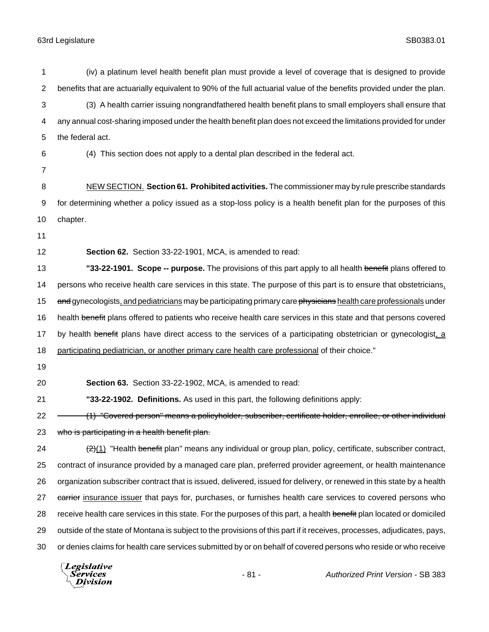1 (iv) a platinum level health benefit plan must provide a level of coverage that is designed to provide 2 benefits that are actuarially equivalent to 90% of the full actuarial value of the benefits provided under the plan. 3 (3) A health carrier issuing nongrandfathered health benefit plans to small employers shall ensure that 4 any annual cost-sharing imposed under the health benefit plan does not exceed the limitations provided for under 5 the federal act. 6 (4) This section does not apply to a dental plan described in the federal act. 7 8 NEW SECTION. **Section 61. Prohibited activities.** The commissioner may by rule prescribe standards 9 for determining whether a policy issued as a stop-loss policy is a health benefit plan for the purposes of this 10 chapter. 11 12 **Section 62.** Section 33-22-1901, MCA, is amended to read: 13 **"33-22-1901. Scope -- purpose.** The provisions of this part apply to all health benefit plans offered to 14 persons who receive health care services in this state. The purpose of this part is to ensure that obstetricians, 15 and gynecologists, and pediatricians may be participating primary care physicians health care professionals under 16 health benefit plans offered to patients who receive health care services in this state and that persons covered 17 by health benefit plans have direct access to the services of a participating obstetrician or gynecologist, a 18 participating pediatrician, or another primary care health care professional of their choice." 19 20 **Section 63.** Section 33-22-1902, MCA, is amended to read: 21 **"33-22-1902. Definitions.** As used in this part, the following definitions apply: 22 (1) "Covered person" means a policyholder, subscriber, certificate holder, enrollee, or other individual 23 who is participating in a health benefit plan. 24  $\left(2\right)$  "Health benefit plan" means any individual or group plan, policy, certificate, subscriber contract, 25 contract of insurance provided by a managed care plan, preferred provider agreement, or health maintenance 26 organization subscriber contract that is issued, delivered, issued for delivery, or renewed in this state by a health 27 carrier insurance issuer that pays for, purchases, or furnishes health care services to covered persons who 28 receive health care services in this state. For the purposes of this part, a health benefit plan located or domiciled 29 outside of the state of Montana is subject to the provisions of this part if it receives, processes, adjudicates, pays, 30 or denies claims for health care services submitted by or on behalf of covered persons who reside or who receive

**Legislative** Services Division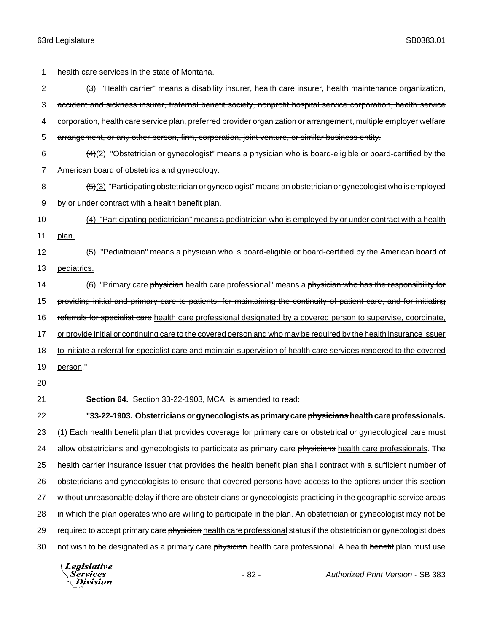1 health care services in the state of Montana. 2 - (3) "Health carrier" means a disability insurer, health care insurer, health maintenance organization, 3 accident and sickness insurer, fraternal benefit society, nonprofit hospital service corporation, health service 4 corporation, health care service plan, preferred provider organization or arrangement, multiple employer welfare 5 arrangement, or any other person, firm, corporation, joint venture, or similar business entity. 6  $\left(4\right)\left(2\right)$  "Obstetrician or gynecologist" means a physician who is board-eligible or board-certified by the 7 American board of obstetrics and gynecology. 8 (5)(3) "Participating obstetrician or gynecologist" means an obstetrician or gynecologist who is employed 9 by or under contract with a health benefit plan. 10 (4) "Participating pediatrician" means a pediatrician who is employed by or under contract with a health 11 plan. 12 (5) "Pediatrician" means a physician who is board-eligible or board-certified by the American board of 13 pediatrics. 14 (6) "Primary care physician health care professional" means a physician who has the responsibility for 15 providing initial and primary care to patients, for maintaining the continuity of patient care, and for initiating 16 referrals for specialist care health care professional designated by a covered person to supervise, coordinate, 17 or provide initial or continuing care to the covered person and who may be required by the health insurance issuer 18 to initiate a referral for specialist care and maintain supervision of health care services rendered to the covered 19 person." 20 21 **Section 64.** Section 33-22-1903, MCA, is amended to read: 22 **"33-22-1903. Obstetricians or gynecologists as primary care physicians health care professionals.** 23 (1) Each health benefit plan that provides coverage for primary care or obstetrical or gynecological care must 24 allow obstetricians and gynecologists to participate as primary care physicians health care professionals. The 25 health carrier insurance issuer that provides the health benefit plan shall contract with a sufficient number of 26 obstetricians and gynecologists to ensure that covered persons have access to the options under this section 27 without unreasonable delay if there are obstetricians or gynecologists practicing in the geographic service areas 28 in which the plan operates who are willing to participate in the plan. An obstetrician or gynecologist may not be 29 required to accept primary care physician health care professional status if the obstetrician or gynecologist does 30 not wish to be designated as a primary care physician health care professional. A health benefit plan must use

Legislative *Services* **Division**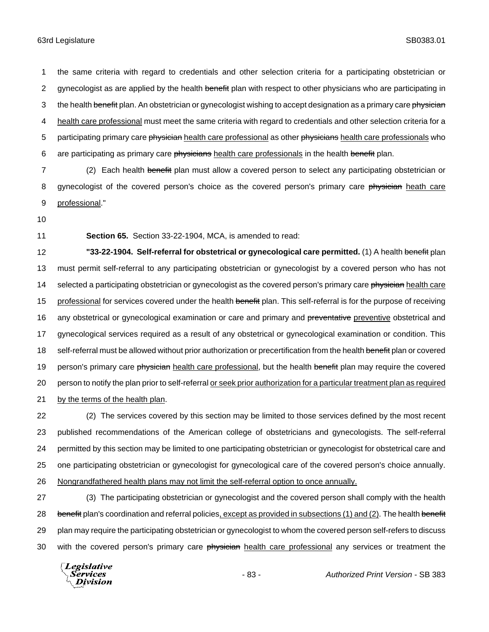1 the same criteria with regard to credentials and other selection criteria for a participating obstetrician or 2 gynecologist as are applied by the health benefit plan with respect to other physicians who are participating in 3 the health benefit plan. An obstetrician or gynecologist wishing to accept designation as a primary care physician 4 health care professional must meet the same criteria with regard to credentials and other selection criteria for a 5 participating primary care physician health care professional as other physicians health care professionals who 6 are participating as primary care physicians health care professionals in the health benefit plan.

7 (2) Each health benefit plan must allow a covered person to select any participating obstetrician or 8 gynecologist of the covered person's choice as the covered person's primary care physician heath care 9 professional."

10

11 **Section 65.** Section 33-22-1904, MCA, is amended to read:

12 **"33-22-1904. Self-referral for obstetrical or gynecological care permitted.** (1) A health benefit plan 13 must permit self-referral to any participating obstetrician or gynecologist by a covered person who has not 14 selected a participating obstetrician or gynecologist as the covered person's primary care physician health care 15 professional for services covered under the health benefit plan. This self-referral is for the purpose of receiving 16 any obstetrical or gynecological examination or care and primary and preventative preventive obstetrical and 17 gynecological services required as a result of any obstetrical or gynecological examination or condition. This 18 self-referral must be allowed without prior authorization or precertification from the health benefit plan or covered 19 person's primary care physician health care professional, but the health benefit plan may require the covered 20 person to notify the plan prior to self-referral or seek prior authorization for a particular treatment plan as required 21 by the terms of the health plan.

 (2) The services covered by this section may be limited to those services defined by the most recent published recommendations of the American college of obstetricians and gynecologists. The self-referral permitted by this section may be limited to one participating obstetrician or gynecologist for obstetrical care and one participating obstetrician or gynecologist for gynecological care of the covered person's choice annually. Nongrandfathered health plans may not limit the self-referral option to once annually.

27 (3) The participating obstetrician or gynecologist and the covered person shall comply with the health 28 benefit plan's coordination and referral policies, except as provided in subsections (1) and (2). The health benefit 29 plan may require the participating obstetrician or gynecologist to whom the covered person self-refers to discuss 30 with the covered person's primary care physician health care professional any services or treatment the

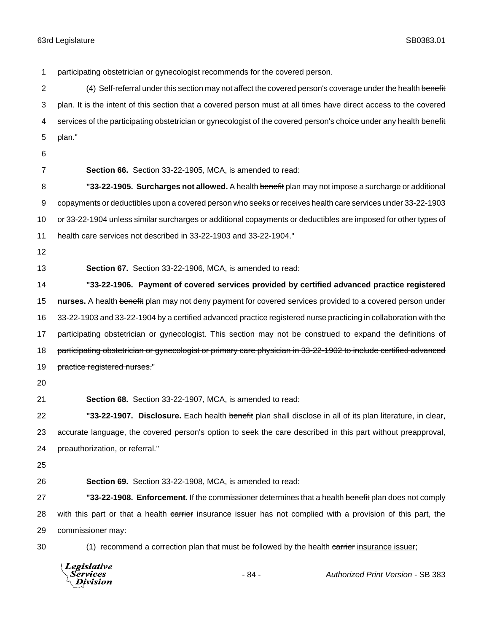participating obstetrician or gynecologist recommends for the covered person. 2 (4) Self-referral under this section may not affect the covered person's coverage under the health benefit plan. It is the intent of this section that a covered person must at all times have direct access to the covered 4 services of the participating obstetrician or gynecologist of the covered person's choice under any health benefit plan." **Section 66.** Section 33-22-1905, MCA, is amended to read: **"33-22-1905. Surcharges not allowed.** A health benefit plan may not impose a surcharge or additional copayments or deductibles upon a covered person who seeks or receives health care services under 33-22-1903 or 33-22-1904 unless similar surcharges or additional copayments or deductibles are imposed for other types of health care services not described in 33-22-1903 and 33-22-1904." **Section 67.** Section 33-22-1906, MCA, is amended to read: **"33-22-1906. Payment of covered services provided by certified advanced practice registered nurses.** A health benefit plan may not deny payment for covered services provided to a covered person under 33-22-1903 and 33-22-1904 by a certified advanced practice registered nurse practicing in collaboration with the 17 participating obstetrician or gynecologist. This section may not be construed to expand the definitions of 18 participating obstetrician or gynecologist or primary care physician in 33-22-1902 to include certified advanced 19 practice registered nurses." **Section 68.** Section 33-22-1907, MCA, is amended to read: **"33-22-1907. Disclosure.** Each health benefit plan shall disclose in all of its plan literature, in clear, accurate language, the covered person's option to seek the care described in this part without preapproval, preauthorization, or referral." **Section 69.** Section 33-22-1908, MCA, is amended to read: **"33-22-1908. Enforcement.** If the commissioner determines that a health benefit plan does not comply 28 with this part or that a health carrier insurance issuer has not complied with a provision of this part, the commissioner may: 30 (1) recommend a correction plan that must be followed by the health carrier insurance issuer;

**Legislative** Services **Division** 

- 84 - *Authorized Print Version* - SB 383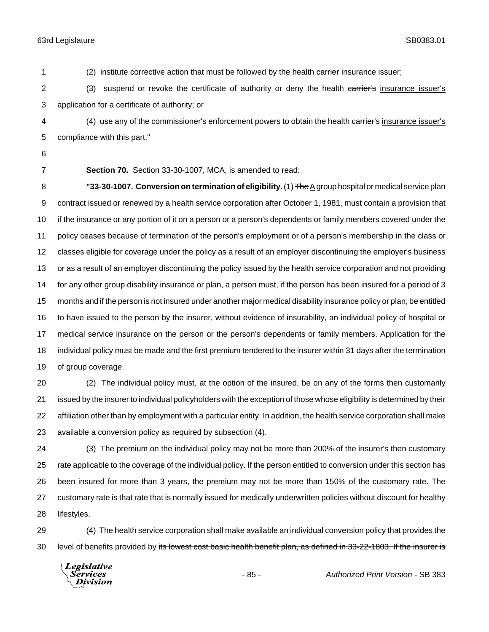1 (2) institute corrective action that must be followed by the health carrier insurance issuer; 2 (3) suspend or revoke the certificate of authority or deny the health carrier's insurance issuer's application for a certificate of authority; or 4 (4) use any of the commissioner's enforcement powers to obtain the health carrier's insurance issuer's compliance with this part." **Section 70.** Section 33-30-1007, MCA, is amended to read: **"33-30-1007. Conversion on termination of eligibility.** (1) The A group hospital or medical service plan 9 contract issued or renewed by a health service corporation after October 1, 1981, must contain a provision that if the insurance or any portion of it on a person or a person's dependents or family members covered under the policy ceases because of termination of the person's employment or of a person's membership in the class or classes eligible for coverage under the policy as a result of an employer discontinuing the employer's business or as a result of an employer discontinuing the policy issued by the health service corporation and not providing for any other group disability insurance or plan, a person must, if the person has been insured for a period of 3 months and if the person is not insured under another major medical disability insurance policy or plan, be entitled to have issued to the person by the insurer, without evidence of insurability, an individual policy of hospital or medical service insurance on the person or the person's dependents or family members. Application for the individual policy must be made and the first premium tendered to the insurer within 31 days after the termination of group coverage. (2) The individual policy must, at the option of the insured, be on any of the forms then customarily issued by the insurer to individual policyholders with the exception of those whose eligibility is determined by their affiliation other than by employment with a particular entity. In addition, the health service corporation shall make available a conversion policy as required by subsection (4). (3) The premium on the individual policy may not be more than 200% of the insurer's then customary rate applicable to the coverage of the individual policy. If the person entitled to conversion under this section has been insured for more than 3 years, the premium may not be more than 150% of the customary rate. The customary rate is that rate that is normally issued for medically underwritten policies without discount for healthy

lifestyles.

 (4) The health service corporation shall make available an individual conversion policy that provides the 30 level of benefits provided by its lowest cost basic health benefit plan, as defined in 33-22-1803. If the insurer is

Legislative Services **Division**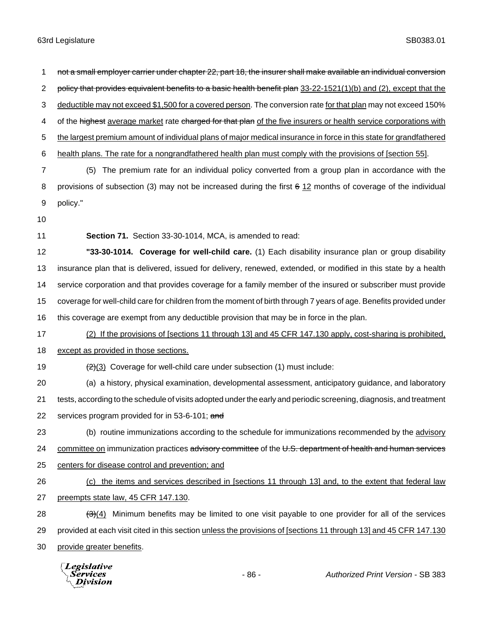2 policy that provides equivalent benefits to a basic health benefit plan 33-22-1521(1)(b) and (2), except that the deductible may not exceed \$1,500 for a covered person. The conversion rate for that plan may not exceed 150% 4 of the highest average market rate charged for that plan of the five insurers or health service corporations with 5 the largest premium amount of individual plans of major medical insurance in force in this state for grandfathered health plans. The rate for a nongrandfathered health plan must comply with the provisions of [section 55]. (5) The premium rate for an individual policy converted from a group plan in accordance with the provisions of subsection (3) may not be increased during the first 6 12 months of coverage of the individual 9 policy." 10 **Section 71.** Section 33-30-1014, MCA, is amended to read: **"33-30-1014. Coverage for well-child care.** (1) Each disability insurance plan or group disability insurance plan that is delivered, issued for delivery, renewed, extended, or modified in this state by a health service corporation and that provides coverage for a family member of the insured or subscriber must provide coverage for well-child care for children from the moment of birth through 7 years of age. Benefits provided under this coverage are exempt from any deductible provision that may be in force in the plan. (2) If the provisions of [sections 11 through 13] and 45 CFR 147.130 apply, cost-sharing is prohibited, 18 except as provided in those sections.  $\left(2\right)$  Coverage for well-child care under subsection (1) must include: (a) a history, physical examination, developmental assessment, anticipatory guidance, and laboratory tests, according to the schedule of visits adopted under the early and periodic screening, diagnosis, and treatment 22 services program provided for in 53-6-101; and (b) routine immunizations according to the schedule for immunizations recommended by the advisory 24 committee on immunization practices advisory committee of the U.S. department of health and human services centers for disease control and prevention; and (c) the items and services described in [sections 11 through 13] and, to the extent that federal law preempts state law, 45 CFR 147.130.  $(3)(4)$  Minimum benefits may be limited to one visit payable to one provider for all of the services provided at each visit cited in this section unless the provisions of [sections 11 through 13] and 45 CFR 147.130 provide greater benefits. Legislative *Services* - 86 - *Authorized Print Version* - SB 383Division

1 not a small employer carrier under chapter 22, part 18, the insurer shall make available an individual conversion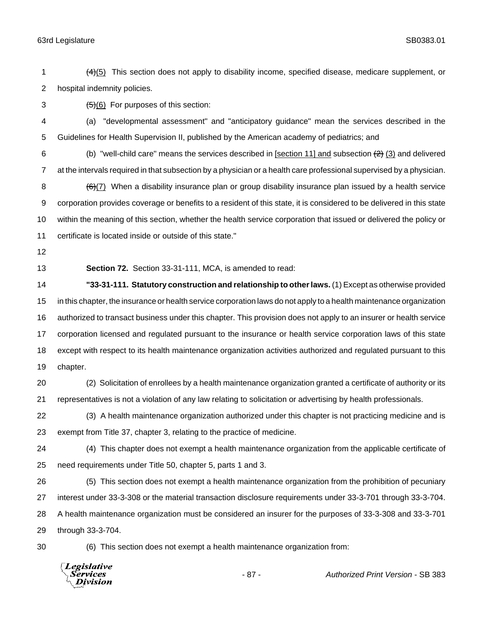1  $(4)(5)$  This section does not apply to disability income, specified disease, medicare supplement, or hospital indemnity policies.

3  $(5)(6)$  For purposes of this section:

 (a) "developmental assessment" and "anticipatory guidance" mean the services described in the Guidelines for Health Supervision II, published by the American academy of pediatrics; and

6 (b) "well-child care" means the services described in  $[section 11]$  and subsection  $(2)$   $(3)$  and delivered at the intervals required in that subsection by a physician or a health care professional supervised by a physician.  $(6)(7)$  When a disability insurance plan or group disability insurance plan issued by a health service corporation provides coverage or benefits to a resident of this state, it is considered to be delivered in this state within the meaning of this section, whether the health service corporation that issued or delivered the policy or certificate is located inside or outside of this state."

**Section 72.** Section 33-31-111, MCA, is amended to read:

 **"33-31-111. Statutory construction and relationship to other laws.** (1) Except as otherwise provided in this chapter, the insurance or health service corporation laws do not apply to a health maintenance organization authorized to transact business under this chapter. This provision does not apply to an insurer or health service corporation licensed and regulated pursuant to the insurance or health service corporation laws of this state except with respect to its health maintenance organization activities authorized and regulated pursuant to this chapter.

 (2) Solicitation of enrollees by a health maintenance organization granted a certificate of authority or its representatives is not a violation of any law relating to solicitation or advertising by health professionals.

 (3) A health maintenance organization authorized under this chapter is not practicing medicine and is exempt from Title 37, chapter 3, relating to the practice of medicine.

 (4) This chapter does not exempt a health maintenance organization from the applicable certificate of need requirements under Title 50, chapter 5, parts 1 and 3.

 (5) This section does not exempt a health maintenance organization from the prohibition of pecuniary interest under 33-3-308 or the material transaction disclosure requirements under 33-3-701 through 33-3-704. A health maintenance organization must be considered an insurer for the purposes of 33-3-308 and 33-3-701 through 33-3-704.

(6) This section does not exempt a health maintenance organization from:

**Legislative** Services **Division** 

- 87 - *Authorized Print Version* - SB 383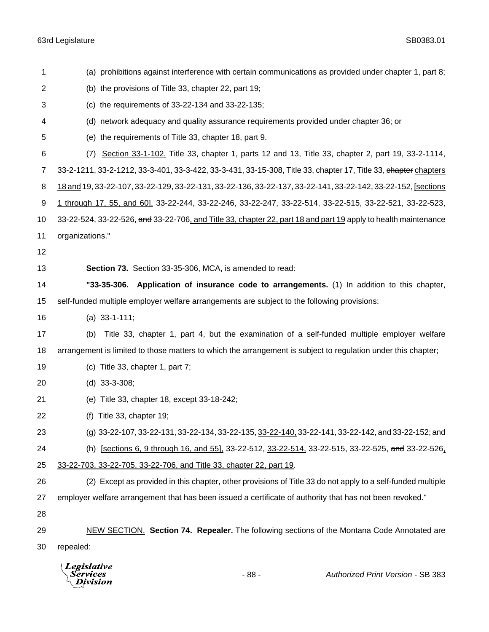| 1              | (a) prohibitions against interference with certain communications as provided under chapter 1, part 8;          |
|----------------|-----------------------------------------------------------------------------------------------------------------|
| $\overline{2}$ | (b) the provisions of Title 33, chapter 22, part 19;                                                            |
| 3              | (c) the requirements of 33-22-134 and 33-22-135;                                                                |
| 4              | (d) network adequacy and quality assurance requirements provided under chapter 36; or                           |
| 5              | (e) the requirements of Title 33, chapter 18, part 9.                                                           |
| 6              | Section 33-1-102, Title 33, chapter 1, parts 12 and 13, Title 33, chapter 2, part 19, 33-2-1114,<br>(7)         |
| 7              | 33-2-1211, 33-2-1212, 33-3-401, 33-3-422, 33-3-431, 33-15-308, Title 33, chapter 17, Title 33, chapter chapters |
| 8              | 18 and 19, 33-22-107, 33-22-129, 33-22-131, 33-22-136, 33-22-137, 33-22-141, 33-22-142, 33-22-152, [sections    |
| 9              | 1 through 17, 55, and 60], 33-22-244, 33-22-246, 33-22-247, 33-22-514, 33-22-515, 33-22-521, 33-22-523,         |
| 10             | 33-22-524, 33-22-526, and 33-22-706, and Title 33, chapter 22, part 18 and part 19 apply to health maintenance  |
| 11             | organizations."                                                                                                 |
| 12             |                                                                                                                 |
| 13             | Section 73. Section 33-35-306, MCA, is amended to read:                                                         |
| 14             | "33-35-306. Application of insurance code to arrangements. (1) In addition to this chapter,                     |
| 15             | self-funded multiple employer welfare arrangements are subject to the following provisions:                     |
| 16             | (a) $33-1-111$ ;                                                                                                |
| 17             | Title 33, chapter 1, part 4, but the examination of a self-funded multiple employer welfare<br>(b)              |
| 18             | arrangement is limited to those matters to which the arrangement is subject to regulation under this chapter;   |
| 19             | (c) Title 33, chapter 1, part $7$ ;                                                                             |
| 20             | $(d)$ 33-3-308;                                                                                                 |
| 21             | (e) Title 33, chapter 18, except 33-18-242;                                                                     |
| 22             | (f) Title 33, chapter 19;                                                                                       |
| 23             | (g) 33-22-107, 33-22-131, 33-22-134, 33-22-135, 33-22-140, 33-22-141, 33-22-142, and 33-22-152; and             |
| 24             | (h) [sections 6, 9 through 16, and 55], 33-22-512, 33-22-514, 33-22-515, 33-22-525, and 33-22-526,              |
| 25             | 33-22-703, 33-22-705, 33-22-706, and Title 33, chapter 22, part 19.                                             |
| 26             | (2) Except as provided in this chapter, other provisions of Title 33 do not apply to a self-funded multiple     |
| 27             | employer welfare arrangement that has been issued a certificate of authority that has not been revoked."        |
| 28             |                                                                                                                 |
| 29             | NEW SECTION. Section 74. Repealer. The following sections of the Montana Code Annotated are                     |
| 30             | repealed:                                                                                                       |
|                | $\sqrt{L}$ <i>Expislative</i>                                                                                   |